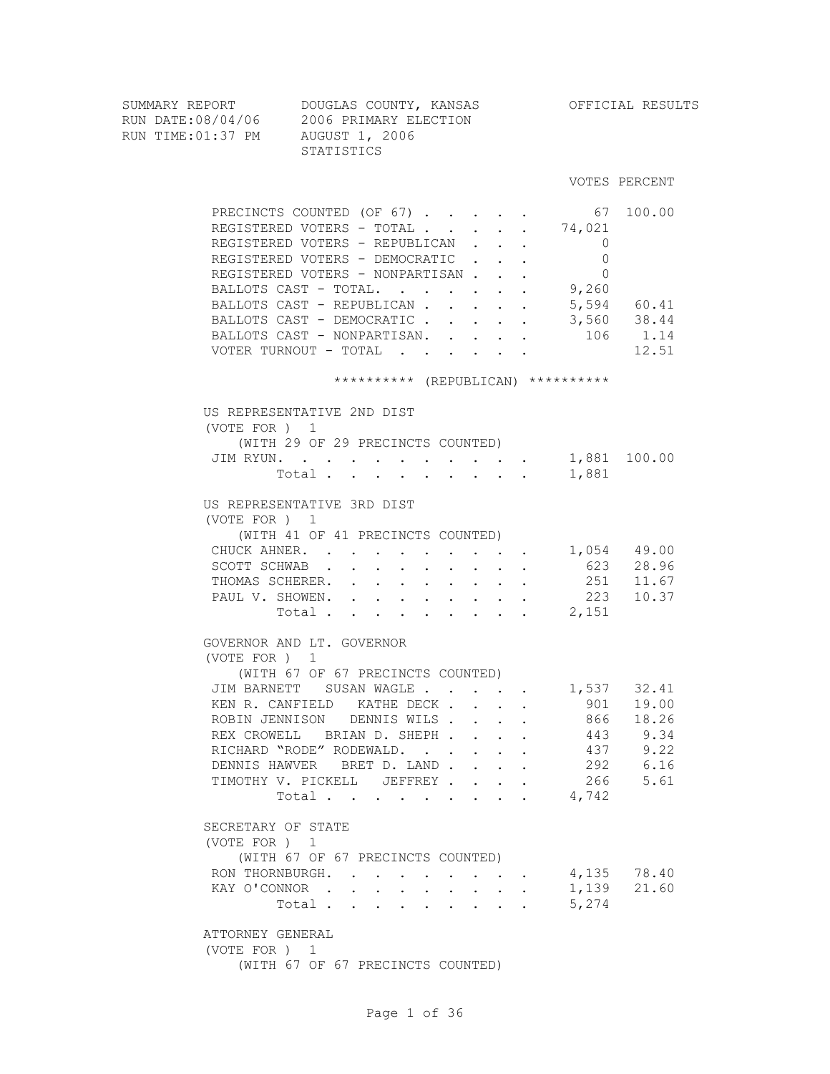VOTES PERCENT

| SUMMARY REPORT    | DOUGLAS COUNTY, KANSAS | OFFICIAL RESULTS |  |
|-------------------|------------------------|------------------|--|
| RUN DATE:08/04/06 | 2006 PRIMARY ELECTION  |                  |  |
| RUN TIME:01:37 PM | AUGUST 1, 2006         |                  |  |
|                   | STATISTICS             |                  |  |
|                   |                        |                  |  |

| $\begin{array}{cccc} . & 67 & 100.00 \\ . & 74,021 & & & \end{array}$<br>PRECINCTS COUNTED (OF 67)<br>REGISTERED VOTERS - TOTAL.<br>REGISTERED VOTERS - REPUBLICAN<br>$\overline{0}$<br>$\mathbf{L}^{\text{max}}$<br>REGISTERED VOTERS - DEMOCRATIC<br>$\Omega$<br>$\mathbf{r} = \mathbf{r} + \mathbf{r}$<br>REGISTERED VOTERS - NONPARTISAN<br>$\Omega$<br>BALLOTS CAST - TOTAL. 9,260<br>BALLOTS CAST - REPUBLICAN.<br>$\cdot$ 5,594 60.41<br>BALLOTS CAST - DEMOCRATIC<br>3,560 38.44<br>106 1.14<br>BALLOTS CAST - NONPARTISAN. .<br>$\mathbf{r} = \mathbf{r} \cdot \mathbf{r}$ , where $\mathbf{r} = \mathbf{r} \cdot \mathbf{r}$<br>VOTER TURNOUT - TOTAL<br><b>All All Andrew</b> | 12.51                                                                  |
|------------------------------------------------------------------------------------------------------------------------------------------------------------------------------------------------------------------------------------------------------------------------------------------------------------------------------------------------------------------------------------------------------------------------------------------------------------------------------------------------------------------------------------------------------------------------------------------------------------------------------------------------------------------------------------------|------------------------------------------------------------------------|
| ********** (REPUBLICAN) **********                                                                                                                                                                                                                                                                                                                                                                                                                                                                                                                                                                                                                                                       |                                                                        |
| US REPRESENTATIVE 2ND DIST<br>(VOTE FOR ) 1<br>(WITH 29 OF 29 PRECINCTS COUNTED)<br>JIM RYUN.<br>Total .<br>1,881<br>$\mathbf{r}$ , and $\mathbf{r}$ , and $\mathbf{r}$ , and $\mathbf{r}$                                                                                                                                                                                                                                                                                                                                                                                                                                                                                               |                                                                        |
| US REPRESENTATIVE 3RD DIST<br>(VOTE FOR ) 1<br>(WITH 41 OF 41 PRECINCTS COUNTED)<br>1,054 49.00<br>CHUCK AHNER.<br>$\mathbf{z} = \mathbf{z} + \mathbf{z}$ . The $\mathbf{z}$<br>SCOTT SCHWAB<br>THOMAS SCHERER. .<br>and a strong state of the state<br>$\mathbf{r} = \mathbf{r} \mathbf{r}$ , where $\mathbf{r} = \mathbf{r} \mathbf{r}$<br>PAUL V. SHOWEN. .<br>Total 2,151                                                                                                                                                                                                                                                                                                            | 623 28.96<br>251 11.67<br>223 10.37                                    |
| GOVERNOR AND LT. GOVERNOR<br>(VOTE FOR ) 1<br>(WITH 67 OF 67 PRECINCTS COUNTED)<br>JIM BARNETT SUSAN WAGLE 1,537 32.41<br>KEN R. CANFIELD KATHE DECK.<br>$\mathbf{r} = \mathbf{r} \cdot \mathbf{r}$<br>ROBIN JENNISON DENNIS WILS.<br>$\mathbf{L} = \mathbf{L} \mathbf{L} + \mathbf{L} \mathbf{L}$<br>REX CROWELL BRIAN D. SHEPH<br>$\mathbf{r}$ , and $\mathbf{r}$<br>RICHARD "RODE" RODEWALD.<br>DENNIS HAWVER BRET D. LAND.<br>TIMOTHY V. PICKELL JEFFREY.<br>$\mathbf{L}$<br>$\ddot{\phantom{0}}$<br>4,742<br>Total                                                                                                                                                                  | 901 19.00<br>866 18.26<br>443 9.34<br>437 9.22<br>292 6.16<br>266 5.61 |
| SECRETARY OF STATE<br>(VOTE FOR ) 1<br>(WITH 67 OF 67 PRECINCTS COUNTED)<br>RON THORNBURGH.<br>1,139<br>KAY O'CONNOR.<br>5,274<br>Total .<br>ATTORNEY GENERAL                                                                                                                                                                                                                                                                                                                                                                                                                                                                                                                            | 4,135 78.40<br>21.60                                                   |

(VOTE FOR ) 1

(WITH 67 OF 67 PRECINCTS COUNTED)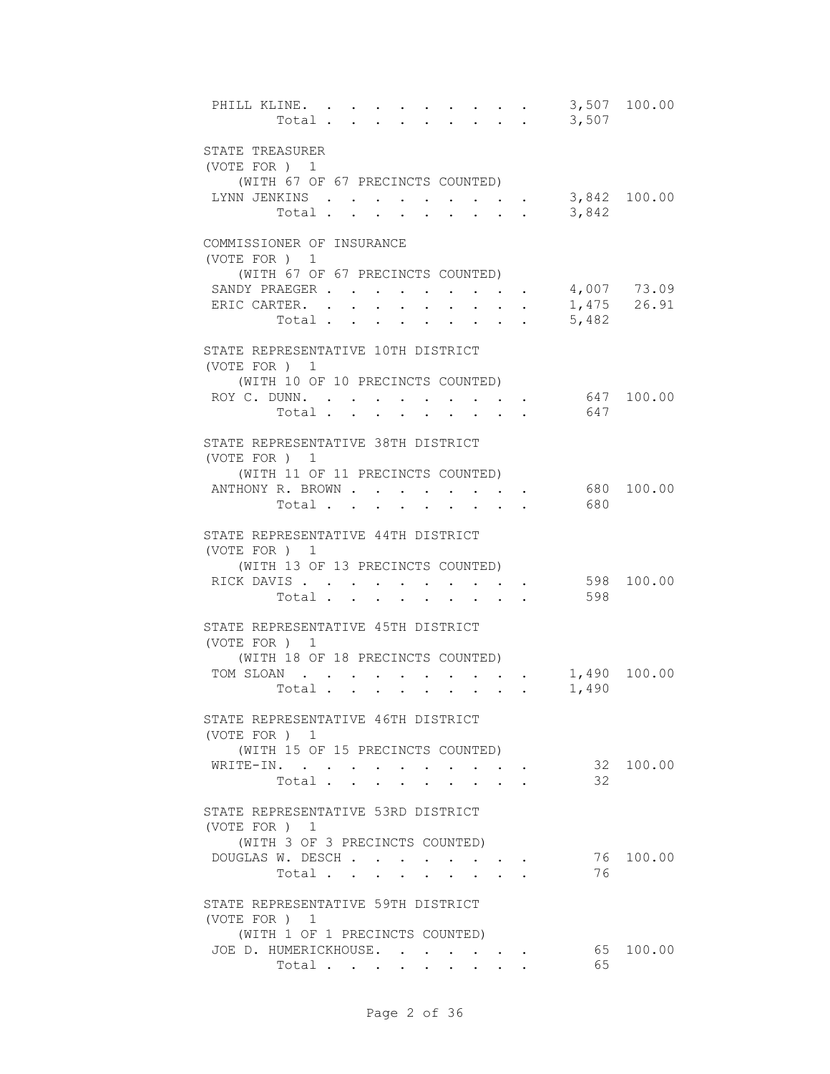| PHILL KLINE.                       | Total                                |                      |                      |                                                           |            | $\cdot$ $\cdot$ $\cdot$ $\cdot$ 3,507 | 3,507 100.00 |
|------------------------------------|--------------------------------------|----------------------|----------------------|-----------------------------------------------------------|------------|---------------------------------------|--------------|
|                                    |                                      |                      |                      |                                                           |            |                                       |              |
| STATE TREASURER<br>(VOTE FOR ) 1   |                                      |                      |                      |                                                           |            |                                       |              |
| (WITH 67 OF 67 PRECINCTS COUNTED)  |                                      |                      |                      |                                                           |            |                                       |              |
| LYNN JENKINS 3,842 100.00          |                                      |                      |                      |                                                           |            |                                       |              |
|                                    | Total $\cdot$                        |                      |                      |                                                           |            | 3,842                                 |              |
| COMMISSIONER OF INSURANCE          |                                      |                      |                      |                                                           |            |                                       |              |
| (VOTE FOR) 1                       |                                      |                      |                      |                                                           |            |                                       |              |
| (WITH 67 OF 67 PRECINCTS COUNTED)  |                                      |                      |                      |                                                           |            |                                       |              |
| SANDY PRAEGER                      |                                      | $\sim$               |                      |                                                           |            | 4,007 73.09                           |              |
| ERIC CARTER.                       |                                      |                      |                      | $\mathbf{r}$ , $\mathbf{r}$ , $\mathbf{r}$ , $\mathbf{r}$ |            |                                       | 1,475 26.91  |
|                                    | Total                                |                      |                      |                                                           |            | 5,482                                 |              |
| STATE REPRESENTATIVE 10TH DISTRICT |                                      |                      |                      |                                                           |            |                                       |              |
| (VOTE FOR ) 1                      |                                      |                      |                      |                                                           |            |                                       |              |
| (WITH 10 OF 10 PRECINCTS COUNTED)  |                                      |                      |                      |                                                           |            |                                       |              |
| ROY C. DUNN.                       |                                      |                      |                      |                                                           |            |                                       | 647 100.00   |
| Total .                            | $\sim$                               | $\ddot{\phantom{a}}$ |                      |                                                           |            | 647                                   |              |
| STATE REPRESENTATIVE 38TH DISTRICT |                                      |                      |                      |                                                           |            |                                       |              |
| (VOTE FOR ) 1                      |                                      |                      |                      |                                                           |            |                                       |              |
| (WITH 11 OF 11 PRECINCTS COUNTED)  |                                      |                      |                      |                                                           |            |                                       |              |
| ANTHONY R. BROWN                   |                                      |                      |                      |                                                           |            | 680                                   | 100.00       |
|                                    | Total                                |                      |                      |                                                           |            | 680                                   |              |
| STATE REPRESENTATIVE 44TH DISTRICT |                                      |                      |                      |                                                           |            |                                       |              |
| (VOTE FOR ) 1                      |                                      |                      |                      |                                                           |            |                                       |              |
| (WITH 13 OF 13 PRECINCTS COUNTED)  |                                      |                      |                      |                                                           |            |                                       |              |
| RICK DAVIS                         |                                      |                      | $\sim$ $\sim$ $\sim$ |                                                           |            |                                       | 598 100.00   |
|                                    | Total                                |                      |                      |                                                           |            | 598                                   |              |
| STATE REPRESENTATIVE 45TH DISTRICT |                                      |                      |                      |                                                           |            |                                       |              |
| (VOTE FOR ) 1                      |                                      |                      |                      |                                                           |            |                                       |              |
| (WITH 18 OF 18 PRECINCTS COUNTED)  |                                      |                      |                      |                                                           |            |                                       |              |
| TOM SLOAN.                         |                                      |                      |                      |                                                           |            |                                       | 1,490 100.00 |
| Total .                            | $\mathbf{L} = \mathbf{L} \mathbf{L}$ | $\sim$               | $\bullet$            | $\mathbf{r} = \mathbf{r} + \mathbf{r}$ .                  | $\sim 100$ | 1,490                                 |              |
| STATE REPRESENTATIVE 46TH DISTRICT |                                      |                      |                      |                                                           |            |                                       |              |
| (VOTE FOR) 1                       |                                      |                      |                      |                                                           |            |                                       |              |
| (WITH 15 OF 15 PRECINCTS COUNTED)  |                                      |                      |                      |                                                           |            |                                       |              |
| WRITE-IN.                          |                                      |                      |                      | the contract of the contract of the                       |            |                                       | 32 100.00    |
|                                    | Total                                |                      |                      |                                                           |            | 32                                    |              |
| STATE REPRESENTATIVE 53RD DISTRICT |                                      |                      |                      |                                                           |            |                                       |              |
| (VOTE FOR) 1                       |                                      |                      |                      |                                                           |            |                                       |              |
| (WITH 3 OF 3 PRECINCTS COUNTED)    |                                      |                      |                      |                                                           |            |                                       |              |
| DOUGLAS W. DESCH                   |                                      |                      |                      |                                                           |            |                                       | 76 100.00    |
|                                    | Total                                |                      |                      |                                                           |            | 76                                    |              |
| STATE REPRESENTATIVE 59TH DISTRICT |                                      |                      |                      |                                                           |            |                                       |              |
| (VOTE FOR ) 1                      |                                      |                      |                      |                                                           |            |                                       |              |
| (WITH 1 OF 1 PRECINCTS COUNTED)    |                                      |                      |                      |                                                           |            |                                       |              |
| JOE D. HUMERICKHOUSE.              |                                      |                      |                      |                                                           |            |                                       | 65 100.00    |
|                                    | Total                                |                      |                      |                                                           |            | 65                                    |              |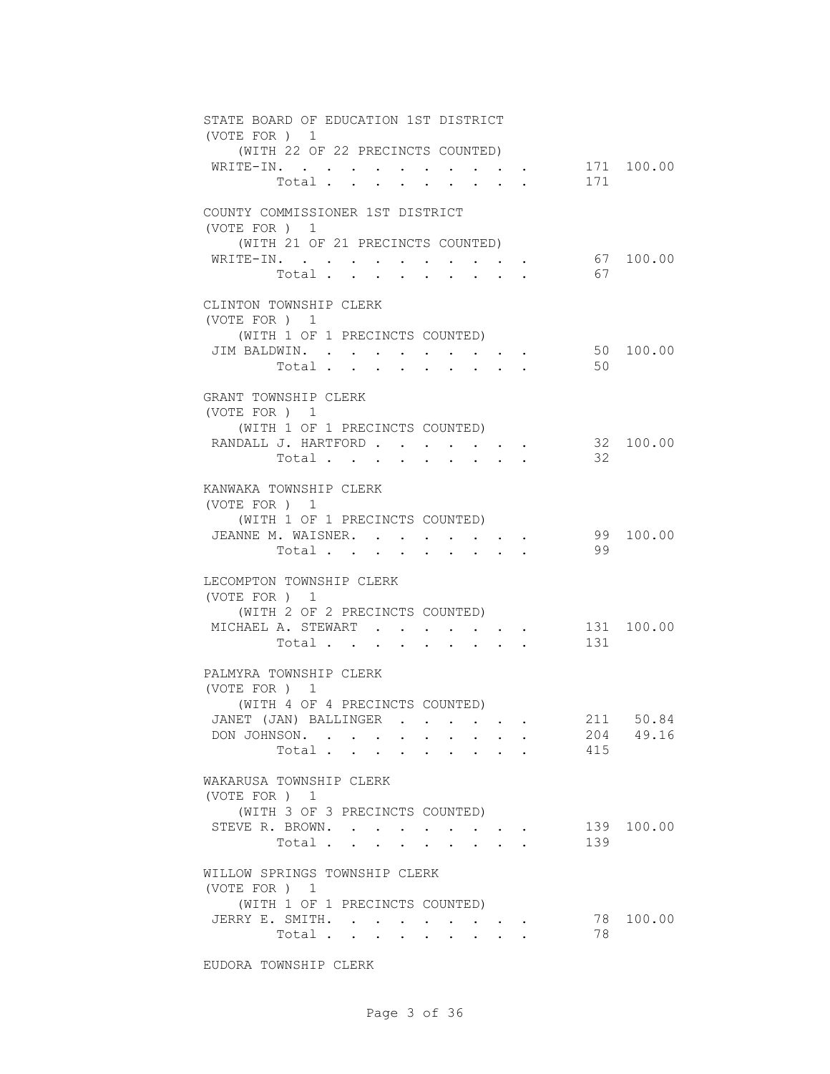| STATE BOARD OF EDUCATION 1ST DISTRICT<br>(VOTE FOR ) 1                     |            |
|----------------------------------------------------------------------------|------------|
| (WITH 22 OF 22 PRECINCTS COUNTED)                                          | 171 100.00 |
| WRITE-IN.<br>$\sim$ $\sim$ $\sim$ $\sim$<br>171<br>Total .<br>$\mathbf{L}$ |            |
| COUNTY COMMISSIONER 1ST DISTRICT<br>(VOTE FOR ) 1                          |            |
| (WITH 21 OF 21 PRECINCTS COUNTED)                                          |            |
| WRITE-IN.                                                                  | 67 100.00  |
| 67<br>Total                                                                |            |
| CLINTON TOWNSHIP CLERK                                                     |            |
| (VOTE FOR ) 1<br>(WITH 1 OF 1 PRECINCTS COUNTED)                           |            |
| JIM BALDWIN.                                                               | 50 100.00  |
| 50<br>Total                                                                |            |
|                                                                            |            |
| GRANT TOWNSHIP CLERK                                                       |            |
| (VOTE FOR ) 1                                                              |            |
| (WITH 1 OF 1 PRECINCTS COUNTED)                                            |            |
| RANDALL J. HARTFORD                                                        | 32 100.00  |
| 32<br>Total<br>$\cdot$ $\cdot$<br>$\sim$                                   |            |
| KANWAKA TOWNSHIP CLERK                                                     |            |
| (VOTE FOR ) 1                                                              |            |
| (WITH 1 OF 1 PRECINCTS COUNTED)                                            |            |
| JEANNE M. WAISNER.                                                         | 99 100.00  |
| 99<br>Total                                                                |            |
|                                                                            |            |
| LECOMPTON TOWNSHIP CLERK<br>(VOTE FOR ) 1                                  |            |
| (WITH 2 OF 2 PRECINCTS COUNTED)                                            |            |
| MICHAEL A. STEWART                                                         | 131 100.00 |
| 131<br>Total                                                               |            |
|                                                                            |            |
| PALMYRA TOWNSHIP CLERK                                                     |            |
| (VOTE FOR ) 1                                                              |            |
| (WITH 4 OF 4 PRECINCTS COUNTED)                                            |            |
| JANET (JAN) BALLINGER                                                      | 211 50.84  |
| DON JOHNSON.<br>Total                                                      | 204 49.16  |
| 415                                                                        |            |
| WAKARUSA TOWNSHIP CLERK                                                    |            |
| (VOTE FOR ) 1                                                              |            |
| (WITH 3 OF 3 PRECINCTS COUNTED)                                            |            |
| STEVE R. BROWN.                                                            | 139 100.00 |
| 139<br>Total                                                               |            |
| WILLOW SPRINGS TOWNSHIP CLERK                                              |            |
| (VOTE FOR ) 1                                                              |            |
| (WITH 1 OF 1 PRECINCTS COUNTED)                                            |            |
| JERRY E. SMITH.<br>78                                                      | 100.00     |
| 78<br>Total                                                                |            |
|                                                                            |            |

EUDORA TOWNSHIP CLERK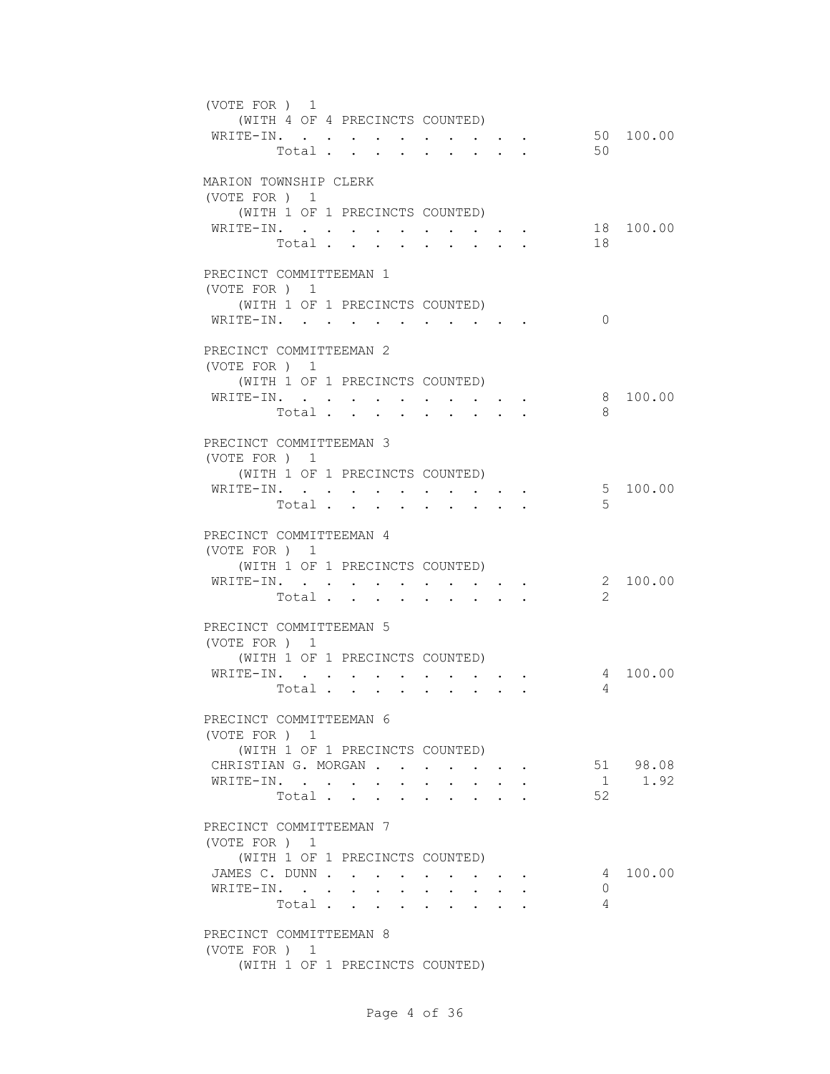| (VOTE FOR ) 1<br>(WITH 4 OF 4 PRECINCTS COUNTED)                                                                                                               |
|----------------------------------------------------------------------------------------------------------------------------------------------------------------|
| 50 100.00<br>WRITE-IN.<br>50<br>Total                                                                                                                          |
| MARION TOWNSHIP CLERK                                                                                                                                          |
| (VOTE FOR ) 1<br>(WITH 1 OF 1 PRECINCTS COUNTED)                                                                                                               |
| 18 100.00<br>WRITE-IN.<br>$\bullet$ .<br><br><br><br><br><br><br><br><br><br><br><br><br>$\bullet$ .                                                           |
| 18<br>Total .<br>$\mathbf{L} = \mathbf{L}$<br>$\mathbf{A}$<br>$\sim$<br>$\sim$                                                                                 |
| PRECINCT COMMITTEEMAN 1                                                                                                                                        |
| (VOTE FOR ) 1                                                                                                                                                  |
| (WITH 1 OF 1 PRECINCTS COUNTED)<br>WRITE-IN.<br>$\Omega$                                                                                                       |
|                                                                                                                                                                |
| PRECINCT COMMITTEEMAN 2                                                                                                                                        |
| (VOTE FOR) 1<br>(WITH 1 OF 1 PRECINCTS COUNTED)                                                                                                                |
| $\mathtt{WRTTE}\text{-}\mathtt{IN.}\quad.\quad.\quad.\quad.\quad.\quad.\quad.\quad.\quad.\quad.\quad.\quad.\quad.\quad.\quad.\quad.$<br>8 100.00               |
| Total<br>8                                                                                                                                                     |
| PRECINCT COMMITTEEMAN 3<br>(VOTE FOR ) 1                                                                                                                       |
| (WITH 1 OF 1 PRECINCTS COUNTED)                                                                                                                                |
| 5 100.00<br>WRITE-IN. .<br>$\mathbf{L}^{\text{max}}$<br>$\bullet$ .<br><br><br><br><br><br><br><br><br><br><br><br><br><br><br>$\cdot$ $\cdot$ $\cdot$ $\cdot$ |
| $\overline{5}$<br>Total .<br>$\mathbf{r} = \mathbf{r}$<br>$\ddot{\phantom{a}}$                                                                                 |
| PRECINCT COMMITTEEMAN 4                                                                                                                                        |
| (VOTE FOR ) 1                                                                                                                                                  |
| (WITH 1 OF 1 PRECINCTS COUNTED)                                                                                                                                |
| 2 100.00<br>WRITE-IN.<br>$\mathcal{L}$<br>Total<br>$\cdot$ $\cdot$ $\cdot$ $\cdot$ $\cdot$                                                                     |
|                                                                                                                                                                |
| PRECINCT COMMITTEEMAN 5<br>(VOTE FOR) 1                                                                                                                        |
| (WITH 1 OF 1 PRECINCTS COUNTED)                                                                                                                                |
| WRITE-IN.<br>4 100.00                                                                                                                                          |
| Total<br>4<br>$\cdot$ $\cdot$ $\cdot$ $\cdot$ $\cdot$                                                                                                          |
| PRECINCT COMMITTEEMAN 6                                                                                                                                        |
| (VOTE FOR ) 1                                                                                                                                                  |
| (WITH 1 OF 1 PRECINCTS COUNTED)<br>CHRISTIAN G. MORGAN<br>51 98.08                                                                                             |
| $1 \t 1.92$<br>WRITE-IN.<br>$\sim 100$                                                                                                                         |
| 52<br>Total<br>$\sim$<br>$\mathbf{L}$<br>$\mathbf{L} = \mathbf{L}$                                                                                             |
|                                                                                                                                                                |
| PRECINCT COMMITTEEMAN 7<br>(VOTE FOR ) 1                                                                                                                       |
| (WITH 1 OF 1 PRECINCTS COUNTED)                                                                                                                                |
| JAMES C. DUNN<br>4 100.00<br>$\sim$ $\sim$ $\sim$ $\sim$ $\sim$                                                                                                |
| WRITE-IN.<br>0<br>4<br>Total.                                                                                                                                  |
|                                                                                                                                                                |
| PRECINCT COMMITTEEMAN 8                                                                                                                                        |
| (VOTE FOR ) 1<br>(WITH 1 OF 1 PRECINCTS COUNTED)                                                                                                               |
|                                                                                                                                                                |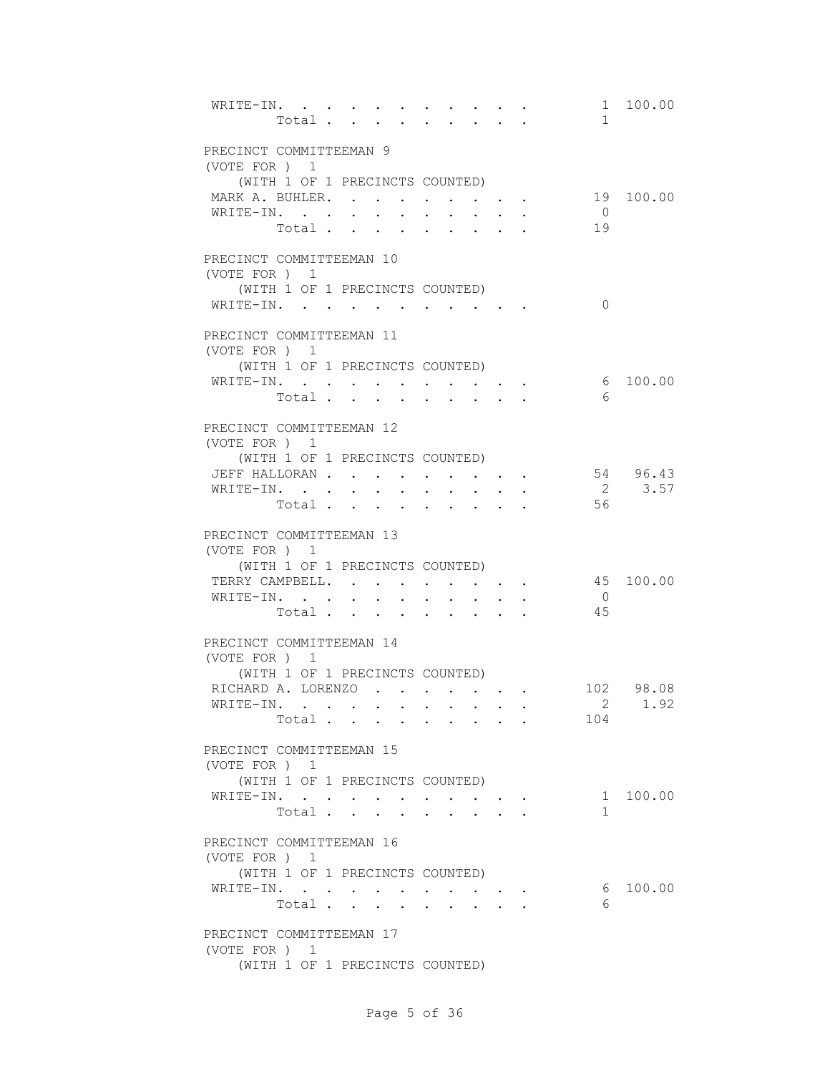| WRITE-IN.                                        |  | Total |  |                      |                                                                                               |  | $\mathbf{1}$         | 1 100.00           |
|--------------------------------------------------|--|-------|--|----------------------|-----------------------------------------------------------------------------------------------|--|----------------------|--------------------|
|                                                  |  |       |  |                      |                                                                                               |  |                      |                    |
| PRECINCT COMMITTEEMAN 9<br>(VOTE FOR ) 1         |  |       |  |                      |                                                                                               |  |                      |                    |
| (WITH 1 OF 1 PRECINCTS COUNTED)                  |  |       |  |                      |                                                                                               |  |                      |                    |
| MARK A. BUHLER.                                  |  |       |  |                      |                                                                                               |  |                      | 19 100.00          |
| WRITE-IN.                                        |  |       |  |                      | $\mathbf{r} = \mathbf{r} \cdot \mathbf{r}$ , where $\mathbf{r} = \mathbf{r} \cdot \mathbf{r}$ |  | $\overline{0}$       |                    |
|                                                  |  | Total |  |                      |                                                                                               |  | 19                   |                    |
| PRECINCT COMMITTEEMAN 10                         |  |       |  |                      |                                                                                               |  |                      |                    |
| (VOTE FOR ) 1                                    |  |       |  |                      |                                                                                               |  |                      |                    |
| (WITH 1 OF 1 PRECINCTS COUNTED)                  |  |       |  |                      |                                                                                               |  |                      |                    |
| WRITE-IN.                                        |  |       |  |                      |                                                                                               |  | $\Omega$             |                    |
| PRECINCT COMMITTEEMAN 11                         |  |       |  |                      |                                                                                               |  |                      |                    |
| (VOTE FOR ) 1<br>(WITH 1 OF 1 PRECINCTS COUNTED) |  |       |  |                      |                                                                                               |  |                      |                    |
| WRITE-IN.                                        |  |       |  |                      |                                                                                               |  |                      | 6 100.00           |
|                                                  |  | Total |  | $\ddot{\phantom{a}}$ | <b>Contractor</b>                                                                             |  | 6                    |                    |
|                                                  |  |       |  |                      |                                                                                               |  |                      |                    |
| PRECINCT COMMITTEEMAN 12                         |  |       |  |                      |                                                                                               |  |                      |                    |
| (VOTE FOR ) 1                                    |  |       |  |                      |                                                                                               |  |                      |                    |
| (WITH 1 OF 1 PRECINCTS COUNTED)                  |  |       |  |                      |                                                                                               |  |                      |                    |
| JEFF HALLORAN<br>WRITE-IN.                       |  |       |  |                      |                                                                                               |  |                      | 54 96.43<br>2 3.57 |
|                                                  |  | Total |  |                      |                                                                                               |  | 56                   |                    |
|                                                  |  |       |  |                      |                                                                                               |  |                      |                    |
| PRECINCT COMMITTEEMAN 13                         |  |       |  |                      |                                                                                               |  |                      |                    |
| (VOTE FOR ) 1                                    |  |       |  |                      |                                                                                               |  |                      |                    |
| (WITH 1 OF 1 PRECINCTS COUNTED)                  |  |       |  |                      |                                                                                               |  |                      |                    |
| TERRY CAMPBELL.                                  |  |       |  |                      |                                                                                               |  |                      | 45 100.00          |
| WRITE-IN.                                        |  | Total |  |                      |                                                                                               |  | $\overline{0}$<br>45 |                    |
|                                                  |  |       |  |                      |                                                                                               |  |                      |                    |
| PRECINCT COMMITTEEMAN 14                         |  |       |  |                      |                                                                                               |  |                      |                    |
| (VOTE FOR ) 1                                    |  |       |  |                      |                                                                                               |  |                      |                    |
| (WITH 1 OF 1 PRECINCTS COUNTED)                  |  |       |  |                      |                                                                                               |  |                      |                    |
| RICHARD A. LORENZO.                              |  |       |  |                      |                                                                                               |  |                      | 102 98.08          |
| WRITE-IN.                                        |  |       |  |                      |                                                                                               |  |                      | 2 1.92             |
|                                                  |  | Total |  |                      |                                                                                               |  | 104                  |                    |
| PRECINCT COMMITTEEMAN 15                         |  |       |  |                      |                                                                                               |  |                      |                    |
| (VOTE FOR ) 1                                    |  |       |  |                      |                                                                                               |  |                      |                    |
| (WITH 1 OF 1 PRECINCTS COUNTED)                  |  |       |  |                      |                                                                                               |  |                      |                    |
| WRITE-IN.                                        |  |       |  |                      |                                                                                               |  |                      | 1 100.00           |
|                                                  |  | Total |  | $\sim 100$           | $\mathbf{z} = \mathbf{z} + \mathbf{z}$ .                                                      |  | $\mathbf{1}$         |                    |
| PRECINCT COMMITTEEMAN 16                         |  |       |  |                      |                                                                                               |  |                      |                    |
| (VOTE FOR ) 1                                    |  |       |  |                      |                                                                                               |  |                      |                    |
| (WITH 1 OF 1 PRECINCTS COUNTED)                  |  |       |  |                      |                                                                                               |  |                      |                    |
| WRITE-IN.                                        |  |       |  |                      |                                                                                               |  | 6                    | 100.00             |
|                                                  |  | Total |  |                      |                                                                                               |  | 6                    |                    |
| PRECINCT COMMITTEEMAN 17                         |  |       |  |                      |                                                                                               |  |                      |                    |
| (VOTE FOR ) 1                                    |  |       |  |                      |                                                                                               |  |                      |                    |
| (WITH 1 OF 1 PRECINCTS COUNTED)                  |  |       |  |                      |                                                                                               |  |                      |                    |
|                                                  |  |       |  |                      |                                                                                               |  |                      |                    |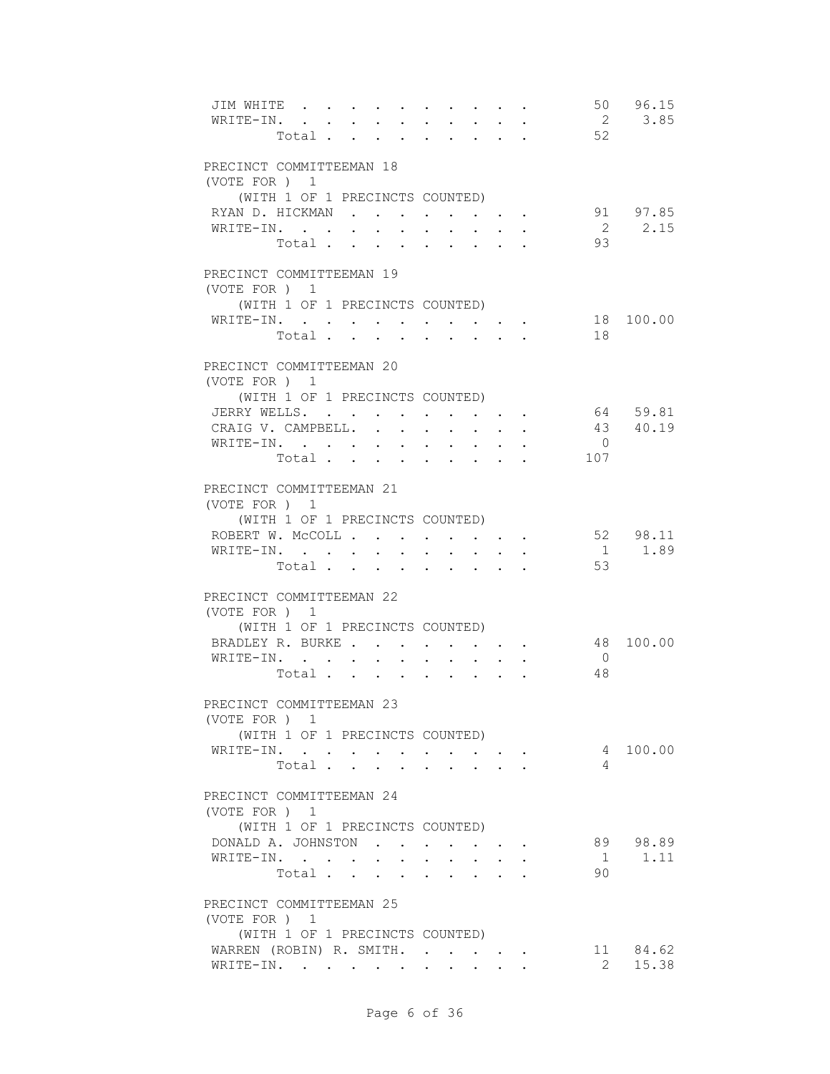| JIM WHITE<br>WRITE-IN.<br>Total           |        |                      |                      |              | $\cdot$ $\cdot$ $\cdot$ $\cdot$ $\cdot$            |        |                      | 52         | 50 96.15<br>2 3.85 |
|-------------------------------------------|--------|----------------------|----------------------|--------------|----------------------------------------------------|--------|----------------------|------------|--------------------|
| PRECINCT COMMITTEEMAN 18                  |        |                      |                      |              |                                                    |        |                      |            |                    |
| (VOTE FOR ) 1                             |        |                      |                      |              |                                                    |        |                      |            |                    |
| (WITH 1 OF 1 PRECINCTS COUNTED)           |        |                      |                      |              |                                                    |        |                      |            |                    |
| RYAN D. HICKMAN                           |        |                      |                      |              |                                                    |        |                      |            | 91 97.85           |
| WRITE-IN.                                 |        |                      |                      |              |                                                    |        |                      |            | 2 2.15             |
| Total                                     |        |                      |                      |              |                                                    |        |                      | 93         |                    |
| PRECINCT COMMITTEEMAN 19                  |        |                      |                      |              |                                                    |        |                      |            |                    |
| (VOTE FOR ) 1                             |        |                      |                      |              |                                                    |        |                      |            |                    |
| (WITH 1 OF 1 PRECINCTS COUNTED)           |        |                      |                      |              |                                                    |        |                      |            |                    |
| WRITE-IN.                                 |        |                      |                      |              |                                                    |        |                      |            | 18 100.00          |
| Total                                     |        |                      |                      |              |                                                    |        |                      | 18         |                    |
|                                           |        |                      |                      |              |                                                    |        |                      |            |                    |
| PRECINCT COMMITTEEMAN 20<br>(VOTE FOR ) 1 |        |                      |                      |              |                                                    |        |                      |            |                    |
| (WITH 1 OF 1 PRECINCTS COUNTED)           |        |                      |                      |              |                                                    |        |                      |            |                    |
| JERRY WELLS.                              |        |                      |                      |              | $\mathbf{r}$ , and $\mathbf{r}$ , and $\mathbf{r}$ |        |                      |            | 64 59.81           |
| CRAIG V. CAMPBELL                         |        | $\mathbf{r}$         | $\sim$               |              | $\ddot{\phantom{0}}$                               |        |                      |            | 43 40.19           |
| WRITE-IN.                                 |        |                      |                      | $\sim$       | $\sim$                                             | $\sim$ | $\ddot{\phantom{a}}$ | $\bigcirc$ |                    |
| Total.                                    |        |                      |                      |              |                                                    |        |                      | 107        |                    |
|                                           |        |                      |                      |              |                                                    |        |                      |            |                    |
| PRECINCT COMMITTEEMAN 21                  |        |                      |                      |              |                                                    |        |                      |            |                    |
| (VOTE FOR ) 1                             |        |                      |                      |              |                                                    |        |                      |            |                    |
| (WITH 1 OF 1 PRECINCTS COUNTED)           |        |                      |                      |              |                                                    |        |                      |            |                    |
| ROBERT W. MCCOLL                          |        |                      |                      |              |                                                    |        |                      |            | 52 98.11           |
| WRITE-IN.                                 | $\sim$ | $\sim$               |                      | $\sim$       | $\sim$                                             |        |                      |            | 1 1.89             |
| Total                                     |        | $\ddot{\phantom{a}}$ | $\ddot{\phantom{0}}$ |              | $\mathbf{z} = \mathbf{z} + \mathbf{z}$ .           |        |                      | 53         |                    |
|                                           |        |                      |                      |              |                                                    |        |                      |            |                    |
| PRECINCT COMMITTEEMAN 22                  |        |                      |                      |              |                                                    |        |                      |            |                    |
| (VOTE FOR ) 1                             |        |                      |                      |              |                                                    |        |                      |            |                    |
| (WITH 1 OF 1 PRECINCTS COUNTED)           |        |                      |                      |              |                                                    |        |                      |            |                    |
| BRADLEY R. BURKE                          |        |                      |                      |              | $\bullet$ . In the case of the $\bullet$           |        |                      |            | 48 100.00          |
| WRITE-IN.                                 |        |                      |                      |              | $\mathbf{r} = \mathbf{r} + \mathbf{r}$             |        |                      | $\bigcirc$ |                    |
| Total                                     |        |                      |                      |              |                                                    |        |                      | 48         |                    |
| PRECINCT COMMITTEEMAN 23                  |        |                      |                      |              |                                                    |        |                      |            |                    |
| (VOTE FOR ) 1                             |        |                      |                      |              |                                                    |        |                      |            |                    |
| (WITH 1 OF 1 PRECINCTS COUNTED)           |        |                      |                      |              |                                                    |        |                      |            |                    |
| WRITE-IN.                                 |        |                      |                      |              |                                                    |        |                      |            | 4 100.00           |
| Total                                     |        |                      |                      |              |                                                    |        |                      | 4          |                    |
|                                           |        |                      |                      |              |                                                    |        |                      |            |                    |
| PRECINCT COMMITTEEMAN 24                  |        |                      |                      |              |                                                    |        |                      |            |                    |
| (VOTE FOR ) 1                             |        |                      |                      |              |                                                    |        |                      |            |                    |
| (WITH 1 OF 1 PRECINCTS COUNTED)           |        |                      |                      |              |                                                    |        |                      |            |                    |
| DONALD A. JOHNSTON                        |        |                      |                      |              | $\mathbf{r}$ , and $\mathbf{r}$ , and $\mathbf{r}$ |        |                      |            | 89 98.89           |
| WRITE-IN.                                 |        |                      | $\sim$ $\sim$        | $\mathbf{L}$ | $\mathbf{L}$                                       |        |                      | 1          | 1.11               |
| Total.                                    |        |                      |                      |              |                                                    |        |                      | 90         |                    |
|                                           |        |                      |                      |              |                                                    |        |                      |            |                    |
| PRECINCT COMMITTEEMAN 25                  |        |                      |                      |              |                                                    |        |                      |            |                    |
| (VOTE FOR ) 1                             |        |                      |                      |              |                                                    |        |                      |            |                    |
| (WITH 1 OF 1 PRECINCTS COUNTED)           |        |                      |                      |              |                                                    |        |                      |            |                    |
| WARREN (ROBIN) R. SMITH.                  |        |                      |                      |              |                                                    |        |                      |            | 11 84.62           |
| WRITE-IN.                                 |        |                      |                      |              |                                                    |        |                      |            | 2 15.38            |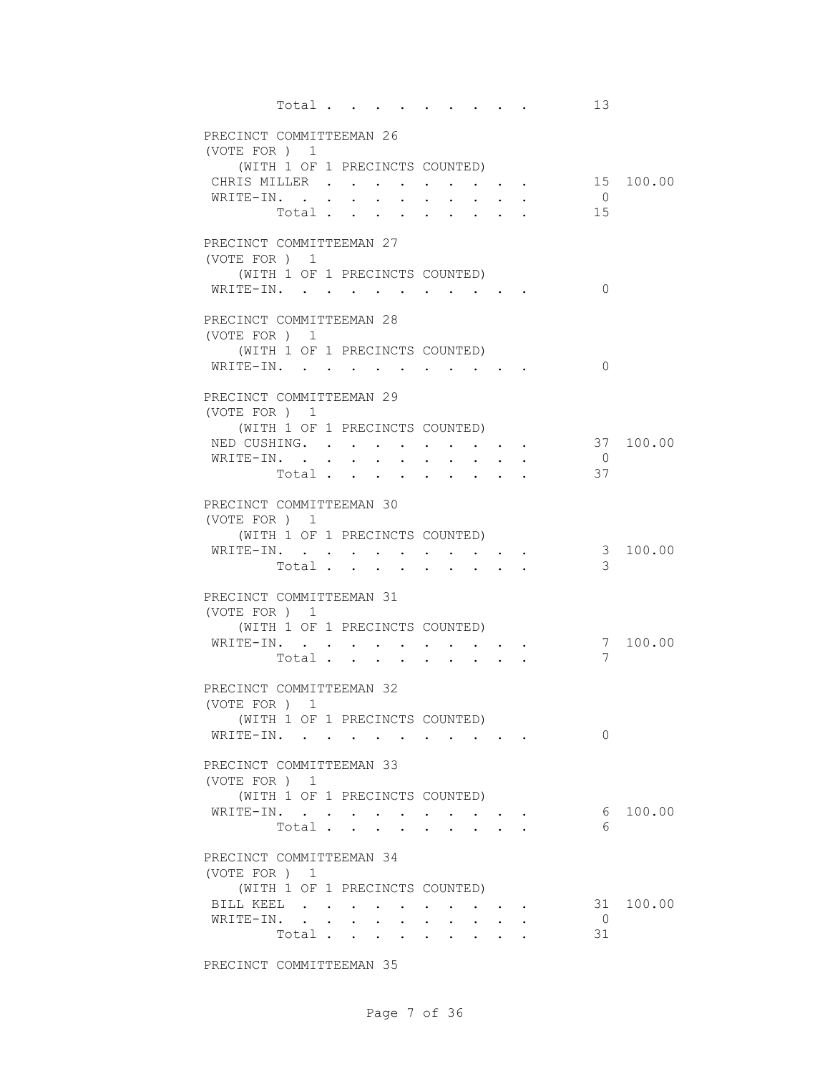|                                           | Total                           |  |                                                                                              |  | 13             |           |
|-------------------------------------------|---------------------------------|--|----------------------------------------------------------------------------------------------|--|----------------|-----------|
| PRECINCT COMMITTEEMAN 26                  |                                 |  |                                                                                              |  |                |           |
| (VOTE FOR) 1                              |                                 |  |                                                                                              |  |                |           |
|                                           | (WITH 1 OF 1 PRECINCTS COUNTED) |  |                                                                                              |  |                |           |
| CHRIS MILLER                              |                                 |  |                                                                                              |  |                | 15 100.00 |
| WRITE-IN.                                 |                                 |  |                                                                                              |  | $\overline{0}$ |           |
|                                           | Total                           |  |                                                                                              |  | 15             |           |
| PRECINCT COMMITTEEMAN 27                  |                                 |  |                                                                                              |  |                |           |
| (VOTE FOR ) 1                             |                                 |  |                                                                                              |  |                |           |
|                                           | (WITH 1 OF 1 PRECINCTS COUNTED) |  |                                                                                              |  |                |           |
| WRITE-IN.                                 |                                 |  |                                                                                              |  | $\Omega$       |           |
|                                           |                                 |  |                                                                                              |  |                |           |
| PRECINCT COMMITTEEMAN 28                  |                                 |  |                                                                                              |  |                |           |
| (VOTE FOR ) 1                             | (WITH 1 OF 1 PRECINCTS COUNTED) |  |                                                                                              |  |                |           |
| WRITE-IN.                                 |                                 |  |                                                                                              |  | $\Omega$       |           |
|                                           |                                 |  |                                                                                              |  |                |           |
| PRECINCT COMMITTEEMAN 29                  |                                 |  |                                                                                              |  |                |           |
| (VOTE FOR ) 1                             |                                 |  |                                                                                              |  |                |           |
|                                           | (WITH 1 OF 1 PRECINCTS COUNTED) |  |                                                                                              |  |                |           |
| NED CUSHING.                              |                                 |  |                                                                                              |  | $\overline{0}$ | 37 100.00 |
| WRITE-IN.                                 | Total                           |  |                                                                                              |  | 37             |           |
|                                           |                                 |  |                                                                                              |  |                |           |
| PRECINCT COMMITTEEMAN 30                  |                                 |  |                                                                                              |  |                |           |
| (VOTE FOR ) 1                             |                                 |  |                                                                                              |  |                |           |
|                                           | (WITH 1 OF 1 PRECINCTS COUNTED) |  |                                                                                              |  |                |           |
| WRITE-IN.                                 |                                 |  |                                                                                              |  | 3              | 100.00    |
|                                           | Total $\cdots$                  |  |                                                                                              |  | 3              |           |
| PRECINCT COMMITTEEMAN 31                  |                                 |  |                                                                                              |  |                |           |
| (VOTE FOR ) 1                             |                                 |  |                                                                                              |  |                |           |
|                                           | (WITH 1 OF 1 PRECINCTS COUNTED) |  |                                                                                              |  |                |           |
| WRITE-IN.                                 |                                 |  |                                                                                              |  |                | 7 100.00  |
|                                           | Total                           |  |                                                                                              |  | 7              |           |
| PRECINCT COMMITTEEMAN 32                  |                                 |  |                                                                                              |  |                |           |
| (VOTE FOR ) 1                             |                                 |  |                                                                                              |  |                |           |
|                                           | (WITH 1 OF 1 PRECINCTS COUNTED) |  |                                                                                              |  |                |           |
| WRITE-IN.                                 |                                 |  |                                                                                              |  | 0              |           |
|                                           |                                 |  |                                                                                              |  |                |           |
| PRECINCT COMMITTEEMAN 33<br>(VOTE FOR ) 1 |                                 |  |                                                                                              |  |                |           |
|                                           | (WITH 1 OF 1 PRECINCTS COUNTED) |  |                                                                                              |  |                |           |
| WRITE-IN.                                 |                                 |  |                                                                                              |  |                | 6 100.00  |
|                                           | Total                           |  | $\mathbf{L} = \mathbf{L} \mathbf{L}$                                                         |  | 6              |           |
|                                           |                                 |  |                                                                                              |  |                |           |
| PRECINCT COMMITTEEMAN 34                  |                                 |  |                                                                                              |  |                |           |
| (VOTE FOR ) 1                             |                                 |  |                                                                                              |  |                |           |
| BILL KEEL                                 | (WITH 1 OF 1 PRECINCTS COUNTED) |  |                                                                                              |  |                | 31 100.00 |
| WRITE-IN.                                 |                                 |  | $\mathcal{L}(\mathcal{A})$ , and $\mathcal{A}(\mathcal{A})$ , and $\mathcal{A}(\mathcal{A})$ |  | $\overline{0}$ |           |
|                                           | Total                           |  | $\mathbf{r}$ , $\mathbf{r}$ , $\mathbf{r}$ , $\mathbf{r}$                                    |  | 31             |           |
|                                           |                                 |  |                                                                                              |  |                |           |

PRECINCT COMMITTEEMAN 35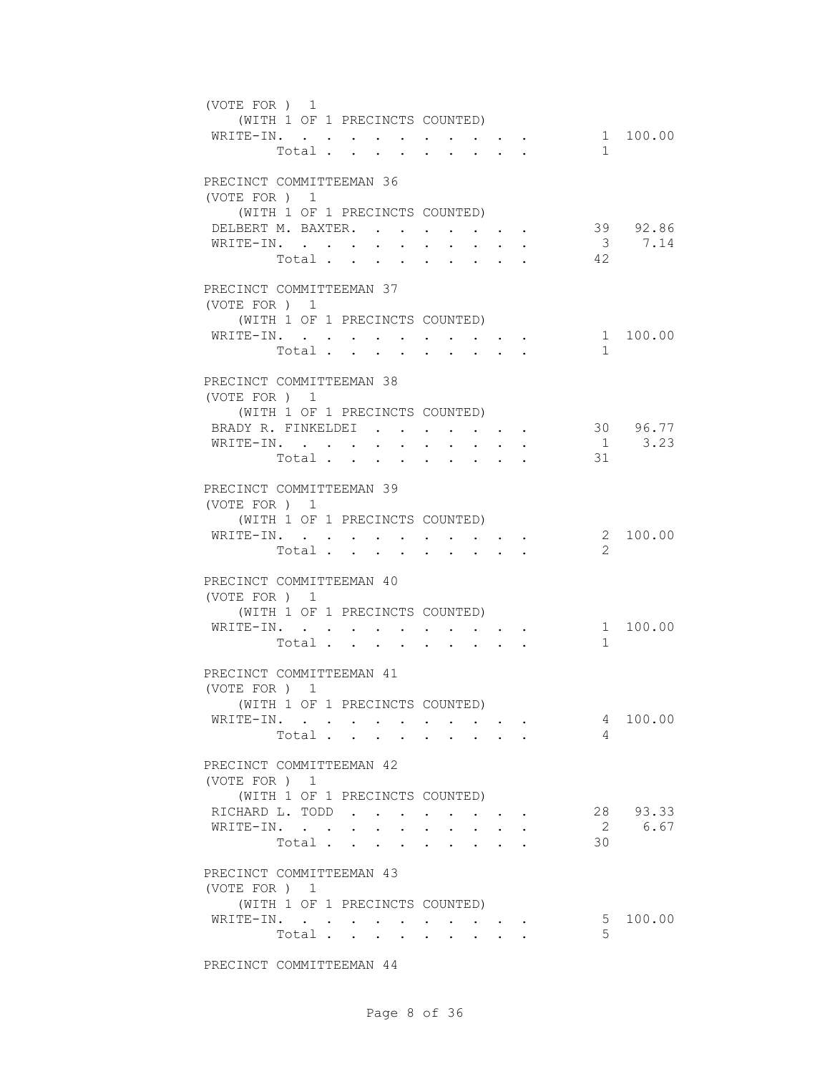| (VOTE FOR ) 1<br>WRITE-IN.                                                         |         | (WITH 1 OF 1 PRECINCTS COUNTED)<br>Total                                                                    |                               |                                                                  |                                                                                                                             | $\mathbf{1}$                  | 1 100.00               |
|------------------------------------------------------------------------------------|---------|-------------------------------------------------------------------------------------------------------------|-------------------------------|------------------------------------------------------------------|-----------------------------------------------------------------------------------------------------------------------------|-------------------------------|------------------------|
| PRECINCT COMMITTEEMAN 36<br>(VOTE FOR ) 1<br>DELBERT M. BAXTER.<br>WRITE-IN.       |         | (WITH 1 OF 1 PRECINCTS COUNTED)<br>Total.                                                                   | $\mathbf{r}$ and $\mathbf{r}$ | $\cdot$ $\cdot$ $\cdot$                                          | $\cdot$ $\cdot$ $\cdot$ $\cdot$<br>$\sim$<br>$\sim$ $\sim$                                                                  | $\overline{\mathbf{3}}$<br>42 | 39 92.86<br>7.14       |
| PRECINCT COMMITTEEMAN 37<br>(VOTE FOR ) 1<br>WRITE-IN.                             | Total . | (WITH 1 OF 1 PRECINCTS COUNTED)<br>$\mathbf{r} = \mathbf{r} + \mathbf{r}$ , where $\mathbf{r} = \mathbf{r}$ | $\bullet$                     | $\sim 100$ km s $^{-1}$                                          | $\mathcal{L}^{\mathcal{L}}(\mathbf{A},\mathbf{A})$ . The contribution of $\mathcal{L}^{\mathcal{L}}(\mathbf{A},\mathbf{A})$ | $\mathbf{1}$                  | 1 100.00               |
| PRECINCT COMMITTEEMAN 38<br>(VOTE FOR ) 1<br>BRADY R. FINKELDEI<br>WRITE-IN.       |         | (WITH 1 OF 1 PRECINCTS COUNTED)<br>Total                                                                    |                               | $\mathbf{r} = \mathbf{r} + \mathbf{r} + \mathbf{r} + \mathbf{r}$ |                                                                                                                             | 31                            | 30 96.77<br>$1 \t3.23$ |
| PRECINCT COMMITTEEMAN 39<br>(VOTE FOR ) 1<br>WRITE-IN.                             |         | (WITH 1 OF 1 PRECINCTS COUNTED)<br>Total                                                                    |                               |                                                                  |                                                                                                                             | 2                             | 2 100.00               |
| PRECINCT COMMITTEEMAN 40<br>(VOTE FOR ) 1<br>WRITE-IN.<br>PRECINCT COMMITTEEMAN 41 |         | (WITH 1 OF 1 PRECINCTS COUNTED)<br>$\mathbf{r}$ , $\mathbf{r}$ , $\mathbf{r}$ , $\mathbf{r}$<br>Total       |                               | $\sim$                                                           |                                                                                                                             | $\mathbf{1}$                  | 1 100.00               |
| (VOTE FOR ) 1<br>WRITE-IN.                                                         |         | (WITH 1 OF 1 PRECINCTS COUNTED)<br>Total                                                                    |                               |                                                                  |                                                                                                                             | 4<br>4                        | 100.00                 |
| PRECINCT COMMITTEEMAN 42<br>(VOTE FOR ) 1<br>RICHARD L. TODD<br>WRITE-IN.          |         | (WITH 1 OF 1 PRECINCTS COUNTED)<br>Total                                                                    |                               |                                                                  |                                                                                                                             | 30                            | 28 93.33<br>2 6.67     |
| PRECINCT COMMITTEEMAN 43<br>(VOTE FOR ) 1<br>WRITE-IN.                             |         | (WITH 1 OF 1 PRECINCTS COUNTED)<br>Total                                                                    | $\bullet$ .                   |                                                                  |                                                                                                                             | 5<br>5                        | 100.00                 |

PRECINCT COMMITTEEMAN 44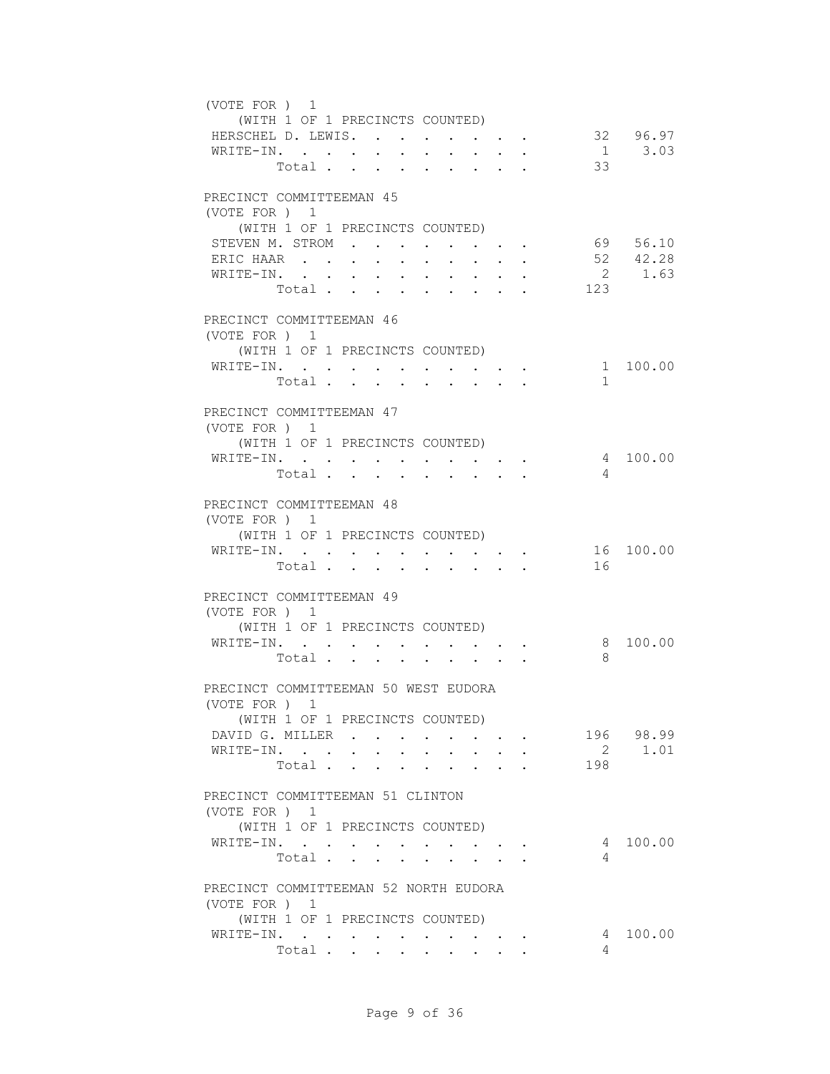| (VOTE FOR) 1<br>(WITH 1 OF 1 PRECINCTS COUNTED)<br>HERSCHEL D. LEWIS.<br>WRITE-IN.        |        | Total                           |                               |                                                                                                                                                                                                                                                                                                                                                                                                                                                             |        | 33             | 32 96.97<br>1 3.03   |
|-------------------------------------------------------------------------------------------|--------|---------------------------------|-------------------------------|-------------------------------------------------------------------------------------------------------------------------------------------------------------------------------------------------------------------------------------------------------------------------------------------------------------------------------------------------------------------------------------------------------------------------------------------------------------|--------|----------------|----------------------|
| PRECINCT COMMITTEEMAN 45<br>(VOTE FOR ) 1<br>(WITH 1 OF 1 PRECINCTS COUNTED)              |        |                                 |                               |                                                                                                                                                                                                                                                                                                                                                                                                                                                             |        |                |                      |
| STEVEN M. STROM                                                                           |        |                                 |                               | $\mathbf{r}$ , and $\mathbf{r}$ , and $\mathbf{r}$                                                                                                                                                                                                                                                                                                                                                                                                          |        |                | 69 56.10<br>52 42.28 |
| ERIC HAAR<br>WRITE-IN.                                                                    | $\sim$ | $\sim$ 100 $\pm$<br>$\bullet$ . | $\sim$<br>$\sim$              | $\ddot{\phantom{0}}$                                                                                                                                                                                                                                                                                                                                                                                                                                        |        |                | 2 1.63               |
|                                                                                           |        | Total                           | $\mathbf{r}$ and $\mathbf{r}$ | $\mathbf{r}$ and $\mathbf{r}$                                                                                                                                                                                                                                                                                                                                                                                                                               | $\sim$ | 123            |                      |
|                                                                                           |        |                                 |                               |                                                                                                                                                                                                                                                                                                                                                                                                                                                             |        |                |                      |
| PRECINCT COMMITTEEMAN 46<br>(VOTE FOR ) 1<br>(WITH 1 OF 1 PRECINCTS COUNTED)              |        |                                 |                               |                                                                                                                                                                                                                                                                                                                                                                                                                                                             |        |                |                      |
| WRITE-IN.                                                                                 |        |                                 |                               | $\mathcal{L}(\mathcal{L}(\mathcal{L}(\mathcal{L}(\mathcal{L}(\mathcal{L}(\mathcal{L}(\mathcal{L}(\mathcal{L}(\mathcal{L}(\mathcal{L}(\mathcal{L}(\mathcal{L}(\mathcal{L}(\mathcal{L}(\mathcal{L}(\mathcal{L}(\mathcal{L}(\mathcal{L}(\mathcal{L}(\mathcal{L}(\mathcal{L}(\mathcal{L}(\mathcal{L}(\mathcal{L}(\mathcal{L}(\mathcal{L}(\mathcal{L}(\mathcal{L}(\mathcal{L}(\mathcal{L}(\mathcal{L}(\mathcal{L}(\mathcal{L}(\mathcal{L}(\mathcal{L}(\mathcal{$ |        |                | 1 100.00             |
|                                                                                           |        | Total.                          |                               | $\cdot$ $\cdot$ $\cdot$ $\cdot$ $\cdot$                                                                                                                                                                                                                                                                                                                                                                                                                     |        | $\mathbf{1}$   |                      |
| PRECINCT COMMITTEEMAN 47<br>(VOTE FOR ) 1<br>(WITH 1 OF 1 PRECINCTS COUNTED)              |        |                                 |                               |                                                                                                                                                                                                                                                                                                                                                                                                                                                             |        |                |                      |
| WRITE-IN.                                                                                 |        |                                 |                               |                                                                                                                                                                                                                                                                                                                                                                                                                                                             |        |                | 4 100.00             |
|                                                                                           |        | Total                           |                               |                                                                                                                                                                                                                                                                                                                                                                                                                                                             |        | $\overline{4}$ |                      |
| PRECINCT COMMITTEEMAN 48<br>(VOTE FOR ) 1<br>(WITH 1 OF 1 PRECINCTS COUNTED)<br>WRITE-IN. |        | Total                           |                               |                                                                                                                                                                                                                                                                                                                                                                                                                                                             |        | 16             | 16 100.00            |
| PRECINCT COMMITTEEMAN 49<br>(VOTE FOR ) 1<br>(WITH 1 OF 1 PRECINCTS COUNTED)              |        |                                 |                               |                                                                                                                                                                                                                                                                                                                                                                                                                                                             |        |                |                      |
| WRITE-IN.                                                                                 |        |                                 |                               |                                                                                                                                                                                                                                                                                                                                                                                                                                                             |        |                | 8 100.00             |
|                                                                                           |        | Total                           |                               | $\bullet$ .<br><br><br><br><br><br><br><br><br><br><br><br><br><br>                                                                                                                                                                                                                                                                                                                                                                                         |        | 8              |                      |
| PRECINCT COMMITTEEMAN 50 WEST EUDORA<br>(VOTE FOR ) 1<br>(WITH 1 OF 1 PRECINCTS COUNTED)  |        |                                 |                               |                                                                                                                                                                                                                                                                                                                                                                                                                                                             |        |                |                      |
| DAVID G. MILLER                                                                           |        |                                 |                               |                                                                                                                                                                                                                                                                                                                                                                                                                                                             |        |                | 196 98.99            |
| WRITE-IN.                                                                                 |        |                                 |                               |                                                                                                                                                                                                                                                                                                                                                                                                                                                             |        |                | 2 1.01               |
| PRECINCT COMMITTEEMAN 51 CLINTON                                                          |        | Total                           |                               |                                                                                                                                                                                                                                                                                                                                                                                                                                                             |        | 198            |                      |
| (VOTE FOR ) 1<br>(WITH 1 OF 1 PRECINCTS COUNTED)                                          |        |                                 |                               |                                                                                                                                                                                                                                                                                                                                                                                                                                                             |        |                |                      |
| WRITE-IN.                                                                                 |        |                                 |                               |                                                                                                                                                                                                                                                                                                                                                                                                                                                             |        |                | 4 100.00             |
|                                                                                           |        | Total                           |                               |                                                                                                                                                                                                                                                                                                                                                                                                                                                             |        | 4              |                      |
| PRECINCT COMMITTEEMAN 52 NORTH EUDORA<br>(VOTE FOR ) 1<br>(WITH 1 OF 1 PRECINCTS COUNTED) |        |                                 |                               |                                                                                                                                                                                                                                                                                                                                                                                                                                                             |        |                |                      |
| WRITE-IN.                                                                                 |        |                                 |                               |                                                                                                                                                                                                                                                                                                                                                                                                                                                             |        |                | 4 100.00             |
|                                                                                           | Total  |                                 |                               |                                                                                                                                                                                                                                                                                                                                                                                                                                                             |        | 4              |                      |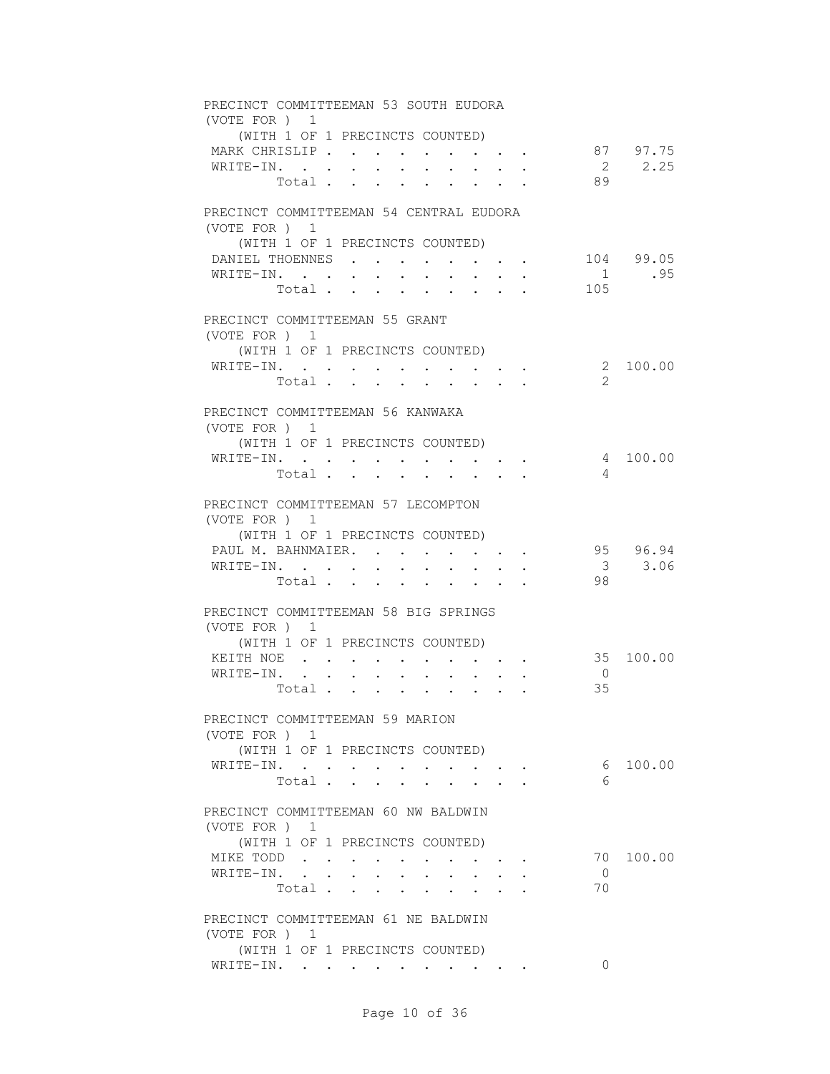| PRECINCT COMMITTEEMAN 53 SOUTH EUDORA<br>(VOTE FOR ) 1 |                                                 |                      |                      |                                                                                                                       |                               |           |
|--------------------------------------------------------|-------------------------------------------------|----------------------|----------------------|-----------------------------------------------------------------------------------------------------------------------|-------------------------------|-----------|
| (WITH 1 OF 1 PRECINCTS COUNTED)                        |                                                 |                      |                      |                                                                                                                       |                               |           |
| MARK CHRISLIP                                          |                                                 |                      |                      | <b>All Adams</b>                                                                                                      |                               | 87 97.75  |
| WRITE-IN.                                              |                                                 |                      |                      |                                                                                                                       |                               | 2 2.25    |
| Total .                                                | $\Delta \sim 1000$ km s $^{-1}$<br>$\mathbf{A}$ |                      |                      |                                                                                                                       | 89                            |           |
| PRECINCT COMMITTEEMAN 54 CENTRAL EUDORA                |                                                 |                      |                      |                                                                                                                       |                               |           |
| (VOTE FOR ) 1<br>(WITH 1 OF 1 PRECINCTS COUNTED)       |                                                 |                      |                      |                                                                                                                       |                               |           |
| DANIEL THOENNES                                        |                                                 |                      |                      | and the state of the state of the state of                                                                            |                               | 104 99.05 |
| WRITE-IN.                                              | $\sim$                                          |                      |                      |                                                                                                                       | $\overline{1}$                | .95       |
| Total.                                                 |                                                 | $\ddot{\phantom{a}}$ |                      |                                                                                                                       | 105                           |           |
| PRECINCT COMMITTEEMAN 55 GRANT                         |                                                 |                      |                      |                                                                                                                       |                               |           |
| (VOTE FOR ) 1                                          |                                                 |                      |                      |                                                                                                                       |                               |           |
| (WITH 1 OF 1 PRECINCTS COUNTED)<br>WRITE-IN.           |                                                 |                      |                      |                                                                                                                       |                               | 2 100.00  |
| Total                                                  |                                                 |                      |                      |                                                                                                                       | $\mathcal{L}$                 |           |
|                                                        |                                                 |                      |                      |                                                                                                                       |                               |           |
| PRECINCT COMMITTEEMAN 56 KANWAKA<br>(VOTE FOR ) 1      |                                                 |                      |                      |                                                                                                                       |                               |           |
| (WITH 1 OF 1 PRECINCTS COUNTED)                        |                                                 |                      |                      |                                                                                                                       |                               |           |
| WRITE-IN.                                              |                                                 |                      |                      |                                                                                                                       |                               | 4 100.00  |
| Total                                                  |                                                 |                      |                      |                                                                                                                       | $\overline{4}$                |           |
| PRECINCT COMMITTEEMAN 57 LECOMPTON                     |                                                 |                      |                      |                                                                                                                       |                               |           |
| (VOTE FOR ) 1                                          |                                                 |                      |                      |                                                                                                                       |                               |           |
| (WITH 1 OF 1 PRECINCTS COUNTED)                        |                                                 |                      |                      |                                                                                                                       |                               |           |
| PAUL M. BAHNMAIER.                                     |                                                 |                      |                      | $\mathbf{a}^{\prime}$ , $\mathbf{a}^{\prime}$ , $\mathbf{a}^{\prime}$ , $\mathbf{a}^{\prime}$ , $\mathbf{a}^{\prime}$ |                               | 95 96.94  |
| WRITE-IN.<br>Total                                     | $\bullet$ .<br>$\ddot{\phantom{0}}$             | $\cdot$ $\cdot$      |                      |                                                                                                                       | $\overline{\mathbf{3}}$<br>98 | 3.06      |
|                                                        |                                                 |                      | $\ddot{\phantom{0}}$ |                                                                                                                       |                               |           |
| PRECINCT COMMITTEEMAN 58 BIG SPRINGS                   |                                                 |                      |                      |                                                                                                                       |                               |           |
| (VOTE FOR ) 1<br>(WITH 1 OF 1 PRECINCTS COUNTED)       |                                                 |                      |                      |                                                                                                                       |                               |           |
| KEITH NOE                                              |                                                 |                      |                      |                                                                                                                       |                               | 35 100.00 |
| WRITE-IN.<br>$\sim$                                    | $\mathbf{z} = \mathbf{z} + \mathbf{z}$ .        |                      |                      |                                                                                                                       | $\overline{0}$                |           |
| Total                                                  |                                                 |                      |                      | $\cdot$ $\cdot$ $\cdot$ $\cdot$ $\cdot$                                                                               | 35                            |           |
| PRECINCT COMMITTEEMAN 59 MARION                        |                                                 |                      |                      |                                                                                                                       |                               |           |
| (VOTE FOR ) 1                                          |                                                 |                      |                      |                                                                                                                       |                               |           |
| (WITH 1 OF 1 PRECINCTS COUNTED)                        |                                                 |                      |                      |                                                                                                                       |                               |           |
| WRITE-IN.                                              |                                                 |                      |                      |                                                                                                                       |                               | 6 100.00  |
| Total                                                  |                                                 |                      |                      |                                                                                                                       | 6                             |           |
| PRECINCT COMMITTEEMAN 60 NW BALDWIN                    |                                                 |                      |                      |                                                                                                                       |                               |           |
| (VOTE FOR ) 1                                          |                                                 |                      |                      |                                                                                                                       |                               |           |
| (WITH 1 OF 1 PRECINCTS COUNTED)<br>MIKE TODD           |                                                 |                      |                      |                                                                                                                       |                               | 70 100.00 |
| WRITE-IN.                                              |                                                 | <b>Service</b> State |                      | $\cdot$ $\cdot$ $\cdot$                                                                                               | $\overline{0}$                |           |
| Total                                                  |                                                 |                      |                      |                                                                                                                       | 70                            |           |
|                                                        |                                                 |                      |                      |                                                                                                                       |                               |           |
| PRECINCT COMMITTEEMAN 61 NE BALDWIN<br>(VOTE FOR ) 1   |                                                 |                      |                      |                                                                                                                       |                               |           |
| (WITH 1 OF 1 PRECINCTS COUNTED)                        |                                                 |                      |                      |                                                                                                                       |                               |           |
| WRITE-IN.                                              |                                                 |                      |                      |                                                                                                                       | $\Omega$                      |           |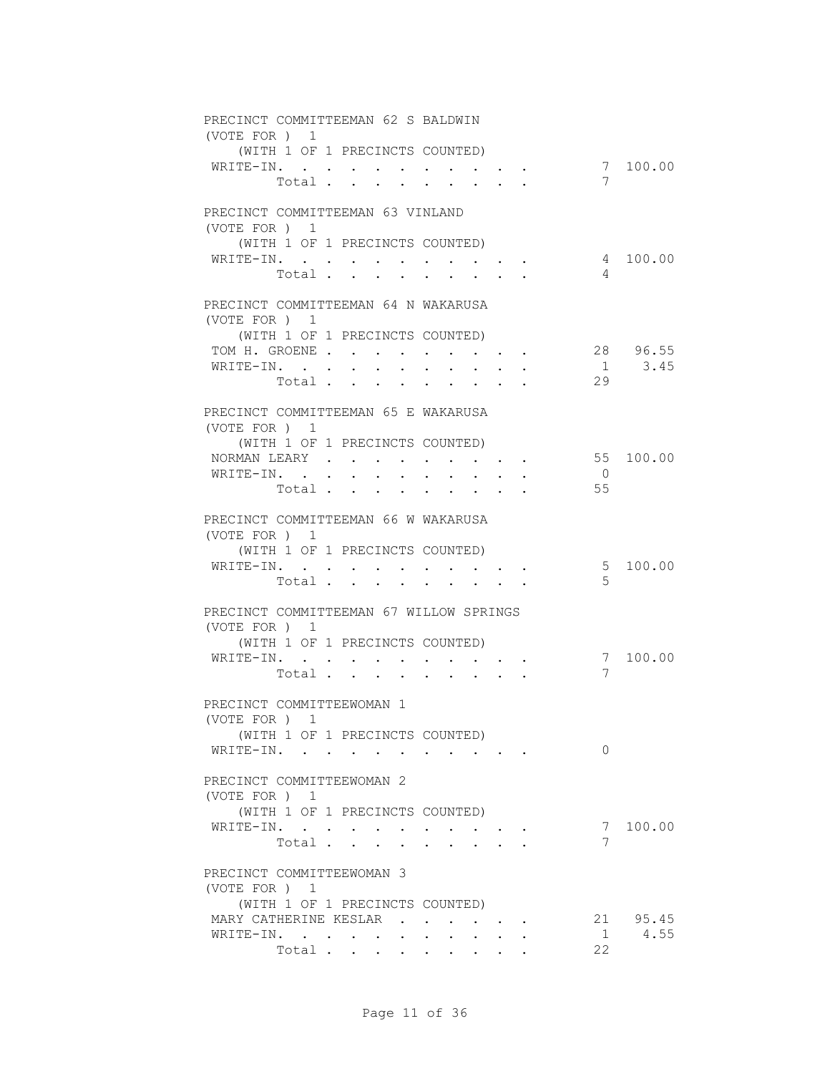| PRECINCT COMMITTEEMAN 62 S BALDWIN<br>(VOTE FOR ) 1                                                                                                                                                                                             |                |             |
|-------------------------------------------------------------------------------------------------------------------------------------------------------------------------------------------------------------------------------------------------|----------------|-------------|
| (WITH 1 OF 1 PRECINCTS COUNTED)                                                                                                                                                                                                                 |                |             |
| WRITE-IN.<br>$\bullet$ . In the case of the contract of the contract of the contract of the contract of the contract of the contract of the contract of the contract of the contract of the contract of the contract of the contract of the con |                | 7 100.00    |
| Total.<br>$\mathbf{L}$<br>$\sim$                                                                                                                                                                                                                | 7              |             |
|                                                                                                                                                                                                                                                 |                |             |
| PRECINCT COMMITTEEMAN 63 VINLAND                                                                                                                                                                                                                |                |             |
| (VOTE FOR ) 1                                                                                                                                                                                                                                   |                |             |
| (WITH 1 OF 1 PRECINCTS COUNTED)                                                                                                                                                                                                                 |                |             |
| WRITE-IN.                                                                                                                                                                                                                                       |                | 4 100.00    |
| Total                                                                                                                                                                                                                                           | 4              |             |
| PRECINCT COMMITTEEMAN 64 N WAKARUSA                                                                                                                                                                                                             |                |             |
| (VOTE FOR ) 1                                                                                                                                                                                                                                   |                |             |
| (WITH 1 OF 1 PRECINCTS COUNTED)                                                                                                                                                                                                                 |                |             |
| TOM H. GROENE                                                                                                                                                                                                                                   |                | 28 96.55    |
| WRITE-IN.                                                                                                                                                                                                                                       |                | $1 \t3.45$  |
| Total                                                                                                                                                                                                                                           | 29             |             |
|                                                                                                                                                                                                                                                 |                |             |
| PRECINCT COMMITTEEMAN 65 E WAKARUSA<br>(VOTE FOR ) 1                                                                                                                                                                                            |                |             |
| (WITH 1 OF 1 PRECINCTS COUNTED)                                                                                                                                                                                                                 |                |             |
| NORMAN LEARY                                                                                                                                                                                                                                    |                | 55 100.00   |
| WRITE-IN.<br>$\mathbf{r}$ , $\mathbf{r}$ , $\mathbf{r}$ , $\mathbf{r}$                                                                                                                                                                          | $\overline{0}$ |             |
| Total                                                                                                                                                                                                                                           | 55             |             |
|                                                                                                                                                                                                                                                 |                |             |
| PRECINCT COMMITTEEMAN 66 W WAKARUSA                                                                                                                                                                                                             |                |             |
| (VOTE FOR ) 1                                                                                                                                                                                                                                   |                |             |
| (WITH 1 OF 1 PRECINCTS COUNTED)                                                                                                                                                                                                                 |                | 5 100.00    |
| WRITE-IN.<br>Total<br>$\sim$<br>$\sim 10^{-11}$<br>$\sim$                                                                                                                                                                                       | $5^{\circ}$    |             |
|                                                                                                                                                                                                                                                 |                |             |
| PRECINCT COMMITTEEMAN 67 WILLOW SPRINGS                                                                                                                                                                                                         |                |             |
| (VOTE FOR ) 1                                                                                                                                                                                                                                   |                |             |
| (WITH 1 OF 1 PRECINCTS COUNTED)                                                                                                                                                                                                                 |                |             |
| WRITE-IN.                                                                                                                                                                                                                                       |                | 7 100.00    |
| Total                                                                                                                                                                                                                                           | 7              |             |
| PRECINCT COMMITTEEWOMAN 1                                                                                                                                                                                                                       |                |             |
| (VOTE FOR ) 1                                                                                                                                                                                                                                   |                |             |
| (WITH 1 OF 1 PRECINCTS COUNTED)                                                                                                                                                                                                                 |                |             |
| WRITE-IN.<br>$\sim$ $\sim$ $\sim$ $\sim$ $\sim$                                                                                                                                                                                                 | $\Omega$       |             |
|                                                                                                                                                                                                                                                 |                |             |
| PRECINCT COMMITTEEWOMAN 2                                                                                                                                                                                                                       |                |             |
| (VOTE FOR ) 1                                                                                                                                                                                                                                   |                |             |
| (WITH 1 OF 1 PRECINCTS COUNTED)                                                                                                                                                                                                                 |                |             |
| WRITE-IN.<br>Total<br>$\ddot{\phantom{a}}$                                                                                                                                                                                                      | 7              | 7 100.00    |
|                                                                                                                                                                                                                                                 |                |             |
| PRECINCT COMMITTEEWOMAN 3                                                                                                                                                                                                                       |                |             |
| (VOTE FOR ) 1                                                                                                                                                                                                                                   |                |             |
| (WITH 1 OF 1 PRECINCTS COUNTED)                                                                                                                                                                                                                 |                |             |
| MARY CATHERINE KESLAR                                                                                                                                                                                                                           |                | 21 95.45    |
| WRITE-IN.                                                                                                                                                                                                                                       |                | $1 \t 4.55$ |
| Total                                                                                                                                                                                                                                           | 22             |             |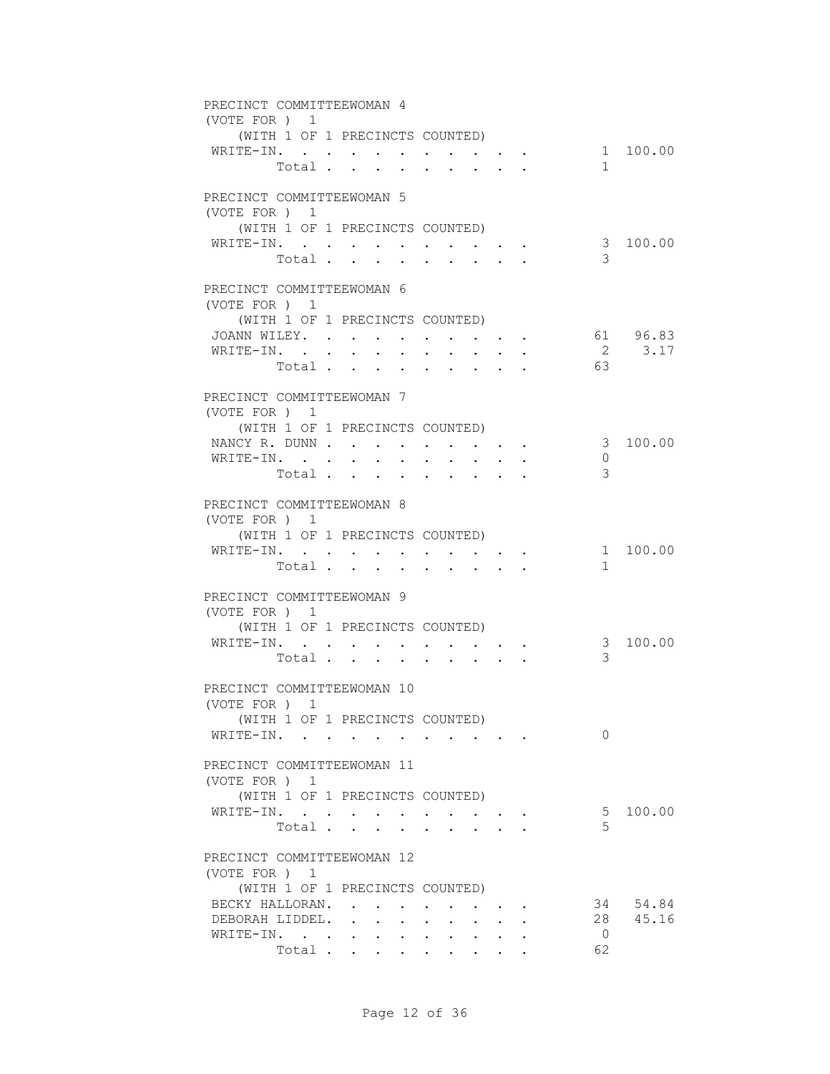| PRECINCT COMMITTEEWOMAN 4  |                                 |                           |                                     |        |                                                                  |                                                                                              |                |          |
|----------------------------|---------------------------------|---------------------------|-------------------------------------|--------|------------------------------------------------------------------|----------------------------------------------------------------------------------------------|----------------|----------|
| (VOTE FOR ) 1              |                                 |                           |                                     |        |                                                                  |                                                                                              |                |          |
| WRITE-IN.                  | (WITH 1 OF 1 PRECINCTS COUNTED) |                           |                                     |        |                                                                  |                                                                                              |                | 1 100.00 |
|                            | Total                           |                           |                                     |        |                                                                  |                                                                                              | 1              |          |
|                            |                                 |                           |                                     |        | $\mathbf{r}$ , $\mathbf{r}$ , $\mathbf{r}$ , $\mathbf{r}$        |                                                                                              |                |          |
| PRECINCT COMMITTEEWOMAN 5  |                                 |                           |                                     |        |                                                                  |                                                                                              |                |          |
| (VOTE FOR ) 1              |                                 |                           |                                     |        |                                                                  |                                                                                              |                |          |
|                            | (WITH 1 OF 1 PRECINCTS COUNTED) |                           |                                     |        |                                                                  |                                                                                              |                |          |
| WRITE-IN.                  |                                 |                           |                                     |        |                                                                  | $\mathcal{L}(\mathcal{A})$ , and $\mathcal{A}(\mathcal{A})$ , and $\mathcal{A}(\mathcal{A})$ |                | 3 100.00 |
|                            | Total .                         | $\mathbf{r} = \mathbf{r}$ | $\sim$                              | $\sim$ | $\sim$                                                           |                                                                                              | 3              |          |
|                            |                                 |                           |                                     |        |                                                                  |                                                                                              |                |          |
| PRECINCT COMMITTEEWOMAN 6  |                                 |                           |                                     |        |                                                                  |                                                                                              |                |          |
| (VOTE FOR ) 1              |                                 |                           |                                     |        |                                                                  |                                                                                              |                |          |
| JOANN WILEY.               | (WITH 1 OF 1 PRECINCTS COUNTED) |                           |                                     |        |                                                                  |                                                                                              |                | 61 96.83 |
| WRITE-IN.                  |                                 |                           |                                     |        |                                                                  |                                                                                              |                | 2 3.17   |
|                            | Total                           |                           |                                     |        |                                                                  |                                                                                              | 63             |          |
|                            |                                 |                           |                                     |        |                                                                  |                                                                                              |                |          |
| PRECINCT COMMITTEEWOMAN 7  |                                 |                           |                                     |        |                                                                  |                                                                                              |                |          |
| (VOTE FOR ) 1              |                                 |                           |                                     |        |                                                                  |                                                                                              |                |          |
|                            | (WITH 1 OF 1 PRECINCTS COUNTED) |                           |                                     |        |                                                                  |                                                                                              |                |          |
| NANCY R. DUNN              |                                 |                           |                                     |        |                                                                  |                                                                                              |                | 3 100.00 |
| WRITE-IN.                  |                                 |                           |                                     |        |                                                                  |                                                                                              | 0              |          |
|                            | Total                           |                           |                                     |        |                                                                  |                                                                                              | 3              |          |
| PRECINCT COMMITTEEWOMAN 8  |                                 |                           |                                     |        |                                                                  |                                                                                              |                |          |
| (VOTE FOR ) 1              |                                 |                           |                                     |        |                                                                  |                                                                                              |                |          |
|                            | (WITH 1 OF 1 PRECINCTS COUNTED) |                           |                                     |        |                                                                  |                                                                                              |                |          |
| WRITE-IN.                  |                                 |                           | $\bullet$ .<br><br><br><br><br><br> |        |                                                                  | $\bullet$ . In the case of the $\bullet$                                                     |                | 1 100.00 |
|                            | Total                           |                           |                                     |        | $\mathbf{r}$ , $\mathbf{r}$ , $\mathbf{r}$ , $\mathbf{r}$        |                                                                                              | 1              |          |
|                            |                                 |                           |                                     |        |                                                                  |                                                                                              |                |          |
| PRECINCT COMMITTEEWOMAN 9  |                                 |                           |                                     |        |                                                                  |                                                                                              |                |          |
| (VOTE FOR ) 1              |                                 |                           |                                     |        |                                                                  |                                                                                              |                |          |
|                            | (WITH 1 OF 1 PRECINCTS COUNTED) |                           |                                     |        |                                                                  |                                                                                              |                |          |
| WRITE-IN.                  |                                 |                           |                                     |        |                                                                  |                                                                                              | 3              | 3 100.00 |
|                            | Total                           |                           |                                     |        |                                                                  |                                                                                              |                |          |
| PRECINCT COMMITTEEWOMAN 10 |                                 |                           |                                     |        |                                                                  |                                                                                              |                |          |
| (VOTE FOR ) 1              |                                 |                           |                                     |        |                                                                  |                                                                                              |                |          |
|                            | (WITH 1 OF 1 PRECINCTS COUNTED) |                           |                                     |        |                                                                  |                                                                                              |                |          |
| WRITE-IN.                  |                                 |                           |                                     |        |                                                                  |                                                                                              | $\Omega$       |          |
|                            |                                 |                           |                                     |        |                                                                  |                                                                                              |                |          |
| PRECINCT COMMITTEEWOMAN 11 |                                 |                           |                                     |        |                                                                  |                                                                                              |                |          |
| (VOTE FOR ) 1              |                                 |                           |                                     |        |                                                                  |                                                                                              |                |          |
|                            | (WITH 1 OF 1 PRECINCTS COUNTED) |                           |                                     |        |                                                                  |                                                                                              |                | 5 100.00 |
| WRITE-IN.                  | Total                           |                           |                                     |        | $\mathbf{r} = \mathbf{r} + \mathbf{r} + \mathbf{r} + \mathbf{r}$ |                                                                                              | 5              |          |
|                            |                                 |                           |                                     |        | $\ddot{\phantom{0}}$                                             |                                                                                              |                |          |
| PRECINCT COMMITTEEWOMAN 12 |                                 |                           |                                     |        |                                                                  |                                                                                              |                |          |
| (VOTE FOR ) 1              |                                 |                           |                                     |        |                                                                  |                                                                                              |                |          |
|                            | (WITH 1 OF 1 PRECINCTS COUNTED) |                           |                                     |        |                                                                  |                                                                                              |                |          |
| BECKY HALLORAN.            |                                 |                           |                                     |        | and the contract of the contract of                              |                                                                                              |                | 34 54.84 |
| DEBORAH LIDDEL.            |                                 |                           |                                     |        |                                                                  |                                                                                              |                | 28 45.16 |
| WRITE-IN.                  |                                 |                           |                                     |        |                                                                  |                                                                                              | $\overline{0}$ |          |
|                            | Total                           |                           |                                     |        |                                                                  |                                                                                              | 62             |          |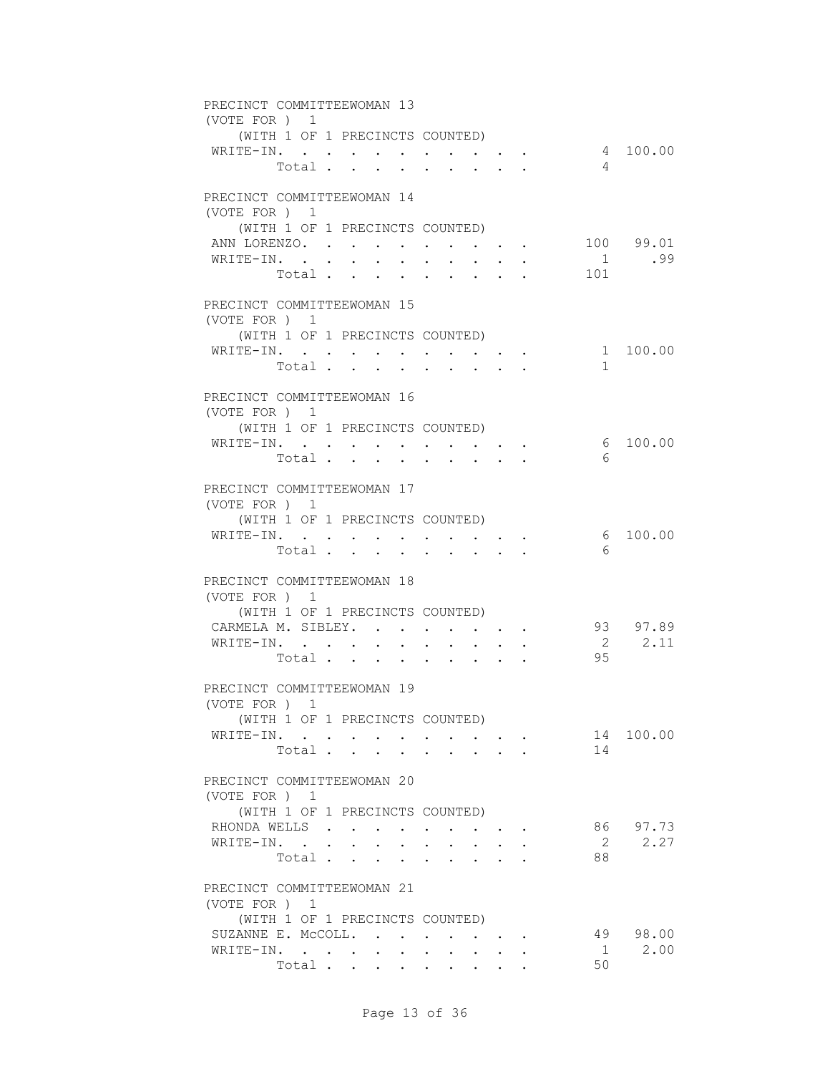| PRECINCT COMMITTEEWOMAN 13 |                                 |                 |                         |        |                               |                                                                                                                           |                                                              |                                                                  |                |            |  |
|----------------------------|---------------------------------|-----------------|-------------------------|--------|-------------------------------|---------------------------------------------------------------------------------------------------------------------------|--------------------------------------------------------------|------------------------------------------------------------------|----------------|------------|--|
| (VOTE FOR ) 1              |                                 |                 |                         |        |                               |                                                                                                                           |                                                              |                                                                  |                |            |  |
| WRITE-IN.                  | (WITH 1 OF 1 PRECINCTS COUNTED) |                 |                         |        |                               |                                                                                                                           |                                                              |                                                                  |                | 4 100.00   |  |
|                            | Total                           |                 |                         |        |                               |                                                                                                                           |                                                              |                                                                  | $\overline{4}$ |            |  |
|                            |                                 |                 |                         |        |                               |                                                                                                                           |                                                              |                                                                  |                |            |  |
| PRECINCT COMMITTEEWOMAN 14 |                                 |                 |                         |        |                               |                                                                                                                           |                                                              |                                                                  |                |            |  |
| (VOTE FOR ) 1              |                                 |                 |                         |        |                               |                                                                                                                           |                                                              |                                                                  |                |            |  |
|                            | (WITH 1 OF 1 PRECINCTS COUNTED) |                 |                         |        |                               |                                                                                                                           |                                                              |                                                                  |                |            |  |
| ANN LORENZO.               |                                 |                 |                         |        |                               |                                                                                                                           |                                                              | $\mathbf{r} = \mathbf{r} + \mathbf{r} + \mathbf{r} + \mathbf{r}$ |                | 100 99.01  |  |
| WRITE-IN. .                |                                 | $\sim 10^{-10}$ | $\sim$<br>$\sim$ $\sim$ | $\sim$ | $\sim$                        | $\ddot{\phantom{0}}$                                                                                                      | $\sim$                                                       |                                                                  | 1              | .99        |  |
|                            | Total                           |                 |                         |        | $\mathbf{L}$ and $\mathbf{L}$ | $\cdot$ $\cdot$ $\cdot$ $\cdot$                                                                                           |                                                              |                                                                  | 101            |            |  |
|                            |                                 |                 |                         |        |                               |                                                                                                                           |                                                              |                                                                  |                |            |  |
| PRECINCT COMMITTEEWOMAN 15 |                                 |                 |                         |        |                               |                                                                                                                           |                                                              |                                                                  |                |            |  |
| (VOTE FOR) 1               |                                 |                 |                         |        |                               |                                                                                                                           |                                                              |                                                                  |                |            |  |
| WRITE-IN.                  | (WITH 1 OF 1 PRECINCTS COUNTED) |                 |                         |        |                               |                                                                                                                           |                                                              |                                                                  |                | 1 100.00   |  |
|                            | Total                           |                 |                         |        |                               |                                                                                                                           |                                                              |                                                                  | $\mathbf{1}$   |            |  |
|                            |                                 |                 |                         |        |                               |                                                                                                                           |                                                              |                                                                  |                |            |  |
| PRECINCT COMMITTEEWOMAN 16 |                                 |                 |                         |        |                               |                                                                                                                           |                                                              |                                                                  |                |            |  |
| (VOTE FOR ) 1              |                                 |                 |                         |        |                               |                                                                                                                           |                                                              |                                                                  |                |            |  |
|                            | (WITH 1 OF 1 PRECINCTS COUNTED) |                 |                         |        |                               |                                                                                                                           |                                                              |                                                                  |                |            |  |
| WRITE-IN.                  |                                 |                 |                         |        |                               |                                                                                                                           |                                                              |                                                                  |                | 6, 100, 00 |  |
|                            | Total                           |                 |                         |        |                               |                                                                                                                           |                                                              |                                                                  | 6              |            |  |
|                            |                                 |                 |                         |        |                               |                                                                                                                           |                                                              |                                                                  |                |            |  |
| PRECINCT COMMITTEEWOMAN 17 |                                 |                 |                         |        |                               |                                                                                                                           |                                                              |                                                                  |                |            |  |
| (VOTE FOR ) 1              | (WITH 1 OF 1 PRECINCTS COUNTED) |                 |                         |        |                               |                                                                                                                           |                                                              |                                                                  |                |            |  |
| WRITE-IN.                  |                                 |                 |                         |        |                               |                                                                                                                           |                                                              |                                                                  |                | 6 100.00   |  |
|                            | Total $\cdots$                  |                 |                         |        | <b>Service</b> State          | $\mathbf{r}$ , $\mathbf{r}$ , $\mathbf{r}$ , $\mathbf{r}$                                                                 |                                                              | $\bullet$ .<br><br><br><br><br><br><br><br><br><br><br><br>      | 6              |            |  |
|                            |                                 |                 |                         |        |                               |                                                                                                                           |                                                              |                                                                  |                |            |  |
| PRECINCT COMMITTEEWOMAN 18 |                                 |                 |                         |        |                               |                                                                                                                           |                                                              |                                                                  |                |            |  |
| (VOTE FOR) 1               |                                 |                 |                         |        |                               |                                                                                                                           |                                                              |                                                                  |                |            |  |
|                            | (WITH 1 OF 1 PRECINCTS COUNTED) |                 |                         |        |                               |                                                                                                                           |                                                              |                                                                  |                |            |  |
| CARMELA M. SIBLEY.         |                                 |                 |                         |        |                               |                                                                                                                           |                                                              |                                                                  |                | 93 97.89   |  |
| WRITE-IN.                  |                                 |                 |                         |        |                               | $\begin{array}{cccccccccccccc} \bullet & \bullet & \bullet & \bullet & \bullet & \bullet & \bullet & \bullet \end{array}$ |                                                              |                                                                  |                | 2 2.11     |  |
|                            | Total                           |                 |                         |        |                               |                                                                                                                           | $\mathbf{L} = \mathbf{L} \mathbf{L} = \mathbf{L} \mathbf{L}$ |                                                                  | 95             |            |  |
| PRECINCT COMMITTEEWOMAN 19 |                                 |                 |                         |        |                               |                                                                                                                           |                                                              |                                                                  |                |            |  |
| (VOTE FOR ) 1              |                                 |                 |                         |        |                               |                                                                                                                           |                                                              |                                                                  |                |            |  |
|                            | (WITH 1 OF 1 PRECINCTS COUNTED) |                 |                         |        |                               |                                                                                                                           |                                                              |                                                                  |                |            |  |
| WRITE-IN.                  |                                 |                 |                         |        |                               |                                                                                                                           |                                                              |                                                                  |                | 14 100.00  |  |
|                            | Total                           |                 |                         |        |                               |                                                                                                                           |                                                              |                                                                  | 14             |            |  |
|                            |                                 |                 |                         |        |                               |                                                                                                                           |                                                              |                                                                  |                |            |  |
| PRECINCT COMMITTEEWOMAN 20 |                                 |                 |                         |        |                               |                                                                                                                           |                                                              |                                                                  |                |            |  |
| (VOTE FOR ) 1              |                                 |                 |                         |        |                               |                                                                                                                           |                                                              |                                                                  |                |            |  |
|                            | (WITH 1 OF 1 PRECINCTS COUNTED) |                 |                         |        |                               |                                                                                                                           |                                                              |                                                                  |                |            |  |
| RHONDA WELLS               |                                 |                 |                         |        |                               |                                                                                                                           |                                                              |                                                                  |                | 86 97.73   |  |
| WRITE-IN.                  |                                 |                 |                         |        |                               | $\mathbf{r} = \mathbf{r} + \mathbf{r}$                                                                                    |                                                              |                                                                  |                | 2<br>2.27  |  |
|                            | Total                           |                 |                         |        |                               |                                                                                                                           |                                                              |                                                                  | 88             |            |  |
| PRECINCT COMMITTEEWOMAN 21 |                                 |                 |                         |        |                               |                                                                                                                           |                                                              |                                                                  |                |            |  |
| (VOTE FOR ) 1              |                                 |                 |                         |        |                               |                                                                                                                           |                                                              |                                                                  |                |            |  |
|                            | (WITH 1 OF 1 PRECINCTS COUNTED) |                 |                         |        |                               |                                                                                                                           |                                                              |                                                                  |                |            |  |
| SUZANNE E. McCOLL.         |                                 |                 |                         |        |                               | $\mathbf{r} = \mathbf{r} + \mathbf{r} + \mathbf{r} + \mathbf{r}$                                                          |                                                              |                                                                  |                | 49 98.00   |  |
| WRITE-IN.                  |                                 |                 | $\sim 100$              | $\sim$ |                               |                                                                                                                           |                                                              |                                                                  | 1              | 2.00       |  |
|                            | Total                           |                 |                         |        |                               |                                                                                                                           |                                                              |                                                                  | 50             |            |  |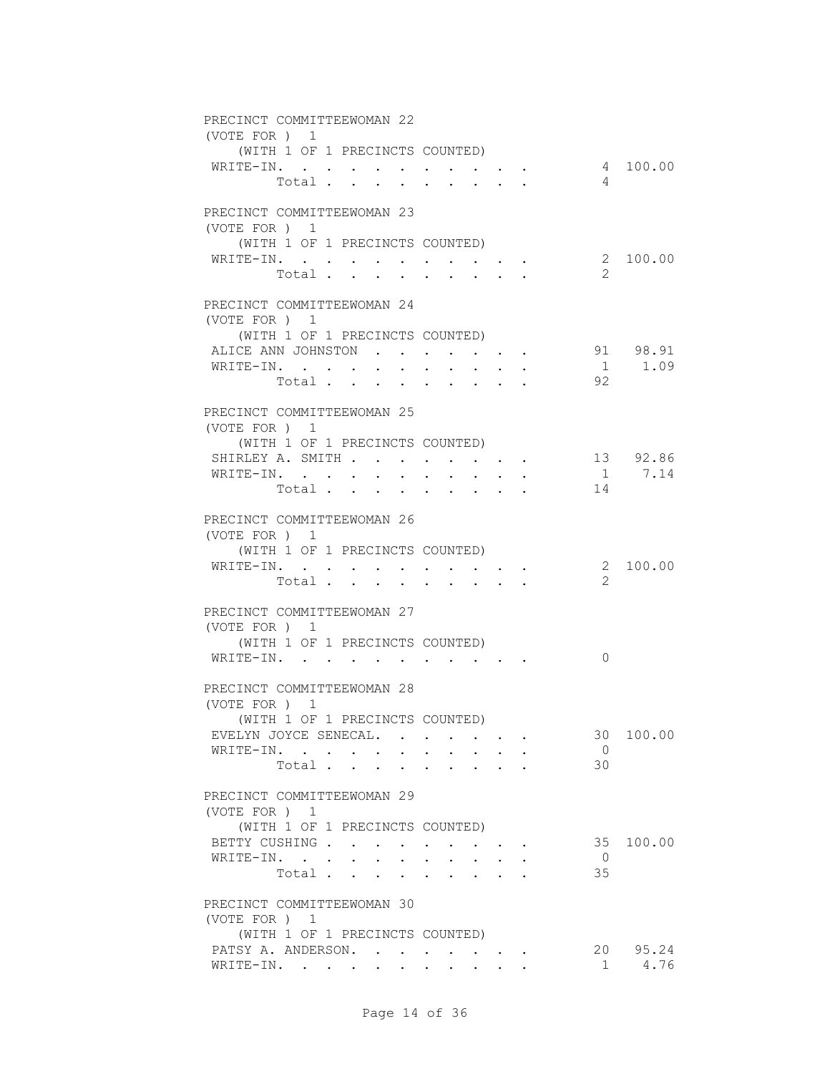| PRECINCT COMMITTEEWOMAN 22                                                                                               |       |        |  |                                                                                                                 |  |                      |                |          |
|--------------------------------------------------------------------------------------------------------------------------|-------|--------|--|-----------------------------------------------------------------------------------------------------------------|--|----------------------|----------------|----------|
| (VOTE FOR ) 1                                                                                                            |       |        |  |                                                                                                                 |  |                      |                |          |
| (WITH 1 OF 1 PRECINCTS COUNTED)                                                                                          |       |        |  |                                                                                                                 |  |                      |                |          |
| WRITE-IN.                                                                                                                |       |        |  |                                                                                                                 |  |                      |                | 4 100.00 |
|                                                                                                                          | Total |        |  |                                                                                                                 |  |                      | $\overline{4}$ |          |
| PRECINCT COMMITTEEWOMAN 23                                                                                               |       |        |  |                                                                                                                 |  |                      |                |          |
| (VOTE FOR ) 1                                                                                                            |       |        |  |                                                                                                                 |  |                      |                |          |
| (WITH 1 OF 1 PRECINCTS COUNTED)                                                                                          |       |        |  |                                                                                                                 |  |                      |                |          |
| WRITE-IN.                                                                                                                |       |        |  |                                                                                                                 |  |                      |                | 2 100.00 |
|                                                                                                                          | Total | $\sim$ |  | $\ddot{\phantom{0}}$                                                                                            |  |                      | 2              |          |
|                                                                                                                          |       |        |  |                                                                                                                 |  |                      |                |          |
| PRECINCT COMMITTEEWOMAN 24                                                                                               |       |        |  |                                                                                                                 |  |                      |                |          |
| (VOTE FOR ) 1                                                                                                            |       |        |  |                                                                                                                 |  |                      |                |          |
| (WITH 1 OF 1 PRECINCTS COUNTED)                                                                                          |       |        |  |                                                                                                                 |  |                      |                |          |
| ALICE ANN JOHNSTON                                                                                                       |       |        |  |                                                                                                                 |  |                      |                | 91 98.91 |
| WRITE-IN.                                                                                                                |       |        |  | $\mathbf{r} = \mathbf{r} + \mathbf{r} + \mathbf{r} + \mathbf{r}$                                                |  |                      |                | 1 1.09   |
|                                                                                                                          | Total |        |  |                                                                                                                 |  |                      | 92             |          |
| PRECINCT COMMITTEEWOMAN 25                                                                                               |       |        |  |                                                                                                                 |  |                      |                |          |
| (VOTE FOR ) 1                                                                                                            |       |        |  |                                                                                                                 |  |                      |                |          |
| (WITH 1 OF 1 PRECINCTS COUNTED)                                                                                          |       |        |  |                                                                                                                 |  |                      |                |          |
| SHIRLEY A. SMITH 13 92.86                                                                                                |       |        |  |                                                                                                                 |  |                      |                |          |
| WRITE-IN.                                                                                                                |       |        |  |                                                                                                                 |  |                      |                | 1 7.14   |
|                                                                                                                          | Total |        |  |                                                                                                                 |  | 14                   |                |          |
|                                                                                                                          |       |        |  |                                                                                                                 |  |                      |                |          |
| PRECINCT COMMITTEEWOMAN 26                                                                                               |       |        |  |                                                                                                                 |  |                      |                |          |
| (VOTE FOR ) 1                                                                                                            |       |        |  |                                                                                                                 |  |                      |                |          |
| (WITH 1 OF 1 PRECINCTS COUNTED)                                                                                          |       |        |  |                                                                                                                 |  |                      |                |          |
| WRITE-IN.                                                                                                                | Total |        |  | $\begin{array}{cccccccccccccc} \bullet & \bullet & \bullet & \bullet & \bullet & \bullet & \bullet \end{array}$ |  |                      | $\overline{2}$ | 2 100.00 |
|                                                                                                                          |       |        |  |                                                                                                                 |  |                      |                |          |
| PRECINCT COMMITTEEWOMAN 27                                                                                               |       |        |  |                                                                                                                 |  |                      |                |          |
| (VOTE FOR ) 1                                                                                                            |       |        |  |                                                                                                                 |  |                      |                |          |
| (WITH 1 OF 1 PRECINCTS COUNTED)                                                                                          |       |        |  |                                                                                                                 |  |                      |                |          |
| $\mathtt{WRITE{\text{-}IN.}} \qquad \qquad \ldots \qquad \qquad \ldots \qquad \qquad \ldots \qquad \ldots \qquad \ldots$ |       |        |  |                                                                                                                 |  |                      | $\Omega$       |          |
|                                                                                                                          |       |        |  |                                                                                                                 |  |                      |                |          |
| PRECINCT COMMITTEEWOMAN 28                                                                                               |       |        |  |                                                                                                                 |  |                      |                |          |
| (VOTE FOR ) 1                                                                                                            |       |        |  |                                                                                                                 |  |                      |                |          |
| (WITH 1 OF 1 PRECINCTS COUNTED)                                                                                          |       |        |  |                                                                                                                 |  |                      |                |          |
| EVELYN JOYCE SENECAL.                                                                                                    |       |        |  |                                                                                                                 |  |                      | 30             | 100.00   |
| WRITE-IN.                                                                                                                |       |        |  |                                                                                                                 |  | $\overline{0}$<br>30 |                |          |
|                                                                                                                          | Total |        |  |                                                                                                                 |  |                      |                |          |
| PRECINCT COMMITTEEWOMAN 29                                                                                               |       |        |  |                                                                                                                 |  |                      |                |          |
| (VOTE FOR ) 1                                                                                                            |       |        |  |                                                                                                                 |  |                      |                |          |
| (WITH 1 OF 1 PRECINCTS COUNTED)                                                                                          |       |        |  |                                                                                                                 |  |                      |                |          |
| BETTY CUSHING                                                                                                            |       |        |  |                                                                                                                 |  |                      | 35             | 100.00   |
| WRITE-IN.                                                                                                                |       |        |  | $\cdot$ $\cdot$ $\cdot$ $\cdot$                                                                                 |  | $\overline{0}$       |                |          |
|                                                                                                                          | Total |        |  |                                                                                                                 |  | 35                   |                |          |
|                                                                                                                          |       |        |  |                                                                                                                 |  |                      |                |          |
| PRECINCT COMMITTEEWOMAN 30                                                                                               |       |        |  |                                                                                                                 |  |                      |                |          |
| (VOTE FOR ) 1                                                                                                            |       |        |  |                                                                                                                 |  |                      |                |          |
| (WITH 1 OF 1 PRECINCTS COUNTED)<br>PATSY A. ANDERSON.                                                                    |       |        |  |                                                                                                                 |  |                      |                | 20 95.24 |
| WRITE-IN.                                                                                                                |       |        |  |                                                                                                                 |  |                      | 1              | 4.76     |
|                                                                                                                          |       |        |  |                                                                                                                 |  |                      |                |          |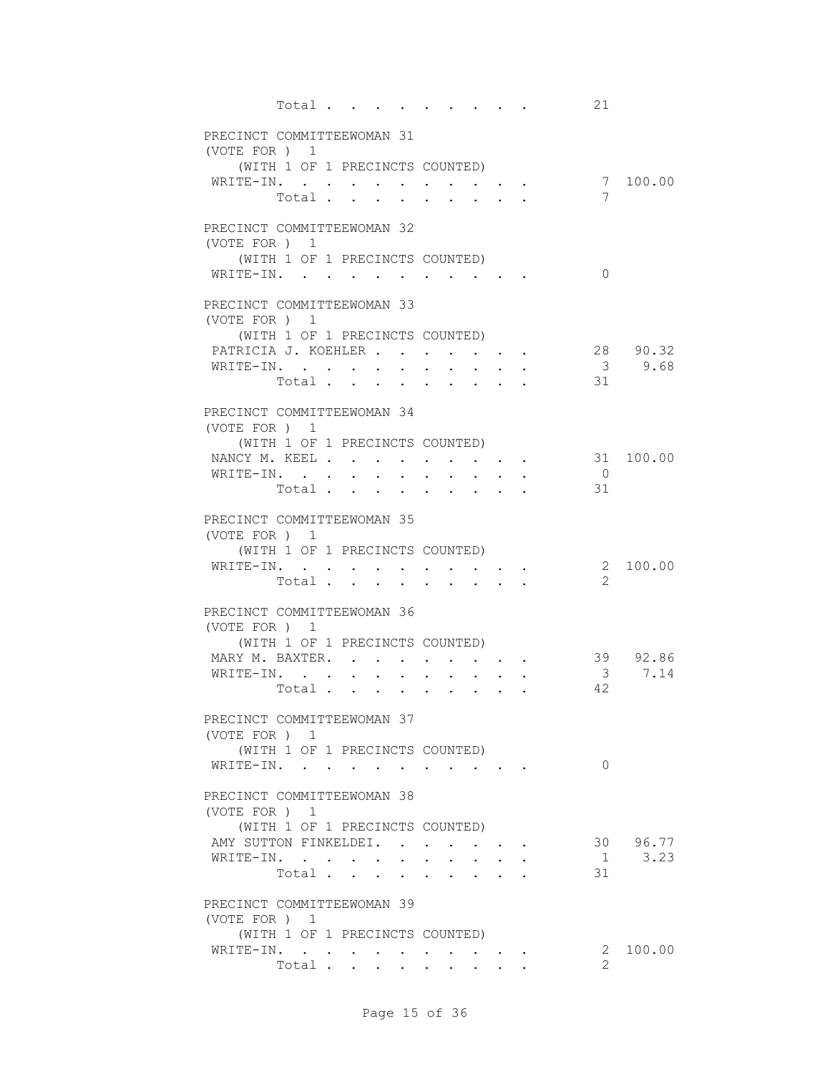|               | Total                                        |                          |                  |                                                             |                                                             | $\sim$ , and $\sim$ , and $\sim$ , and $\sim$                                                                             |                                 |  | 21                       |          |
|---------------|----------------------------------------------|--------------------------|------------------|-------------------------------------------------------------|-------------------------------------------------------------|---------------------------------------------------------------------------------------------------------------------------|---------------------------------|--|--------------------------|----------|
|               | PRECINCT COMMITTEEWOMAN 31<br>(VOTE FOR ) 1  |                          |                  |                                                             |                                                             |                                                                                                                           |                                 |  |                          |          |
|               | (WITH 1 OF 1 PRECINCTS COUNTED)<br>WRITE-IN. |                          |                  |                                                             |                                                             |                                                                                                                           |                                 |  |                          | 7 100.00 |
|               | Total $\cdots$                               |                          |                  |                                                             |                                                             | $\cdot$ $\cdot$ $\cdot$ $\cdot$ $\cdot$                                                                                   |                                 |  | 7                        |          |
| (VOTE FOR ) 1 | PRECINCT COMMITTEEWOMAN 32                   |                          |                  |                                                             |                                                             |                                                                                                                           |                                 |  |                          |          |
|               | (WITH 1 OF 1 PRECINCTS COUNTED)<br>WRITE-IN. | <b>Contract Contract</b> | $\sim$ 100 $\mu$ |                                                             |                                                             | $\mathbf{a}$ and $\mathbf{a}$ and $\mathbf{a}$                                                                            |                                 |  | $\Omega$                 |          |
|               | PRECINCT COMMITTEEWOMAN 33<br>(VOTE FOR ) 1  |                          |                  |                                                             |                                                             |                                                                                                                           |                                 |  |                          |          |
|               | (WITH 1 OF 1 PRECINCTS COUNTED)              |                          |                  |                                                             |                                                             |                                                                                                                           |                                 |  |                          |          |
|               | PATRICIA J. KOEHLER                          |                          |                  |                                                             |                                                             | $\begin{array}{cccccccccccccc} \bullet & \bullet & \bullet & \bullet & \bullet & \bullet & \bullet & \bullet \end{array}$ |                                 |  |                          | 28 90.32 |
|               | WRITE-IN.                                    |                          |                  |                                                             |                                                             |                                                                                                                           | $\mathbf{L}$ and $\mathbf{L}$   |  |                          | 3, 9.68  |
|               | Total                                        |                          |                  |                                                             |                                                             | $\cdot$ $\cdot$ $\cdot$ $\cdot$ $\cdot$                                                                                   |                                 |  | 31                       |          |
|               | PRECINCT COMMITTEEWOMAN 34<br>(VOTE FOR ) 1  |                          |                  |                                                             |                                                             |                                                                                                                           |                                 |  |                          |          |
|               | (WITH 1 OF 1 PRECINCTS COUNTED)              |                          |                  |                                                             |                                                             |                                                                                                                           |                                 |  |                          |          |
|               | NANCY M. KEEL 31 100.00                      |                          |                  |                                                             |                                                             |                                                                                                                           |                                 |  |                          |          |
|               | WRITE-IN.                                    |                          |                  |                                                             |                                                             |                                                                                                                           |                                 |  | $\overline{\phantom{0}}$ |          |
|               | Total                                        |                          |                  |                                                             |                                                             |                                                                                                                           |                                 |  | 31                       |          |
|               | PRECINCT COMMITTEEWOMAN 35<br>(VOTE FOR ) 1  |                          |                  |                                                             |                                                             |                                                                                                                           |                                 |  |                          |          |
|               | (WITH 1 OF 1 PRECINCTS COUNTED)              |                          |                  |                                                             |                                                             |                                                                                                                           |                                 |  |                          |          |
|               | WRITE-IN.                                    |                          | $\sim$           | $\bullet$ .<br><br><br><br><br><br><br><br><br><br><br><br> |                                                             |                                                                                                                           | $\cdot$ $\cdot$ $\cdot$ $\cdot$ |  |                          | 2 100.00 |
|               | Total                                        |                          |                  |                                                             | $\mathbf{r}$                                                | $\sim$ $\sim$ $\sim$ $\sim$ $\sim$                                                                                        |                                 |  | 2                        |          |
|               | PRECINCT COMMITTEEWOMAN 36                   |                          |                  |                                                             |                                                             |                                                                                                                           |                                 |  |                          |          |
|               | (VOTE FOR ) 1                                |                          |                  |                                                             |                                                             |                                                                                                                           |                                 |  |                          |          |
|               | (WITH 1 OF 1 PRECINCTS COUNTED)              |                          |                  |                                                             |                                                             |                                                                                                                           |                                 |  |                          |          |
|               | MARY M. BAXTER. .                            |                          |                  |                                                             |                                                             |                                                                                                                           |                                 |  |                          | 39 92.86 |
|               | WRITE-IN.                                    | $\ddot{\phantom{a}}$     |                  |                                                             |                                                             |                                                                                                                           |                                 |  | $\overline{\mathbf{3}}$  | 7.14     |
|               | Total                                        |                          | $\sim$ 100 $\pm$ | $\sim$                                                      | $\bullet$ .<br><br><br><br><br><br><br><br><br><br><br><br> | $\bullet$ .<br><br><br><br><br><br><br><br><br><br><br><br>                                                               |                                 |  | 42                       |          |
|               | PRECINCT COMMITTEEWOMAN 37                   |                          |                  |                                                             |                                                             |                                                                                                                           |                                 |  |                          |          |
|               | (VOTE FOR) 1                                 |                          |                  |                                                             |                                                             |                                                                                                                           |                                 |  |                          |          |
|               | (WITH 1 OF 1 PRECINCTS COUNTED)              |                          |                  |                                                             |                                                             |                                                                                                                           |                                 |  |                          |          |
|               | WRITE-IN.                                    |                          |                  |                                                             |                                                             |                                                                                                                           |                                 |  | $\Omega$                 |          |
|               | PRECINCT COMMITTEEWOMAN 38                   |                          |                  |                                                             |                                                             |                                                                                                                           |                                 |  |                          |          |
|               | (VOTE FOR ) 1                                |                          |                  |                                                             |                                                             |                                                                                                                           |                                 |  |                          |          |
|               | (WITH 1 OF 1 PRECINCTS COUNTED)              |                          |                  |                                                             |                                                             |                                                                                                                           |                                 |  |                          |          |
|               | AMY SUTTON FINKELDEI.                        |                          |                  |                                                             |                                                             |                                                                                                                           |                                 |  |                          | 30 96.77 |
|               | WRITE-IN.                                    |                          |                  |                                                             | $\sim$ $\sim$                                               |                                                                                                                           |                                 |  |                          | 1 3.23   |
|               | Total                                        |                          |                  |                                                             |                                                             |                                                                                                                           |                                 |  | 31                       |          |
|               | PRECINCT COMMITTEEWOMAN 39                   |                          |                  |                                                             |                                                             |                                                                                                                           |                                 |  |                          |          |
| (VOTE FOR ) 1 |                                              |                          |                  |                                                             |                                                             |                                                                                                                           |                                 |  |                          |          |
|               | (WITH 1 OF 1 PRECINCTS COUNTED)              |                          |                  |                                                             |                                                             |                                                                                                                           |                                 |  |                          |          |
|               | WRITE-IN.                                    |                          |                  |                                                             |                                                             |                                                                                                                           |                                 |  |                          | 2 100.00 |
|               | Total                                        |                          |                  |                                                             |                                                             |                                                                                                                           |                                 |  | $\overline{2}$           |          |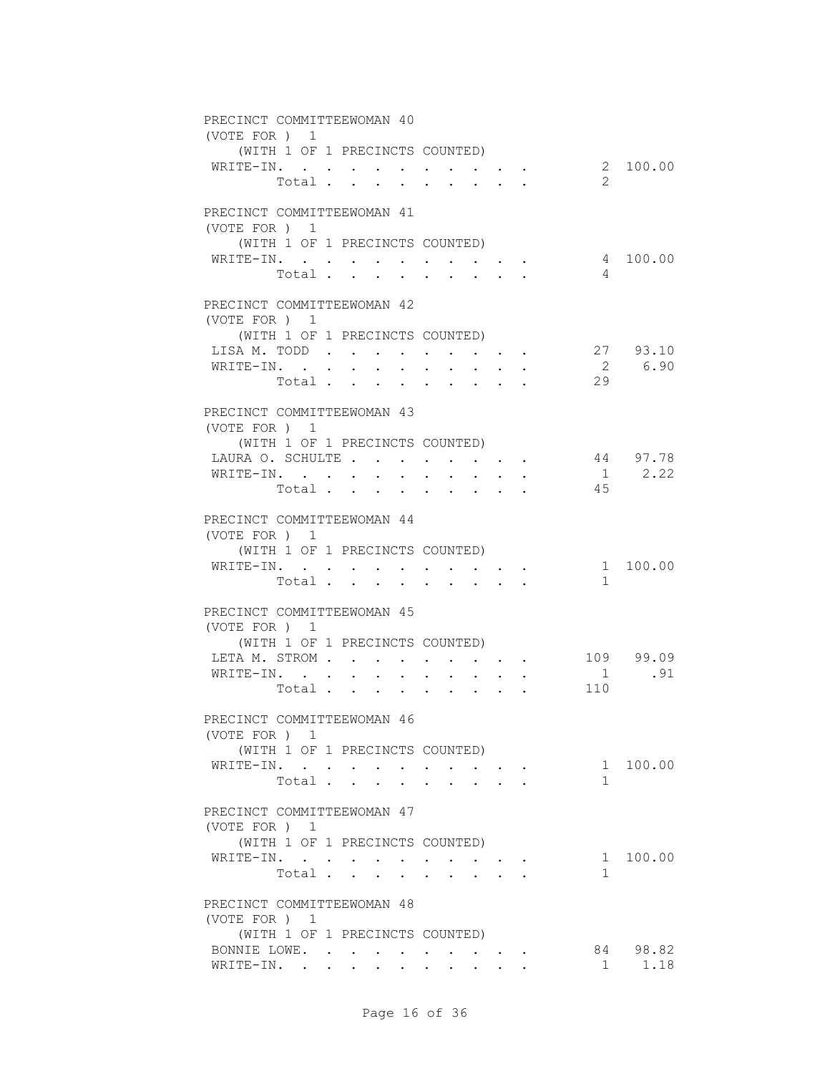| PRECINCT COMMITTEEWOMAN 40<br>(VOTE FOR ) 1 |       |  |        |                                                                         |        |                                                                                                                                                                                                                                    |                                        |                                                             |                           |             |
|---------------------------------------------|-------|--|--------|-------------------------------------------------------------------------|--------|------------------------------------------------------------------------------------------------------------------------------------------------------------------------------------------------------------------------------------|----------------------------------------|-------------------------------------------------------------|---------------------------|-------------|
| (WITH 1 OF 1 PRECINCTS COUNTED)             |       |  |        |                                                                         |        |                                                                                                                                                                                                                                    |                                        |                                                             |                           |             |
| WRITE-IN.                                   |       |  |        |                                                                         |        |                                                                                                                                                                                                                                    |                                        |                                                             |                           | 2 100.00    |
|                                             | Total |  |        |                                                                         |        |                                                                                                                                                                                                                                    |                                        |                                                             | $\overline{2}$            |             |
|                                             |       |  |        |                                                                         |        |                                                                                                                                                                                                                                    |                                        |                                                             |                           |             |
| PRECINCT COMMITTEEWOMAN 41                  |       |  |        |                                                                         |        |                                                                                                                                                                                                                                    |                                        |                                                             |                           |             |
| (VOTE FOR ) 1                               |       |  |        |                                                                         |        |                                                                                                                                                                                                                                    |                                        |                                                             |                           |             |
| (WITH 1 OF 1 PRECINCTS COUNTED)             |       |  |        |                                                                         |        |                                                                                                                                                                                                                                    |                                        |                                                             |                           |             |
| WRITE-IN.                                   |       |  |        |                                                                         |        |                                                                                                                                                                                                                                    |                                        |                                                             |                           | 4 100.00    |
|                                             | Total |  | $\sim$ | $\sim$                                                                  |        | $\sim$ 100 $\pm$                                                                                                                                                                                                                   |                                        |                                                             | 4                         |             |
|                                             |       |  |        |                                                                         |        |                                                                                                                                                                                                                                    |                                        |                                                             |                           |             |
| PRECINCT COMMITTEEWOMAN 42                  |       |  |        |                                                                         |        |                                                                                                                                                                                                                                    |                                        |                                                             |                           |             |
| (VOTE FOR ) 1                               |       |  |        |                                                                         |        |                                                                                                                                                                                                                                    |                                        |                                                             |                           |             |
| (WITH 1 OF 1 PRECINCTS COUNTED)             |       |  |        |                                                                         |        |                                                                                                                                                                                                                                    |                                        |                                                             |                           |             |
| LISA M. TODD.                               |       |  |        |                                                                         |        |                                                                                                                                                                                                                                    |                                        |                                                             |                           | 27 93.10    |
| WRITE-IN.                                   |       |  |        |                                                                         |        |                                                                                                                                                                                                                                    |                                        |                                                             |                           | 2 6.90      |
|                                             | Total |  |        |                                                                         |        |                                                                                                                                                                                                                                    |                                        |                                                             | 29                        |             |
|                                             |       |  |        |                                                                         |        |                                                                                                                                                                                                                                    |                                        |                                                             |                           |             |
| PRECINCT COMMITTEEWOMAN 43                  |       |  |        |                                                                         |        |                                                                                                                                                                                                                                    |                                        |                                                             |                           |             |
| (VOTE FOR ) 1                               |       |  |        |                                                                         |        |                                                                                                                                                                                                                                    |                                        |                                                             |                           |             |
| (WITH 1 OF 1 PRECINCTS COUNTED)             |       |  |        |                                                                         |        |                                                                                                                                                                                                                                    |                                        |                                                             |                           |             |
|                                             |       |  |        |                                                                         |        |                                                                                                                                                                                                                                    |                                        |                                                             | LAURA O. SCHULTE 44 97.78 |             |
| WRITE-IN.                                   |       |  |        |                                                                         |        |                                                                                                                                                                                                                                    |                                        |                                                             |                           | $1 \t 2.22$ |
|                                             | Total |  |        |                                                                         |        |                                                                                                                                                                                                                                    |                                        |                                                             | 45                        |             |
|                                             |       |  |        |                                                                         |        |                                                                                                                                                                                                                                    |                                        |                                                             |                           |             |
| PRECINCT COMMITTEEWOMAN 44                  |       |  |        |                                                                         |        |                                                                                                                                                                                                                                    |                                        |                                                             |                           |             |
| (VOTE FOR ) 1                               |       |  |        |                                                                         |        |                                                                                                                                                                                                                                    |                                        |                                                             |                           |             |
| (WITH 1 OF 1 PRECINCTS COUNTED)             |       |  |        |                                                                         |        |                                                                                                                                                                                                                                    |                                        |                                                             |                           |             |
| WRITE-IN.                                   |       |  |        | $\bullet$ .<br><br><br><br><br><br><br><br><br><br><br><br><br><br><br> |        |                                                                                                                                                                                                                                    |                                        | $\bullet$ .<br><br><br><br><br><br><br><br><br><br><br><br> |                           | 1 100.00    |
|                                             | Total |  |        |                                                                         |        |                                                                                                                                                                                                                                    |                                        |                                                             | $\mathbf{1}$              |             |
|                                             |       |  |        |                                                                         |        |                                                                                                                                                                                                                                    |                                        |                                                             |                           |             |
| PRECINCT COMMITTEEWOMAN 45                  |       |  |        |                                                                         |        |                                                                                                                                                                                                                                    |                                        |                                                             |                           |             |
| (VOTE FOR ) 1                               |       |  |        |                                                                         |        |                                                                                                                                                                                                                                    |                                        |                                                             |                           |             |
| (WITH 1 OF 1 PRECINCTS COUNTED)             |       |  |        |                                                                         |        |                                                                                                                                                                                                                                    |                                        |                                                             |                           |             |
| LETA M. STROM                               |       |  |        |                                                                         |        | $\bullet$ . In the case of the contract of the contract of the contract of the contract of the contract of the contract of the contract of the contract of the contract of the contract of the contract of the contract of the con |                                        |                                                             |                           | 109 99.09   |
| WRITE-IN.                                   |       |  | $\sim$ |                                                                         |        |                                                                                                                                                                                                                                    | $\mathbf{L}$ . The set of $\mathbf{L}$ |                                                             | 1                         | .91         |
|                                             | Total |  |        |                                                                         | $\sim$ | $\mathbf{r} = \mathbf{r} + \mathbf{r} + \mathbf{r}$ .                                                                                                                                                                              |                                        |                                                             | 110                       |             |
|                                             |       |  |        |                                                                         |        |                                                                                                                                                                                                                                    |                                        |                                                             |                           |             |
| PRECINCT COMMITTEEWOMAN 46                  |       |  |        |                                                                         |        |                                                                                                                                                                                                                                    |                                        |                                                             |                           |             |
| (VOTE FOR ) 1                               |       |  |        |                                                                         |        |                                                                                                                                                                                                                                    |                                        |                                                             |                           |             |
| (WITH 1 OF 1 PRECINCTS COUNTED)             |       |  |        |                                                                         |        |                                                                                                                                                                                                                                    |                                        |                                                             |                           |             |
| WRITE-IN.                                   |       |  |        |                                                                         |        |                                                                                                                                                                                                                                    |                                        |                                                             |                           | 1 100.00    |
|                                             | Total |  |        |                                                                         |        |                                                                                                                                                                                                                                    |                                        |                                                             | 1.                        |             |
|                                             |       |  |        |                                                                         |        |                                                                                                                                                                                                                                    |                                        |                                                             |                           |             |
| PRECINCT COMMITTEEWOMAN 47                  |       |  |        |                                                                         |        |                                                                                                                                                                                                                                    |                                        |                                                             |                           |             |
| (VOTE FOR ) 1                               |       |  |        |                                                                         |        |                                                                                                                                                                                                                                    |                                        |                                                             |                           |             |
| (WITH 1 OF 1 PRECINCTS COUNTED)             |       |  |        |                                                                         |        |                                                                                                                                                                                                                                    |                                        |                                                             |                           |             |
| WRITE-IN.                                   |       |  |        |                                                                         |        |                                                                                                                                                                                                                                    |                                        |                                                             |                           | 1 100.00    |
|                                             | Total |  |        |                                                                         |        |                                                                                                                                                                                                                                    |                                        |                                                             | $\mathbf{1}$              |             |
|                                             |       |  |        |                                                                         |        |                                                                                                                                                                                                                                    |                                        |                                                             |                           |             |
| PRECINCT COMMITTEEWOMAN 48                  |       |  |        |                                                                         |        |                                                                                                                                                                                                                                    |                                        |                                                             |                           |             |
|                                             |       |  |        |                                                                         |        |                                                                                                                                                                                                                                    |                                        |                                                             |                           |             |
| (VOTE FOR ) 1                               |       |  |        |                                                                         |        |                                                                                                                                                                                                                                    |                                        |                                                             |                           |             |
| (WITH 1 OF 1 PRECINCTS COUNTED)             |       |  |        |                                                                         |        |                                                                                                                                                                                                                                    |                                        |                                                             |                           | 84 98.82    |
| BONNIE LOWE.                                |       |  |        |                                                                         |        |                                                                                                                                                                                                                                    |                                        |                                                             | 1                         | 1.18        |
| WRITE-IN.                                   |       |  |        |                                                                         |        |                                                                                                                                                                                                                                    |                                        |                                                             |                           |             |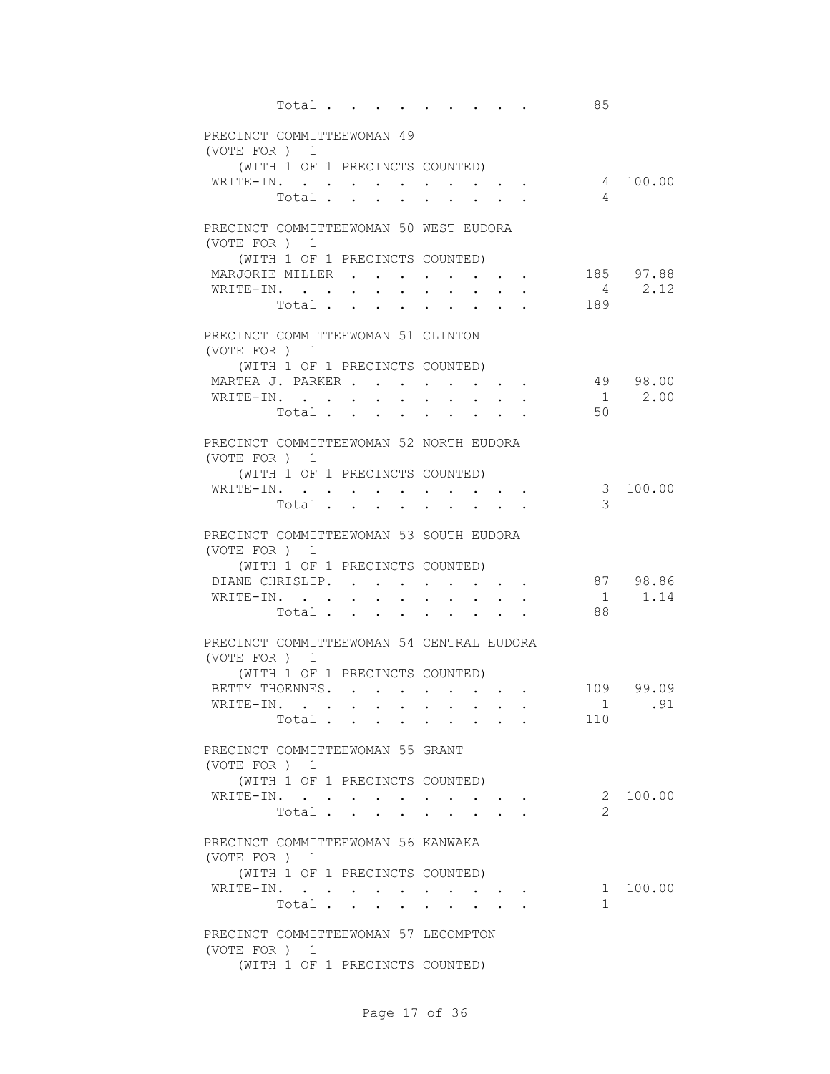| Total                                                      |                                                                                                                                              |             |                           |                                                           | 85                                                                            |                         |
|------------------------------------------------------------|----------------------------------------------------------------------------------------------------------------------------------------------|-------------|---------------------------|-----------------------------------------------------------|-------------------------------------------------------------------------------|-------------------------|
| PRECINCT COMMITTEEWOMAN 49<br>(VOTE FOR ) 1                |                                                                                                                                              |             |                           |                                                           |                                                                               |                         |
| (WITH 1 OF 1 PRECINCTS COUNTED)<br>WRITE-IN.               |                                                                                                                                              |             |                           |                                                           |                                                                               | 4 100.00                |
| Total                                                      |                                                                                                                                              |             |                           |                                                           |                                                                               | $\overline{4}$          |
| PRECINCT COMMITTEEWOMAN 50 WEST EUDORA<br>(VOTE FOR ) 1    |                                                                                                                                              |             |                           |                                                           |                                                                               |                         |
| (WITH 1 OF 1 PRECINCTS COUNTED)                            |                                                                                                                                              |             |                           |                                                           |                                                                               | 185 97.88               |
| MARJORIE MILLER<br>WRITE-IN.                               |                                                                                                                                              |             | $\mathbf{L} = \mathbf{L}$ | $\mathbf{r}$ , $\mathbf{r}$ , $\mathbf{r}$ , $\mathbf{r}$ | $\mathbf{r} = \mathbf{r} + \mathbf{r} + \mathbf{r} + \mathbf{r} + \mathbf{r}$ | $4 \t 2.12$             |
| Total                                                      |                                                                                                                                              |             |                           |                                                           | 189                                                                           |                         |
| PRECINCT COMMITTEEWOMAN 51 CLINTON<br>(VOTE FOR) 1         |                                                                                                                                              |             |                           |                                                           |                                                                               |                         |
| (WITH 1 OF 1 PRECINCTS COUNTED)                            |                                                                                                                                              |             |                           |                                                           |                                                                               |                         |
| MARTHA J. PARKER<br>WRITE-IN.                              | $\sim$<br>$\ddot{\phantom{0}}$                                                                                                               |             |                           | $\mathbf{r}$ , and $\mathbf{r}$ , and $\mathbf{r}$        |                                                                               | 49 98.00<br>$1 \t 2.00$ |
| Total .                                                    | $\mathbf{L}$                                                                                                                                 | $\sim$      |                           | $\mathbf{L}$                                              | 50                                                                            |                         |
| PRECINCT COMMITTEEWOMAN 52 NORTH EUDORA<br>(VOTE FOR ) 1   |                                                                                                                                              |             |                           |                                                           |                                                                               |                         |
| (WITH 1 OF 1 PRECINCTS COUNTED)                            |                                                                                                                                              |             |                           |                                                           |                                                                               |                         |
| WRITE-IN.                                                  | $\mathbf{a} = \mathbf{a} \cdot \mathbf{a}$ , and $\mathbf{a} = \mathbf{a} \cdot \mathbf{a}$ , and $\mathbf{a} = \mathbf{a} \cdot \mathbf{a}$ |             |                           |                                                           |                                                                               | 3 100.00                |
| Total .                                                    | $\ddot{\phantom{a}}$<br>$\bullet$                                                                                                            | $\bullet$ . |                           |                                                           | 3                                                                             |                         |
| PRECINCT COMMITTEEWOMAN 53 SOUTH EUDORA                    |                                                                                                                                              |             |                           |                                                           |                                                                               |                         |
| (VOTE FOR ) 1<br>(WITH 1 OF 1 PRECINCTS COUNTED)           |                                                                                                                                              |             |                           |                                                           |                                                                               |                         |
| DIANE CHRISLIP.                                            |                                                                                                                                              |             |                           |                                                           |                                                                               | 87 98.86                |
| WRITE-IN.                                                  |                                                                                                                                              |             |                           |                                                           |                                                                               | $1 \t 1.14$             |
| Total $\qquad$                                             |                                                                                                                                              |             |                           |                                                           | 88                                                                            |                         |
| PRECINCT COMMITTEEWOMAN 54 CENTRAL EUDORA<br>(VOTE FOR ) 1 |                                                                                                                                              |             |                           |                                                           |                                                                               |                         |
| (WITH 1 OF 1 PRECINCTS COUNTED)                            |                                                                                                                                              |             |                           |                                                           |                                                                               |                         |
| BETTY THOENNES.                                            |                                                                                                                                              |             |                           |                                                           |                                                                               | 109 99.09               |
| WRITE-IN. .<br>Total                                       |                                                                                                                                              |             |                           |                                                           | 110                                                                           | 1 .91                   |
|                                                            |                                                                                                                                              |             |                           |                                                           |                                                                               |                         |
| PRECINCT COMMITTEEWOMAN 55 GRANT<br>(VOTE FOR ) 1          |                                                                                                                                              |             |                           |                                                           |                                                                               |                         |
| (WITH 1 OF 1 PRECINCTS COUNTED)                            |                                                                                                                                              |             |                           |                                                           |                                                                               |                         |
| WRITE-IN.                                                  |                                                                                                                                              |             |                           |                                                           |                                                                               | 2 100.00                |
| Total                                                      |                                                                                                                                              |             |                           |                                                           |                                                                               | $\mathcal{L}$           |
| PRECINCT COMMITTEEWOMAN 56 KANWAKA<br>(VOTE FOR ) 1        |                                                                                                                                              |             |                           |                                                           |                                                                               |                         |
| (WITH 1 OF 1 PRECINCTS COUNTED)                            |                                                                                                                                              |             |                           |                                                           |                                                                               |                         |
| WRITE-IN.<br>Total                                         |                                                                                                                                              |             |                           |                                                           | $\mathbf{1}$                                                                  | 100.00<br>$1 \quad$     |
| PRECINCT COMMITTEEWOMAN 57 LECOMPTON                       |                                                                                                                                              |             |                           |                                                           |                                                                               |                         |
| (VOTE FOR ) 1                                              |                                                                                                                                              |             |                           |                                                           |                                                                               |                         |
| (WITH 1 OF 1 PRECINCTS COUNTED)                            |                                                                                                                                              |             |                           |                                                           |                                                                               |                         |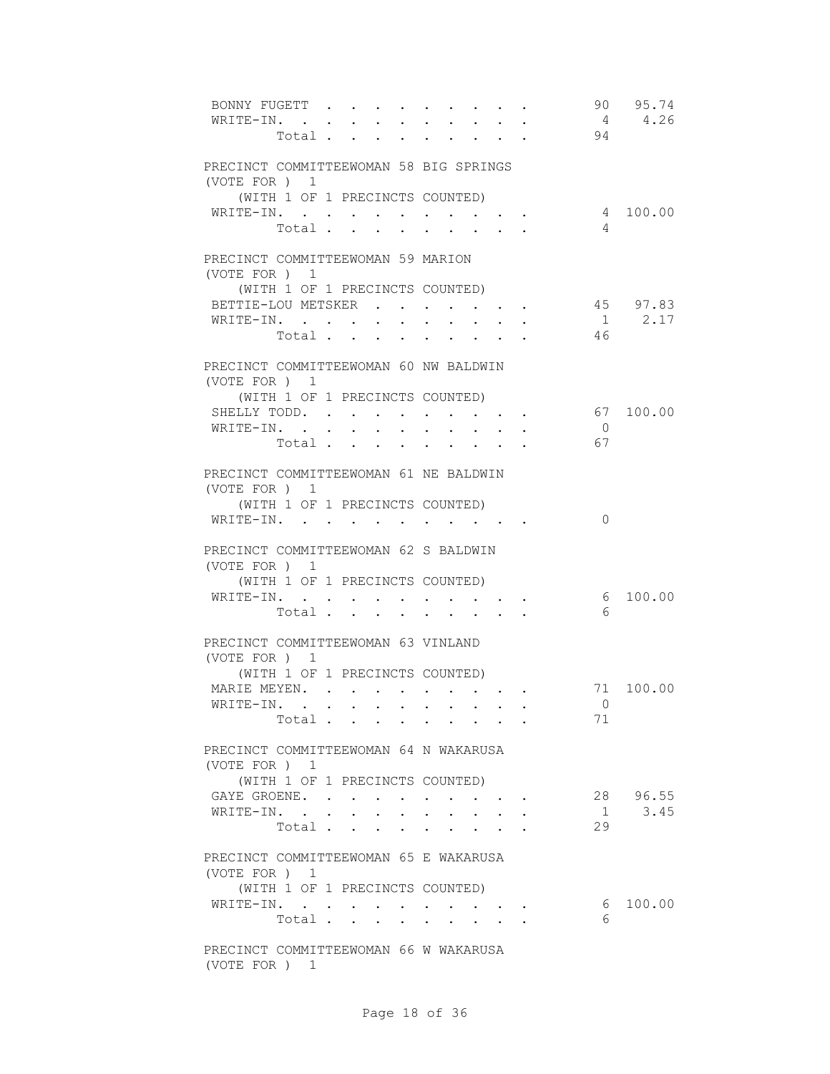| BONNY FUGETT<br>WRITE-IN. .                            | Total .                 |                 |                        |                                                                                                                                                                                                                                    |                                        |                      |  | 94                   | 90 95.74<br>4 4.26 |
|--------------------------------------------------------|-------------------------|-----------------|------------------------|------------------------------------------------------------------------------------------------------------------------------------------------------------------------------------------------------------------------------------|----------------------------------------|----------------------|--|----------------------|--------------------|
| PRECINCT COMMITTEEWOMAN 58 BIG SPRINGS<br>(VOTE FOR) 1 |                         |                 |                        |                                                                                                                                                                                                                                    |                                        |                      |  |                      |                    |
| (WITH 1 OF 1 PRECINCTS COUNTED)                        |                         |                 |                        |                                                                                                                                                                                                                                    |                                        |                      |  |                      |                    |
| WRITE-IN.                                              |                         |                 |                        |                                                                                                                                                                                                                                    |                                        |                      |  |                      | 4 100.00           |
|                                                        | Total                   |                 |                        |                                                                                                                                                                                                                                    |                                        |                      |  | $\overline{4}$       |                    |
| PRECINCT COMMITTEEWOMAN 59 MARION<br>(VOTE FOR) 1      |                         |                 |                        |                                                                                                                                                                                                                                    |                                        |                      |  |                      |                    |
| (WITH 1 OF 1 PRECINCTS COUNTED)                        |                         |                 |                        |                                                                                                                                                                                                                                    |                                        |                      |  |                      |                    |
| BETTIE-LOU METSKER                                     |                         |                 |                        |                                                                                                                                                                                                                                    |                                        |                      |  |                      | 45 97.83           |
| WRITE-IN.                                              |                         |                 |                        |                                                                                                                                                                                                                                    |                                        |                      |  |                      | $1 \t 2.17$        |
|                                                        | Total                   |                 |                        |                                                                                                                                                                                                                                    |                                        |                      |  | 46                   |                    |
| PRECINCT COMMITTEEWOMAN 60 NW BALDWIN                  |                         |                 |                        |                                                                                                                                                                                                                                    |                                        |                      |  |                      |                    |
| (VOTE FOR ) 1                                          |                         |                 |                        |                                                                                                                                                                                                                                    |                                        |                      |  |                      |                    |
| (WITH 1 OF 1 PRECINCTS COUNTED)                        |                         |                 |                        |                                                                                                                                                                                                                                    |                                        |                      |  |                      |                    |
| SHELLY TODD.                                           |                         |                 |                        |                                                                                                                                                                                                                                    | $\sim$ $\sim$ $\sim$                   | <b>Service</b> State |  |                      | 67 100.00          |
| WRITE-IN.                                              | Total                   |                 | $\mathbf{L}$<br>$\sim$ | $\mathbf{L}$                                                                                                                                                                                                                       | $\mathbf{L}$                           | $\mathbf{L}$         |  | $\overline{0}$<br>67 |                    |
|                                                        |                         |                 |                        |                                                                                                                                                                                                                                    | $\mathbf{r} = \mathbf{r} + \mathbf{r}$ |                      |  |                      |                    |
| PRECINCT COMMITTEEWOMAN 61 NE BALDWIN<br>(VOTE FOR ) 1 |                         |                 |                        |                                                                                                                                                                                                                                    |                                        |                      |  |                      |                    |
| (WITH 1 OF 1 PRECINCTS COUNTED)                        |                         |                 |                        |                                                                                                                                                                                                                                    |                                        |                      |  |                      |                    |
| WRITE-IN. .                                            |                         |                 |                        | $\bullet$ . In the case of the contract of the contract of the contract of the contract of the contract of the contract of the contract of the contract of the contract of the contract of the contract of the contract of the con |                                        |                      |  | $\mathbf{0}$         |                    |
| PRECINCT COMMITTEEWOMAN 62 S BALDWIN<br>(VOTE FOR ) 1  |                         |                 |                        |                                                                                                                                                                                                                                    |                                        |                      |  |                      |                    |
| (WITH 1 OF 1 PRECINCTS COUNTED)                        |                         |                 |                        |                                                                                                                                                                                                                                    |                                        |                      |  |                      | 6 100.00           |
| WRITE-IN.                                              | Total                   |                 |                        |                                                                                                                                                                                                                                    |                                        |                      |  | 6                    |                    |
|                                                        |                         |                 |                        |                                                                                                                                                                                                                                    |                                        |                      |  |                      |                    |
| PRECINCT COMMITTEEWOMAN 63 VINLAND<br>(VOTE FOR ) 1    |                         |                 |                        |                                                                                                                                                                                                                                    |                                        |                      |  |                      |                    |
| (WITH 1 OF 1 PRECINCTS COUNTED)                        |                         |                 |                        |                                                                                                                                                                                                                                    |                                        |                      |  |                      |                    |
| MARIE MEYEN.                                           |                         |                 |                        |                                                                                                                                                                                                                                    |                                        |                      |  |                      | 71 100.00          |
| WRITE-IN. .                                            |                         |                 |                        |                                                                                                                                                                                                                                    |                                        |                      |  | 71                   | $\bigcirc$         |
|                                                        | Total                   |                 |                        |                                                                                                                                                                                                                                    |                                        |                      |  |                      |                    |
| PRECINCT COMMITTEEWOMAN 64 N WAKARUSA<br>(VOTE FOR ) 1 |                         |                 |                        |                                                                                                                                                                                                                                    |                                        |                      |  |                      |                    |
| (WITH 1 OF 1 PRECINCTS COUNTED)                        |                         |                 |                        |                                                                                                                                                                                                                                    |                                        |                      |  |                      |                    |
| GAYE GROENE.                                           |                         |                 |                        |                                                                                                                                                                                                                                    |                                        |                      |  |                      | 28 96.55           |
| WRITE-IN. .                                            |                         | $\sim 10^{-11}$ |                        |                                                                                                                                                                                                                                    |                                        |                      |  | $\overline{1}$       | 3.45               |
|                                                        | Total                   |                 | $\sim$                 |                                                                                                                                                                                                                                    |                                        |                      |  | 29                   |                    |
| PRECINCT COMMITTEEWOMAN 65 E WAKARUSA                  |                         |                 |                        |                                                                                                                                                                                                                                    |                                        |                      |  |                      |                    |
| (VOTE FOR ) 1                                          |                         |                 |                        |                                                                                                                                                                                                                                    |                                        |                      |  |                      |                    |
| (WITH 1 OF 1 PRECINCTS COUNTED)                        |                         |                 |                        |                                                                                                                                                                                                                                    |                                        |                      |  | 6                    | 100.00             |
| WRITE-IN.                                              | Total $\cdots$ $\cdots$ |                 |                        |                                                                                                                                                                                                                                    |                                        |                      |  | 6                    |                    |
|                                                        |                         |                 |                        |                                                                                                                                                                                                                                    |                                        |                      |  |                      |                    |
| PRECINCT COMMITTEEWOMAN 66 W WAKARUSA<br>(VOTE FOR ) 1 |                         |                 |                        |                                                                                                                                                                                                                                    |                                        |                      |  |                      |                    |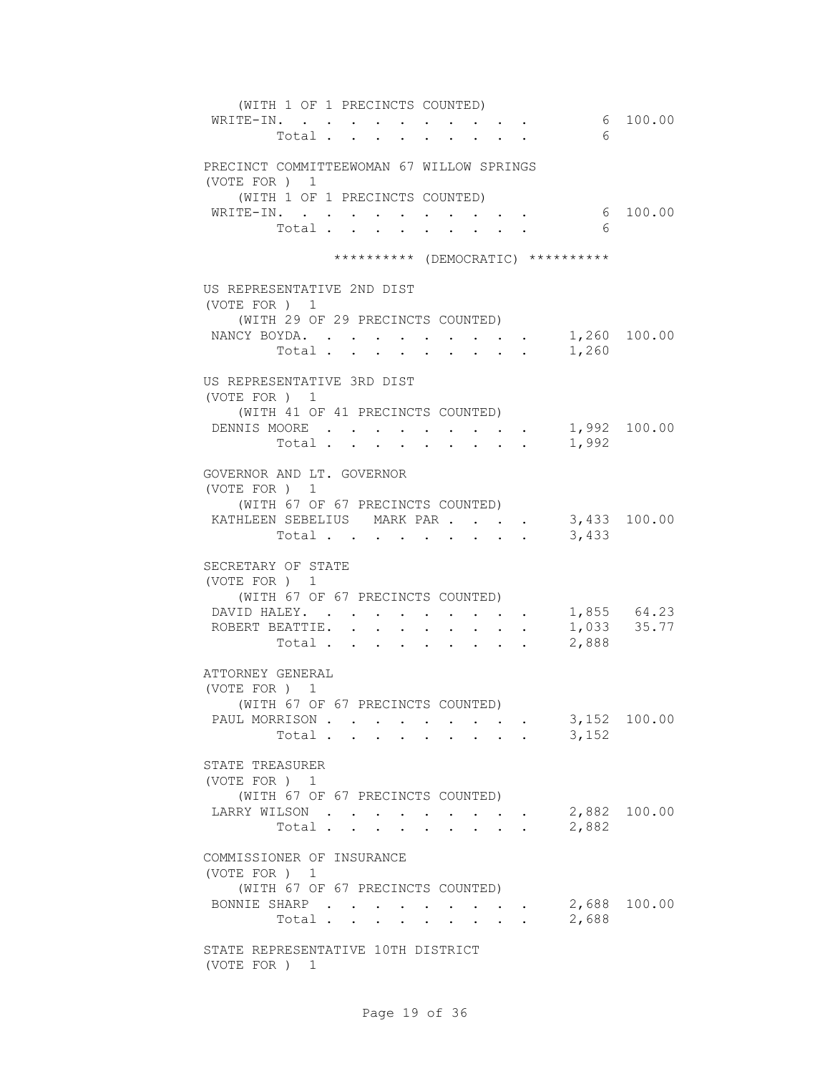| (WITH 1 OF 1 PRECINCTS COUNTED)<br>WRITE-IN.<br>6<br>Total                                                                                                                                                                                                                                                                                                                   | 6 100.00                   |
|------------------------------------------------------------------------------------------------------------------------------------------------------------------------------------------------------------------------------------------------------------------------------------------------------------------------------------------------------------------------------|----------------------------|
| PRECINCT COMMITTEEWOMAN 67 WILLOW SPRINGS<br>(VOTE FOR ) 1<br>(WITH 1 OF 1 PRECINCTS COUNTED)                                                                                                                                                                                                                                                                                |                            |
| WRITE-IN.<br>$\mathbf{r}$ , and $\mathbf{r}$ , and $\mathbf{r}$<br>6<br>Total .<br>$\mathbf{r} = \mathbf{r}$<br>$\sim$<br>$\ddot{\phantom{0}}$                                                                                                                                                                                                                               | 6 100.00                   |
| ********** (DEMOCRATIC) **********                                                                                                                                                                                                                                                                                                                                           |                            |
| US REPRESENTATIVE 2ND DIST<br>(VOTE FOR) 1<br>(WITH 29 OF 29 PRECINCTS COUNTED)<br>NANCY BOYDA.<br>1,260<br>Total .<br>$\mathbf{r} = \mathbf{r} + \mathbf{r} + \mathbf{r} + \mathbf{r}$<br><b>Contract Contract Contract Contract</b><br>$\sim$                                                                                                                              | 1,260 100.00               |
| US REPRESENTATIVE 3RD DIST<br>(VOTE FOR) 1<br>(WITH 41 OF 41 PRECINCTS COUNTED)<br>DENNIS MOORE<br>1,992<br>Total                                                                                                                                                                                                                                                            | 1,992 100.00               |
| GOVERNOR AND LT. GOVERNOR<br>(VOTE FOR ) 1<br>(WITH 67 OF 67 PRECINCTS COUNTED)<br>KATHLEEN SEBELIUS MARK PAR<br>3,433<br>Total                                                                                                                                                                                                                                              | 3,433 100.00               |
| SECRETARY OF STATE<br>(VOTE FOR ) 1<br>(WITH 67 OF 67 PRECINCTS COUNTED)<br>DAVID HALEY. .<br>$\cdot$ $\cdot$ $\cdot$ $\cdot$ $\cdot$ $\cdot$<br>ROBERT BEATTIE.<br>$\sim$<br>$\mathbf{L}^{\text{max}}$<br>$\sim$ $-$<br>$\sim$<br>$\sim$<br>2,888<br>Total $\cdots$ $\cdots$<br>$\mathbf{A}^{(1)}$ and $\mathbf{A}^{(2)}$ and<br>$\mathbf{r} = \mathbf{r} \cdot \mathbf{r}$ | 1,855 64.23<br>1,033 35.77 |
| ATTORNEY GENERAL<br>(VOTE FOR ) 1<br>(WITH 67 OF 67 PRECINCTS COUNTED)<br>PAUL MORRISON<br>3,152<br>Total                                                                                                                                                                                                                                                                    | 3,152 100.00               |
| STATE TREASURER<br>(VOTE FOR ) 1<br>(WITH 67 OF 67 PRECINCTS COUNTED)<br>LARRY WILSON<br>2,882<br>Total $\cdots$                                                                                                                                                                                                                                                             | 2,882 100.00               |
| COMMISSIONER OF INSURANCE<br>(VOTE FOR ) 1<br>(WITH 67 OF 67 PRECINCTS COUNTED)<br>BONNIE SHARP<br>2,688<br>Total .<br>$\mathbf{L} = \mathbf{L}$<br>$\sim$<br>$\ddot{\phantom{0}}$<br>$\mathbf{r}$                                                                                                                                                                           | 2,688 100.00               |
| STATE REPRESENTATIVE 10TH DISTRICT<br>(VOTE FOR ) 1                                                                                                                                                                                                                                                                                                                          |                            |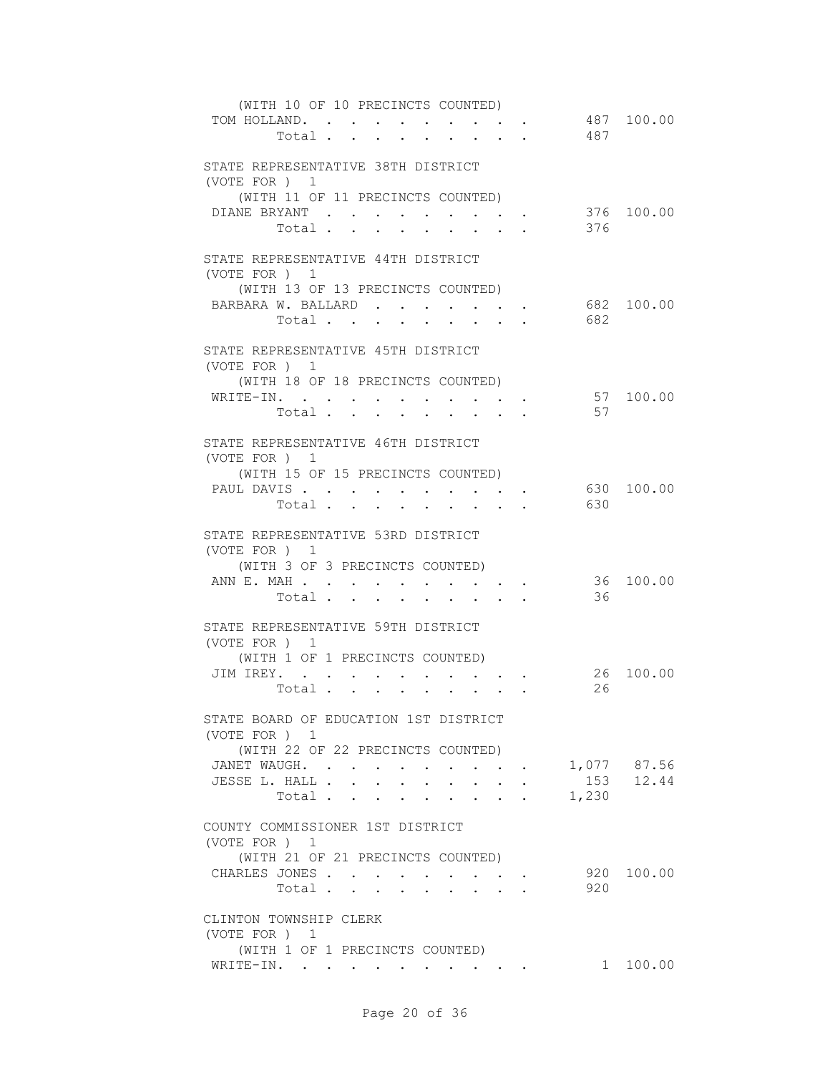| (WITH 10 OF 10 PRECINCTS COUNTED)<br>TOM HOLLAND.<br>Total                                                                                                                                                        |                                                                | 487                                               | 487 100.00                 |
|-------------------------------------------------------------------------------------------------------------------------------------------------------------------------------------------------------------------|----------------------------------------------------------------|---------------------------------------------------|----------------------------|
| STATE REPRESENTATIVE 38TH DISTRICT<br>(VOTE FOR) 1<br>(WITH 11 OF 11 PRECINCTS COUNTED)<br>DIANE BRYANT<br>$\bullet$ .<br><br><br><br><br><br><br><br><br><br><br><br><br><br><br><br>Total<br>$\sim$             | $\cdot$ $\cdot$ $\cdot$<br>$\ddot{\phantom{0}}$                | 376                                               | 376 100.00                 |
| STATE REPRESENTATIVE 44TH DISTRICT<br>(VOTE FOR) 1<br>(WITH 13 OF 13 PRECINCTS COUNTED)<br>BARBARA W. BALLARD<br>Total                                                                                            |                                                                | 682                                               | 682 100.00                 |
| STATE REPRESENTATIVE 45TH DISTRICT<br>(VOTE FOR ) 1<br>(WITH 18 OF 18 PRECINCTS COUNTED)<br>WRITE-IN.<br>Total                                                                                                    |                                                                | 57                                                | 57 100.00                  |
| STATE REPRESENTATIVE 46TH DISTRICT<br>(VOTE FOR ) 1<br>(WITH 15 OF 15 PRECINCTS COUNTED)<br>PAUL DAVIS<br>$\mathbf{r} = \mathbf{r} + \mathbf{r}$ .<br>$\mathbf{r} = \mathbf{r} + \mathbf{r}$ .<br>Total<br>$\sim$ |                                                                | 630                                               | 630 100.00                 |
| STATE REPRESENTATIVE 53RD DISTRICT<br>(VOTE FOR ) 1<br>(WITH 3 OF 3 PRECINCTS COUNTED)<br>ANN E. MAH<br>Total                                                                                                     |                                                                | 36                                                | 36 100.00                  |
| STATE REPRESENTATIVE 59TH DISTRICT<br>(VOTE FOR ) 1<br>(WITH 1 OF 1 PRECINCTS COUNTED)<br>JIM IREY.<br>Total $\cdot$                                                                                              |                                                                | 26<br>26                                          | 100.00                     |
| STATE BOARD OF EDUCATION 1ST DISTRICT<br>(VOTE FOR) 1<br>(WITH 22 OF 22 PRECINCTS COUNTED)<br>JANET WAUGH.<br>JESSE L. HALL<br>$\ddot{\phantom{0}}$<br>$\sim$<br>Total                                            | $\ddot{\phantom{0}}$<br>$\mathbf{r}$ . The set of $\mathbf{r}$ | $\mathbf{z} = \mathbf{z} + \mathbf{z}$ .<br>1,230 | 1,077 87.56<br>$153$ 12.44 |
| COUNTY COMMISSIONER 1ST DISTRICT<br>(VOTE FOR ) 1<br>(WITH 21 OF 21 PRECINCTS COUNTED)<br>CHARLES JONES<br>Total                                                                                                  |                                                                | 920                                               | 920 100.00                 |
| CLINTON TOWNSHIP CLERK<br>(VOTE FOR ) 1<br>(WITH 1 OF 1 PRECINCTS COUNTED)<br>WRITE-IN.                                                                                                                           |                                                                |                                                   | 1 100.00                   |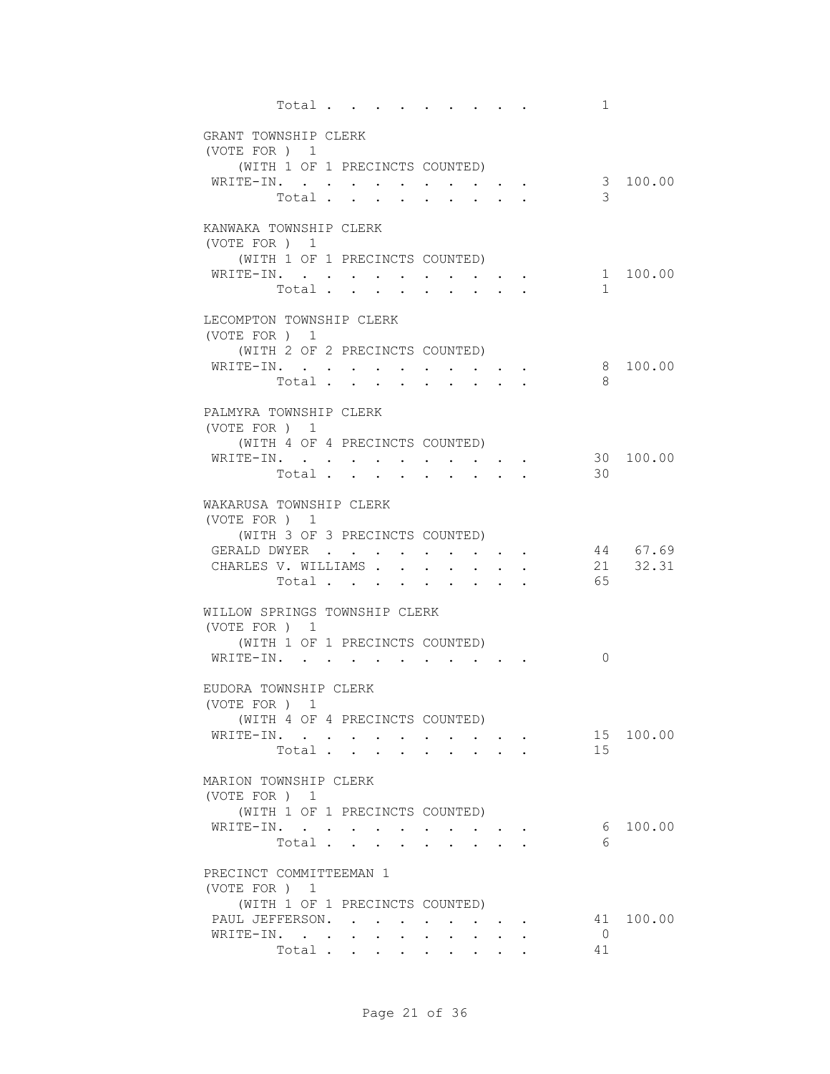| Total                                            |               |             |                      |                                                                                            |  | $\mathbf{1}$         |           |
|--------------------------------------------------|---------------|-------------|----------------------|--------------------------------------------------------------------------------------------|--|----------------------|-----------|
| GRANT TOWNSHIP CLERK                             |               |             |                      |                                                                                            |  |                      |           |
| (VOTE FOR ) 1<br>(WITH 1 OF 1 PRECINCTS COUNTED) |               |             |                      |                                                                                            |  |                      |           |
| WRITE-IN.                                        |               |             |                      |                                                                                            |  |                      | 3 100.00  |
| Total                                            |               |             |                      |                                                                                            |  | 3                    |           |
| KANWAKA TOWNSHIP CLERK                           |               |             |                      |                                                                                            |  |                      |           |
| (VOTE FOR ) 1<br>(WITH 1 OF 1 PRECINCTS COUNTED) |               |             |                      |                                                                                            |  |                      |           |
| WRITE-IN.                                        |               | $\bullet$ . |                      |                                                                                            |  |                      | 1 100.00  |
| Total                                            |               |             |                      | $\mathbf{r}$ , $\mathbf{r}$ , $\mathbf{r}$                                                 |  | $\mathbf{1}$         |           |
| LECOMPTON TOWNSHIP CLERK                         |               |             |                      |                                                                                            |  |                      |           |
| (VOTE FOR) 1<br>(WITH 2 OF 2 PRECINCTS COUNTED)  |               |             |                      |                                                                                            |  |                      |           |
| WRITE-IN.                                        |               |             |                      |                                                                                            |  |                      | 8 100.00  |
| Total                                            |               |             |                      | $\mathcal{L}(\mathcal{A})$ , and $\mathcal{L}(\mathcal{A})$ and $\mathcal{L}(\mathcal{A})$ |  | 8                    |           |
| PALMYRA TOWNSHIP CLERK                           |               |             |                      |                                                                                            |  |                      |           |
| (VOTE FOR ) 1<br>(WITH 4 OF 4 PRECINCTS COUNTED) |               |             |                      |                                                                                            |  |                      |           |
| WRITE-IN.                                        |               |             |                      |                                                                                            |  |                      | 30 100.00 |
| Total                                            |               |             |                      |                                                                                            |  | 30                   |           |
| WAKARUSA TOWNSHIP CLERK                          |               |             |                      |                                                                                            |  |                      |           |
| (VOTE FOR ) 1<br>(WITH 3 OF 3 PRECINCTS COUNTED) |               |             |                      |                                                                                            |  |                      |           |
| GERALD DWYER                                     |               | $\bullet$ . |                      |                                                                                            |  |                      | 44 67.69  |
| CHARLES V. WILLIAMS<br>Total                     |               |             |                      | <b><i>Command Command Command Command</i></b>                                              |  | 65                   | 21 32.31  |
|                                                  |               |             |                      |                                                                                            |  |                      |           |
| WILLOW SPRINGS TOWNSHIP CLERK<br>(VOTE FOR ) 1   |               |             |                      |                                                                                            |  |                      |           |
| (WITH 1 OF 1 PRECINCTS COUNTED)                  |               |             |                      |                                                                                            |  |                      |           |
| WRITE-IN.                                        | $\sim$ $\sim$ |             |                      |                                                                                            |  | $\Omega$             |           |
| EUDORA TOWNSHIP CLERK                            |               |             |                      |                                                                                            |  |                      |           |
| (VOTE FOR ) 1<br>(WITH 4 OF 4 PRECINCTS COUNTED) |               |             |                      |                                                                                            |  |                      |           |
| WRITE-IN.                                        |               |             |                      |                                                                                            |  |                      | 15 100.00 |
| Total                                            |               |             |                      |                                                                                            |  | 15                   |           |
| MARION TOWNSHIP CLERK                            |               |             |                      |                                                                                            |  |                      |           |
| (VOTE FOR ) 1<br>(WITH 1 OF 1 PRECINCTS COUNTED) |               |             |                      |                                                                                            |  |                      |           |
| WRITE-IN.                                        |               |             |                      |                                                                                            |  |                      | 6 100.00  |
| Total                                            |               |             | $\ddot{\phantom{a}}$ | $\mathbf{L}$                                                                               |  | 6                    |           |
| PRECINCT COMMITTEEMAN 1                          |               |             |                      |                                                                                            |  |                      |           |
| (VOTE FOR ) 1<br>(WITH 1 OF 1 PRECINCTS COUNTED) |               |             |                      |                                                                                            |  |                      |           |
| PAUL JEFFERSON.                                  |               |             |                      |                                                                                            |  |                      | 41 100.00 |
| WRITE-IN.<br>Total                               |               |             |                      |                                                                                            |  | $\overline{0}$<br>41 |           |
|                                                  |               |             |                      |                                                                                            |  |                      |           |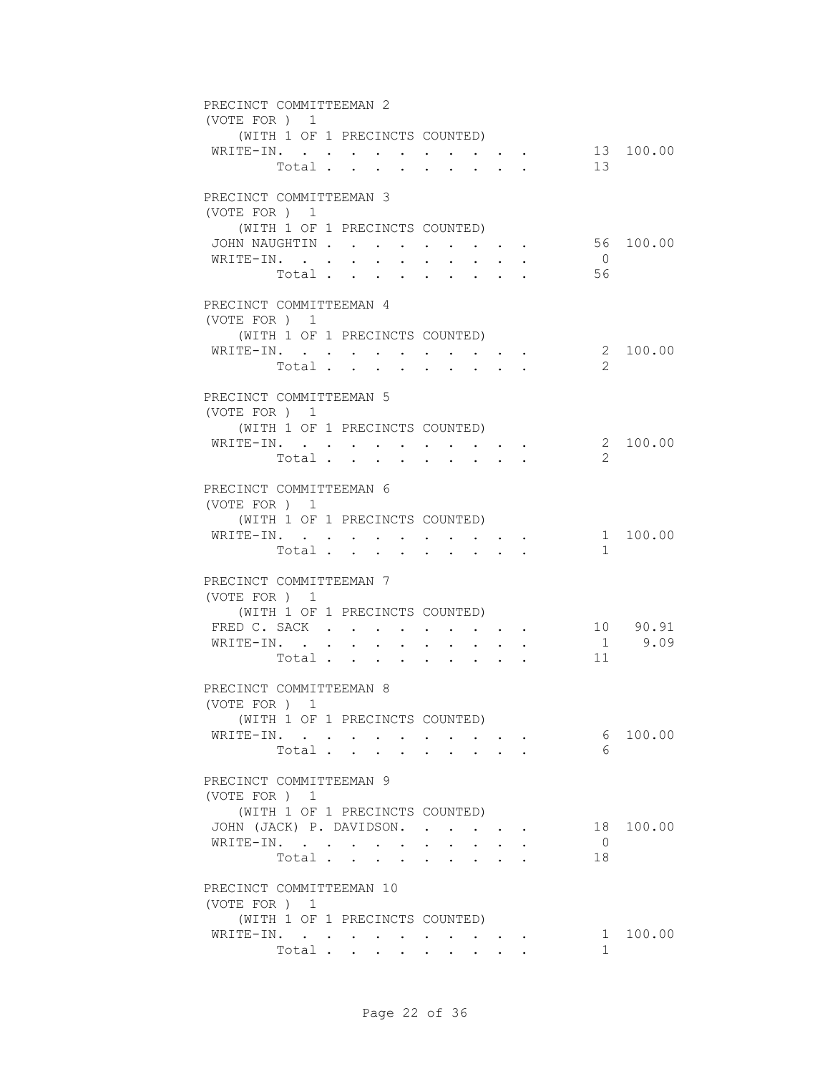| PRECINCT COMMITTEEMAN 2                          |                                 |               |                                      |                      |                                                           |                      |                                                                             |        |  |                |           |
|--------------------------------------------------|---------------------------------|---------------|--------------------------------------|----------------------|-----------------------------------------------------------|----------------------|-----------------------------------------------------------------------------|--------|--|----------------|-----------|
| (VOTE FOR ) 1<br>(WITH 1 OF 1 PRECINCTS COUNTED) |                                 |               |                                      |                      |                                                           |                      |                                                                             |        |  |                |           |
| WRITE-IN.                                        |                                 |               |                                      |                      |                                                           |                      |                                                                             |        |  |                | 13 100.00 |
|                                                  | Total                           |               |                                      |                      |                                                           |                      | $\sim$ 100 $\sim$                                                           | $\sim$ |  | 13             |           |
|                                                  |                                 |               |                                      |                      |                                                           |                      |                                                                             |        |  |                |           |
| PRECINCT COMMITTEEMAN 3                          |                                 |               |                                      |                      |                                                           |                      |                                                                             |        |  |                |           |
| (VOTE FOR ) 1<br>(WITH 1 OF 1 PRECINCTS COUNTED) |                                 |               |                                      |                      |                                                           |                      |                                                                             |        |  |                |           |
| JOHN NAUGHTIN                                    |                                 |               |                                      |                      |                                                           |                      |                                                                             |        |  |                | 56 100.00 |
| WRITE-IN.                                        |                                 |               |                                      |                      | <b>All Andrew</b>                                         |                      | $\cdot$ $\cdot$ $\cdot$ $\cdot$ $\cdot$                                     |        |  | $\overline{0}$ |           |
|                                                  | Total .                         |               | $\mathbf{L} = \mathbf{L} \mathbf{L}$ | $\ddot{\phantom{0}}$ | $\ddot{\phantom{0}}$                                      | $\ddot{\phantom{0}}$ | $\sim 100$                                                                  |        |  | 56             |           |
|                                                  |                                 |               |                                      |                      |                                                           |                      |                                                                             |        |  |                |           |
| PRECINCT COMMITTEEMAN 4<br>(VOTE FOR ) 1         |                                 |               |                                      |                      |                                                           |                      |                                                                             |        |  |                |           |
| (WITH 1 OF 1 PRECINCTS COUNTED)                  |                                 |               |                                      |                      |                                                           |                      |                                                                             |        |  |                |           |
| WRITE-IN.                                        |                                 |               |                                      |                      |                                                           |                      |                                                                             |        |  |                | 2 100.00  |
|                                                  | Total                           |               |                                      |                      |                                                           |                      |                                                                             |        |  | $\mathcal{L}$  |           |
| PRECINCT COMMITTEEMAN 5                          |                                 |               |                                      |                      |                                                           |                      |                                                                             |        |  |                |           |
| (VOTE FOR ) 1                                    |                                 |               |                                      |                      |                                                           |                      |                                                                             |        |  |                |           |
| (WITH 1 OF 1 PRECINCTS COUNTED)                  |                                 |               |                                      |                      |                                                           |                      |                                                                             |        |  |                |           |
| WRITE-IN.                                        |                                 |               |                                      |                      |                                                           |                      |                                                                             |        |  |                | 2 100.00  |
|                                                  | Total                           |               |                                      |                      |                                                           |                      |                                                                             |        |  | $\mathcal{L}$  |           |
| PRECINCT COMMITTEEMAN 6                          |                                 |               |                                      |                      |                                                           |                      |                                                                             |        |  |                |           |
| (VOTE FOR ) 1                                    |                                 |               |                                      |                      |                                                           |                      |                                                                             |        |  |                |           |
| (WITH 1 OF 1 PRECINCTS COUNTED)                  |                                 |               |                                      |                      |                                                           |                      |                                                                             |        |  |                |           |
| WRITE-IN. .                                      |                                 | $\sim$ $\sim$ |                                      |                      | $\mathbf{r}$ , $\mathbf{r}$ , $\mathbf{r}$ , $\mathbf{r}$ |                      | $\bullet$ . In the case of the contract $\bullet$                           |        |  |                | 1 100.00  |
|                                                  | Total                           |               |                                      | $\sim$               |                                                           |                      | $\sim$                                                                      |        |  | $\mathbf{1}$   |           |
| PRECINCT COMMITTEEMAN 7                          |                                 |               |                                      |                      |                                                           |                      |                                                                             |        |  |                |           |
| (VOTE FOR ) 1                                    |                                 |               |                                      |                      |                                                           |                      |                                                                             |        |  |                |           |
| (WITH 1 OF 1 PRECINCTS COUNTED)                  |                                 |               |                                      |                      |                                                           |                      |                                                                             |        |  |                |           |
| FRED C. SACK                                     |                                 |               |                                      |                      |                                                           |                      | $\sim$ $\sim$ $\sim$ $\sim$ $\sim$                                          |        |  |                | 10 90.91  |
| WRITE-IN.                                        |                                 |               |                                      |                      |                                                           |                      | $\bullet$ .<br><br><br><br><br><br><br><br><br><br><br><br><br><br><br><br> |        |  | 11             | 1 9.09    |
|                                                  | Total                           |               |                                      |                      |                                                           |                      |                                                                             |        |  |                |           |
| PRECINCT COMMITTEEMAN 8                          |                                 |               |                                      |                      |                                                           |                      |                                                                             |        |  |                |           |
| (VOTE FOR ) 1                                    |                                 |               |                                      |                      |                                                           |                      |                                                                             |        |  |                |           |
|                                                  | (WITH 1 OF 1 PRECINCTS COUNTED) |               |                                      |                      |                                                           |                      |                                                                             |        |  |                |           |
| WRITE-IN.                                        | Total                           |               |                                      |                      |                                                           |                      |                                                                             |        |  | 6<br>6         | 100.00    |
|                                                  |                                 |               |                                      |                      |                                                           |                      |                                                                             |        |  |                |           |
| PRECINCT COMMITTEEMAN 9                          |                                 |               |                                      |                      |                                                           |                      |                                                                             |        |  |                |           |
| (VOTE FOR ) 1                                    |                                 |               |                                      |                      |                                                           |                      |                                                                             |        |  |                |           |
| (WITH 1 OF 1 PRECINCTS COUNTED)                  |                                 |               |                                      |                      |                                                           |                      |                                                                             |        |  |                |           |
| JOHN (JACK) P. DAVIDSON.<br>WRITE-IN.            |                                 |               |                                      |                      |                                                           | $\sim 10^{-11}$      | $\sim$                                                                      | $\sim$ |  | $\bigcirc$     | 18 100.00 |
|                                                  | Total.                          |               |                                      |                      |                                                           |                      | $\cdot$ $\cdot$ $\cdot$ $\cdot$ $\cdot$                                     |        |  | 18             |           |
|                                                  |                                 |               |                                      |                      |                                                           |                      |                                                                             |        |  |                |           |
| PRECINCT COMMITTEEMAN 10                         |                                 |               |                                      |                      |                                                           |                      |                                                                             |        |  |                |           |
| (VOTE FOR ) 1<br>(WITH 1 OF 1 PRECINCTS COUNTED) |                                 |               |                                      |                      |                                                           |                      |                                                                             |        |  |                |           |
| WRITE-IN.                                        |                                 |               |                                      |                      |                                                           |                      |                                                                             |        |  |                | 1 100.00  |
|                                                  | Total                           |               |                                      |                      |                                                           |                      |                                                                             |        |  | $\mathbf{1}$   |           |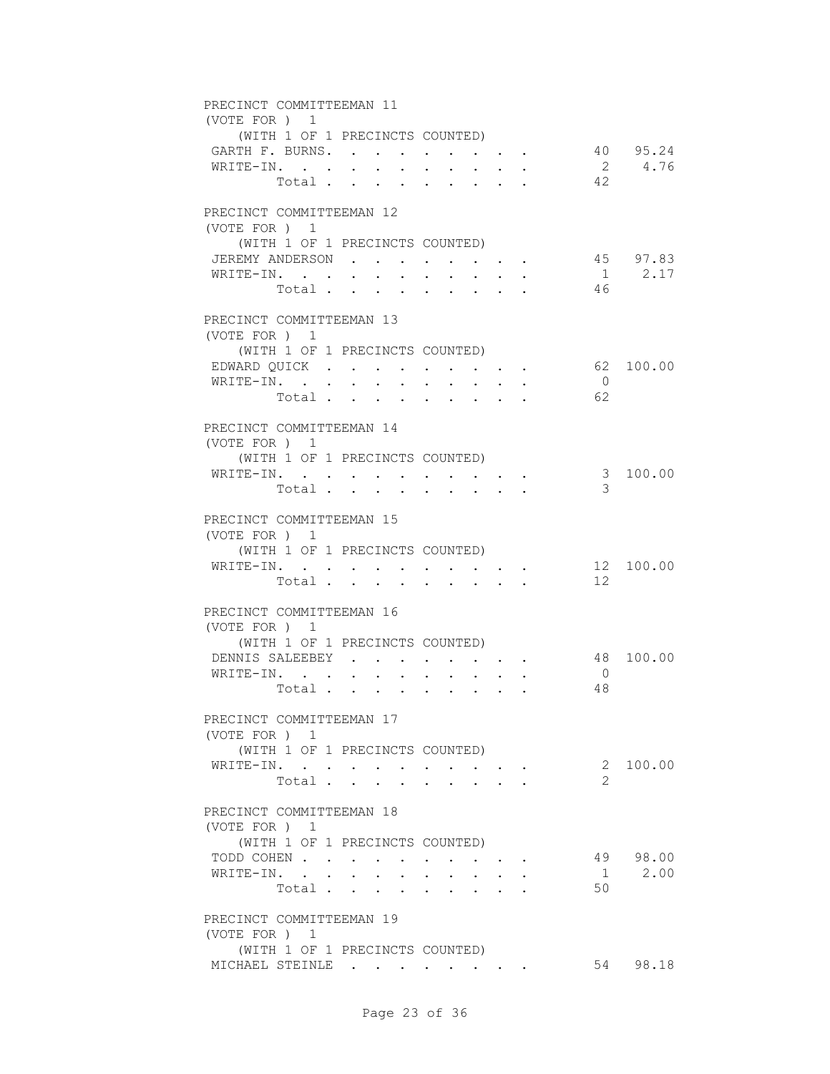| PRECINCT COMMITTEEMAN 11<br>(VOTE FOR ) 1          |                                 |                                     |                                                                                           |                           |                      |                    |
|----------------------------------------------------|---------------------------------|-------------------------------------|-------------------------------------------------------------------------------------------|---------------------------|----------------------|--------------------|
| (WITH 1 OF 1 PRECINCTS COUNTED)                    |                                 |                                     |                                                                                           |                           |                      |                    |
| GARTH F. BURNS.                                    |                                 |                                     |                                                                                           |                           |                      | 40 95.24<br>2 4.76 |
| WRITE-IN.                                          | Total.                          | $\mathbf{L}$<br>$\mathbf{L}$        | $\mathbf{L}$                                                                              | $\mathbf{r} = \mathbf{r}$ | 42                   |                    |
| PRECINCT COMMITTEEMAN 12                           |                                 |                                     |                                                                                           |                           |                      |                    |
| (VOTE FOR ) 1<br>(WITH 1 OF 1 PRECINCTS COUNTED)   |                                 |                                     |                                                                                           |                           |                      |                    |
| JEREMY ANDERSON                                    |                                 | $\sim$ $\sim$ $\sim$ $\sim$         | $\cdot$ $\cdot$ $\cdot$ $\cdot$ $\cdot$ $\cdot$                                           |                           |                      | 45 97.83           |
| WRITE-IN.<br>Total                                 | $\bullet$ .<br>$\sim$<br>$\sim$ | $\bullet$<br>$\mathbf{L}$<br>$\sim$ | $\ddot{\phantom{0}}$<br>$\sim$<br>$\sim$                                                  |                           | - 46                 | $1 \t 2.17$        |
| PRECINCT COMMITTEEMAN 13                           |                                 |                                     |                                                                                           |                           |                      |                    |
| (VOTE FOR ) 1<br>(WITH 1 OF 1 PRECINCTS COUNTED)   |                                 |                                     |                                                                                           |                           |                      |                    |
| EDWARD QUICK                                       |                                 |                                     |                                                                                           |                           |                      | 62 100.00          |
| WRITE-IN.                                          | Total                           |                                     |                                                                                           |                           | $\overline{0}$<br>62 |                    |
|                                                    |                                 |                                     |                                                                                           |                           |                      |                    |
| PRECINCT COMMITTEEMAN 14<br>(VOTE FOR) 1           |                                 |                                     |                                                                                           |                           |                      |                    |
| (WITH 1 OF 1 PRECINCTS COUNTED)                    |                                 |                                     |                                                                                           |                           |                      |                    |
| WRITE-IN.                                          |                                 |                                     |                                                                                           |                           |                      | 3 100.00           |
|                                                    | Total                           |                                     |                                                                                           |                           | 3                    |                    |
| PRECINCT COMMITTEEMAN 15<br>(VOTE FOR ) 1          |                                 |                                     |                                                                                           |                           |                      |                    |
| (WITH 1 OF 1 PRECINCTS COUNTED)                    |                                 |                                     |                                                                                           |                           |                      |                    |
| WRITE-IN.                                          |                                 |                                     | $\cdot$ $\cdot$ $\cdot$ $\cdot$ $\cdot$ $\cdot$                                           |                           |                      | 12 100.00          |
|                                                    | Total                           |                                     |                                                                                           |                           | 12                   |                    |
| PRECINCT COMMITTEEMAN 16                           |                                 |                                     |                                                                                           |                           |                      |                    |
| (VOTE FOR ) 1                                      |                                 |                                     |                                                                                           |                           |                      |                    |
| (WITH 1 OF 1 PRECINCTS COUNTED)<br>DENNIS SALEEBEY | $\sim$ 100 $\mu$                |                                     |                                                                                           |                           |                      | 48 100.00          |
| WRITE-IN.                                          | $\ddot{\phantom{a}}$            |                                     |                                                                                           |                           | $\overline{0}$       |                    |
| Total                                              | $\sim$ $-$                      | $\sim$ $-$<br><b>All Cards</b>      |                                                                                           |                           | 48                   |                    |
| PRECINCT COMMITTEEMAN 17                           |                                 |                                     |                                                                                           |                           |                      |                    |
| (VOTE FOR ) 1                                      |                                 |                                     |                                                                                           |                           |                      |                    |
| (WITH 1 OF 1 PRECINCTS COUNTED)                    |                                 |                                     |                                                                                           |                           |                      |                    |
| WRITE-IN.                                          |                                 |                                     |                                                                                           |                           |                      | 2 100.00           |
|                                                    | Total                           |                                     | $\mathbf{r} = \mathbf{r} + \mathbf{r} + \mathbf{r} + \mathbf{r}$                          |                           |                      |                    |
| PRECINCT COMMITTEEMAN 18<br>(VOTE FOR ) 1          |                                 |                                     |                                                                                           |                           |                      |                    |
| (WITH 1 OF 1 PRECINCTS COUNTED)                    |                                 |                                     |                                                                                           |                           |                      |                    |
| TODD COHEN                                         |                                 |                                     |                                                                                           |                           |                      | 49 98.00           |
| WRITE-IN.                                          | Total                           | $\ddot{\phantom{0}}$                | $\mathbf{r} = \mathbf{r}$ , and $\mathbf{r} = \mathbf{r}$ , and $\mathbf{r} = \mathbf{r}$ |                           | 50                   | 1 2.00             |
|                                                    |                                 |                                     |                                                                                           |                           |                      |                    |
| PRECINCT COMMITTEEMAN 19<br>(VOTE FOR ) 1          |                                 |                                     |                                                                                           |                           |                      |                    |
| (WITH 1 OF 1 PRECINCTS COUNTED)                    |                                 |                                     |                                                                                           |                           |                      |                    |
| MICHAEL STEINLE                                    |                                 |                                     |                                                                                           |                           |                      | 54 98.18           |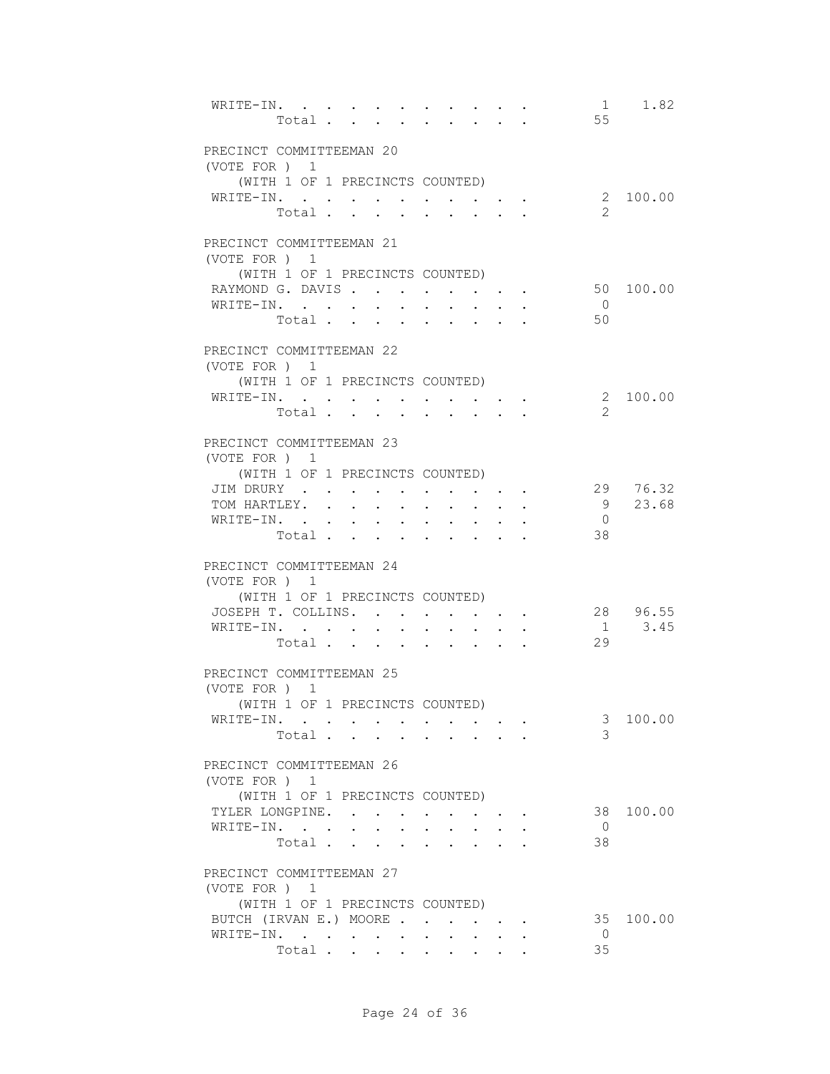| WRITE-IN.                                        | Total                                                                                |                                                                         |                                                                 | 1<br>55              | 1.82              |
|--------------------------------------------------|--------------------------------------------------------------------------------------|-------------------------------------------------------------------------|-----------------------------------------------------------------|----------------------|-------------------|
| PRECINCT COMMITTEEMAN 20<br>(VOTE FOR ) 1        |                                                                                      |                                                                         |                                                                 |                      |                   |
| (WITH 1 OF 1 PRECINCTS COUNTED)                  |                                                                                      |                                                                         |                                                                 |                      | 2 100.00          |
| WRITE-IN.                                        | Total                                                                                |                                                                         |                                                                 | $\mathcal{L}$        |                   |
| PRECINCT COMMITTEEMAN 21                         |                                                                                      |                                                                         |                                                                 |                      |                   |
| (VOTE FOR ) 1<br>(WITH 1 OF 1 PRECINCTS COUNTED) |                                                                                      |                                                                         |                                                                 |                      |                   |
| RAYMOND G. DAVIS                                 |                                                                                      |                                                                         |                                                                 |                      | 50 100.00         |
| WRITE-IN.                                        | Total                                                                                |                                                                         |                                                                 | $\overline{0}$<br>50 |                   |
| PRECINCT COMMITTEEMAN 22                         |                                                                                      |                                                                         |                                                                 |                      |                   |
| (VOTE FOR ) 1                                    |                                                                                      |                                                                         |                                                                 |                      |                   |
| (WITH 1 OF 1 PRECINCTS COUNTED)                  |                                                                                      |                                                                         |                                                                 |                      |                   |
| WRITE-IN.                                        |                                                                                      |                                                                         |                                                                 | 2                    | 2 100.00          |
|                                                  | Total                                                                                | $\cdot$ $\cdot$ $\cdot$<br>$\sim$                                       |                                                                 |                      |                   |
| PRECINCT COMMITTEEMAN 23                         |                                                                                      |                                                                         |                                                                 |                      |                   |
| (VOTE FOR ) 1                                    |                                                                                      |                                                                         |                                                                 |                      |                   |
| (WITH 1 OF 1 PRECINCTS COUNTED)                  |                                                                                      |                                                                         |                                                                 |                      |                   |
| JIM DRURY<br>TOM HARTLEY.                        |                                                                                      | $\sim$ $-$                                                              |                                                                 | 9                    | 29 76.32<br>23.68 |
| WRITE-IN.                                        |                                                                                      | $\bullet$ .<br><br><br><br><br><br><br><br><br><br><br><br><br><br><br> | $\bullet$ .<br><br><br><br><br><br><br><br><br><br><br><br><br> | $\overline{0}$       |                   |
| Total .                                          | $\mathbf{r} = \mathbf{r}$<br>$\ddot{\phantom{a}}$                                    |                                                                         |                                                                 | 38                   |                   |
| PRECINCT COMMITTEEMAN 24<br>(VOTE FOR ) 1        |                                                                                      |                                                                         |                                                                 |                      |                   |
| (WITH 1 OF 1 PRECINCTS COUNTED)                  |                                                                                      |                                                                         |                                                                 |                      |                   |
| JOSEPH T. COLLINS.                               |                                                                                      |                                                                         |                                                                 |                      | 28 96.55          |
| WRITE-IN.                                        | Total                                                                                |                                                                         |                                                                 | 29                   | $1 \t3.45$        |
|                                                  |                                                                                      |                                                                         |                                                                 |                      |                   |
| PRECINCT COMMITTEEMAN 25<br>(VOTE FOR) 1         |                                                                                      |                                                                         |                                                                 |                      |                   |
| (WITH 1 OF 1 PRECINCTS COUNTED)                  |                                                                                      |                                                                         |                                                                 |                      |                   |
| WRITE-IN.                                        |                                                                                      |                                                                         |                                                                 | 3                    | 100.00            |
|                                                  | Total                                                                                |                                                                         |                                                                 | 3                    |                   |
| PRECINCT COMMITTEEMAN 26<br>(VOTE FOR ) 1        |                                                                                      |                                                                         |                                                                 |                      |                   |
| (WITH 1 OF 1 PRECINCTS COUNTED)                  |                                                                                      |                                                                         |                                                                 |                      |                   |
| TYLER LONGPINE.                                  |                                                                                      | $\mathbf{r} = \mathbf{r} + \mathbf{r} + \mathbf{r} + \mathbf{r}$ .      |                                                                 |                      | 38 100.00         |
| WRITE-IN.<br>Total .                             | $\ddot{\phantom{0}}$<br>$\mathbf{L} = \mathbf{L} \mathbf{L} + \mathbf{L} \mathbf{L}$ | $\mathbf{L}^{\text{max}}$<br>$\mathbf{L}$<br>$\mathbf{L}$               | $\sim$ 100 $\pm$                                                | $\overline{0}$<br>38 |                   |
|                                                  |                                                                                      |                                                                         |                                                                 |                      |                   |
| PRECINCT COMMITTEEMAN 27<br>(VOTE FOR ) 1        |                                                                                      |                                                                         |                                                                 |                      |                   |
| (WITH 1 OF 1 PRECINCTS COUNTED)                  |                                                                                      |                                                                         |                                                                 |                      |                   |
| BUTCH (IRVAN E.) MOORE                           |                                                                                      |                                                                         |                                                                 |                      | 35 100.00         |
| WRITE-IN.                                        |                                                                                      |                                                                         |                                                                 | $\overline{0}$       |                   |
|                                                  | Total                                                                                |                                                                         |                                                                 | 35                   |                   |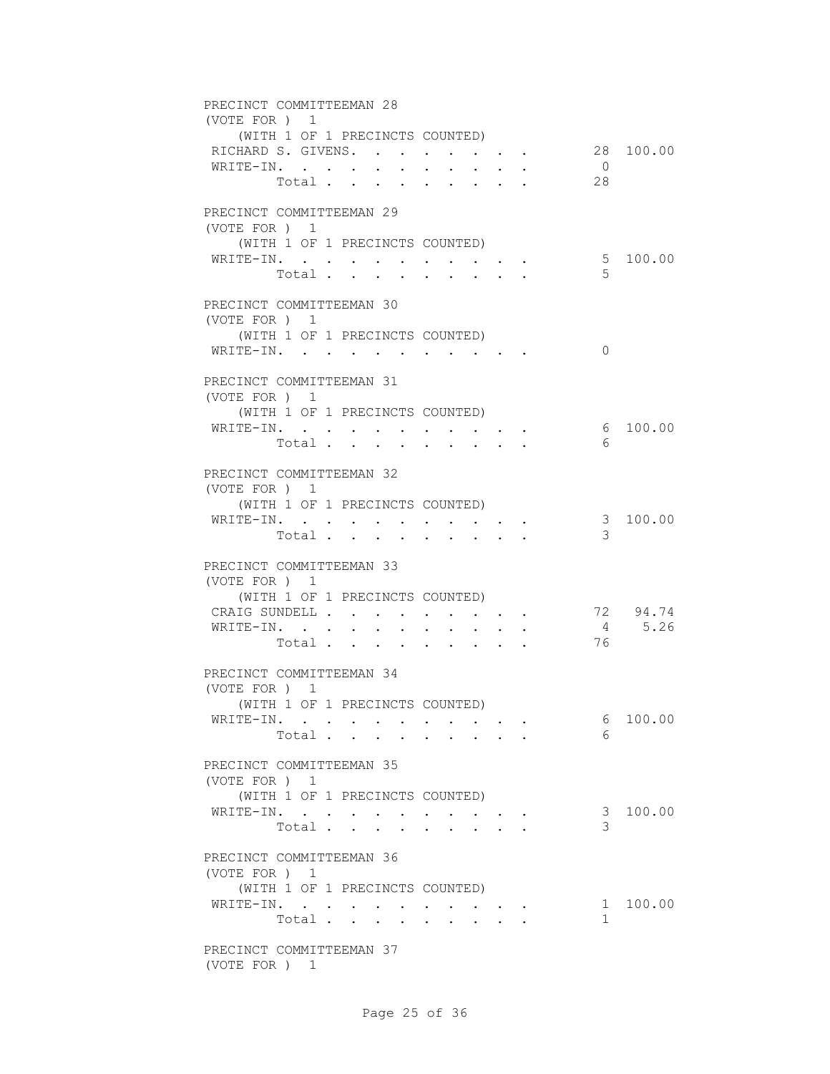| PRECINCT COMMITTEEMAN 28<br>(VOTE FOR ) 1<br>(WITH 1 OF 1 PRECINCTS COUNTED)                                                                               |                |           |
|------------------------------------------------------------------------------------------------------------------------------------------------------------|----------------|-----------|
| RICHARD S. GIVENS.                                                                                                                                         |                | 28 100.00 |
| WRITE-IN.<br>$\cdot$ $\cdot$ $\cdot$ $\cdot$ $\cdot$<br>28<br>Total                                                                                        | $\overline{0}$ |           |
| PRECINCT COMMITTEEMAN 29<br>(VOTE FOR ) 1                                                                                                                  |                |           |
| (WITH 1 OF 1 PRECINCTS COUNTED)<br>WRITE-IN.<br>Total<br>$\sim$<br>$\sim$ $\sim$<br>$\cdot$ $\cdot$                                                        | 5              | 5 100.00  |
| PRECINCT COMMITTEEMAN 30<br>(VOTE FOR ) 1                                                                                                                  |                |           |
| (WITH 1 OF 1 PRECINCTS COUNTED)<br>WRITE-IN.                                                                                                               | $\Omega$       |           |
| PRECINCT COMMITTEEMAN 31<br>(VOTE FOR ) 1                                                                                                                  |                |           |
| (WITH 1 OF 1 PRECINCTS COUNTED)                                                                                                                            |                |           |
| WRITE-IN.<br>Total<br>$\mathbf{r} = \mathbf{r}$ , $\mathbf{r} = \mathbf{r}$                                                                                | 6              | 6 100.00  |
| PRECINCT COMMITTEEMAN 32<br>(VOTE FOR ) 1                                                                                                                  |                |           |
| (WITH 1 OF 1 PRECINCTS COUNTED)<br>WRITE-IN. .<br>the contract of the contract of<br>$\mathbf{A}$ , and $\mathbf{A}$ , and $\mathbf{A}$ , and $\mathbf{A}$ |                | 3 100.00  |
| Total<br>$\sim$<br>$\ddot{\phantom{a}}$                                                                                                                    | 3              |           |
| PRECINCT COMMITTEEMAN 33<br>(VOTE FOR ) 1<br>(WITH 1 OF 1 PRECINCTS COUNTED)                                                                               |                |           |
| CRAIG SUNDELL                                                                                                                                              |                | 72 94.74  |
| WRITE-IN.                                                                                                                                                  |                | 4 5.26    |
| Total                                                                                                                                                      | 76             |           |
| PRECINCT COMMITTEEMAN 34<br>(VOTE FOR ) 1                                                                                                                  |                |           |
| (WITH 1 OF 1 PRECINCTS COUNTED)                                                                                                                            |                |           |
| WRITE-IN.<br>Total                                                                                                                                         | 6<br>6         | 100.00    |
| PRECINCT COMMITTEEMAN 35<br>(VOTE FOR ) 1                                                                                                                  |                |           |
| (WITH 1 OF 1 PRECINCTS COUNTED)<br>WRITE-IN.                                                                                                               |                | 3 100.00  |
| Total<br><b>All Cards</b><br>PRECINCT COMMITTEEMAN 36                                                                                                      | 3              |           |
| (VOTE FOR ) 1<br>(WITH 1 OF 1 PRECINCTS COUNTED)                                                                                                           |                |           |
| WRITE-IN.                                                                                                                                                  |                | 1 100.00  |
| Total                                                                                                                                                      | 1              |           |
| PRECINCT COMMITTEEMAN 37<br>(VOTE FOR ) 1                                                                                                                  |                |           |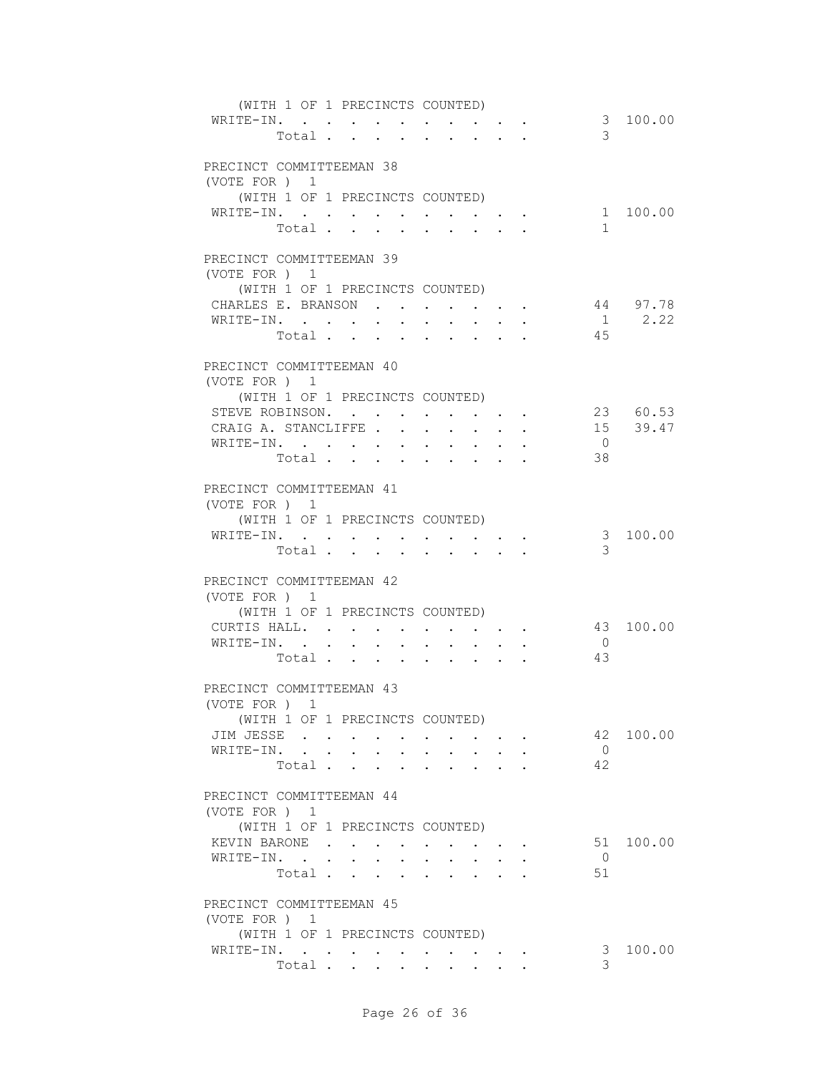| (WITH 1 OF 1 PRECINCTS COUNTED)                              |                                                                 |                                                   |                |             |
|--------------------------------------------------------------|-----------------------------------------------------------------|---------------------------------------------------|----------------|-------------|
| WRITE-IN.                                                    |                                                                 |                                                   |                | 3 100.00    |
| Total                                                        | $\cdot$ $\cdot$ $\cdot$ $\cdot$                                 |                                                   | 3              |             |
|                                                              |                                                                 |                                                   |                |             |
| PRECINCT COMMITTEEMAN 38                                     |                                                                 |                                                   |                |             |
| (VOTE FOR ) 1                                                |                                                                 |                                                   |                |             |
| (WITH 1 OF 1 PRECINCTS COUNTED)                              |                                                                 |                                                   |                |             |
| WRITE-IN.<br>$\cdot$ $\cdot$ $\cdot$ $\cdot$ $\cdot$ $\cdot$ |                                                                 | $\bullet$ . In the case of the contract $\bullet$ |                | 1 100.00    |
| Total .<br>$\mathbf{r} = \mathbf{r}$<br>$\sim$               | $\mathbf{L}$<br>$\sim$                                          | $\sim$ $-$                                        | $\mathbf{1}$   |             |
|                                                              |                                                                 |                                                   |                |             |
| PRECINCT COMMITTEEMAN 39                                     |                                                                 |                                                   |                |             |
| (VOTE FOR ) 1                                                |                                                                 |                                                   |                |             |
| (WITH 1 OF 1 PRECINCTS COUNTED)                              |                                                                 |                                                   |                |             |
| CHARLES E. BRANSON                                           |                                                                 |                                                   |                | 44 97.78    |
| WRITE-IN.                                                    |                                                                 |                                                   |                | $1 \t 2.22$ |
| Total                                                        |                                                                 |                                                   | 45             |             |
|                                                              |                                                                 |                                                   |                |             |
| PRECINCT COMMITTEEMAN 40                                     |                                                                 |                                                   |                |             |
| (VOTE FOR ) 1                                                |                                                                 |                                                   |                |             |
| (WITH 1 OF 1 PRECINCTS COUNTED)                              |                                                                 |                                                   |                | 23 60.53    |
| STEVE ROBINSON.<br>CRAIG A. STANCLIFFE                       |                                                                 |                                                   |                | 15 39.47    |
|                                                              |                                                                 |                                                   | $\overline{0}$ |             |
| WRITE-IN.                                                    |                                                                 |                                                   | 38             |             |
| Total                                                        |                                                                 |                                                   |                |             |
| PRECINCT COMMITTEEMAN 41                                     |                                                                 |                                                   |                |             |
| (VOTE FOR ) 1                                                |                                                                 |                                                   |                |             |
| (WITH 1 OF 1 PRECINCTS COUNTED)                              |                                                                 |                                                   |                |             |
| WRITE-IN.                                                    |                                                                 |                                                   | $\mathcal{E}$  | 100.00      |
| Total                                                        |                                                                 |                                                   | 3              |             |
|                                                              |                                                                 |                                                   |                |             |
| PRECINCT COMMITTEEMAN 42                                     |                                                                 |                                                   |                |             |
| (VOTE FOR) 1                                                 |                                                                 |                                                   |                |             |
| (WITH 1 OF 1 PRECINCTS COUNTED)                              |                                                                 |                                                   |                |             |
| CURTIS HALL.                                                 |                                                                 |                                                   |                | 43 100.00   |
| WRITE-IN. .<br>$\sim$<br>$\sim$<br>$\sim$<br>$\sim$          | $\ddot{\phantom{0}}$<br>$\sim 100$                              |                                                   | $\overline{0}$ |             |
| Total                                                        |                                                                 |                                                   | 43             |             |
|                                                              |                                                                 |                                                   |                |             |
| PRECINCT COMMITTEEMAN 43                                     |                                                                 |                                                   |                |             |
| (VOTE FOR ) 1                                                |                                                                 |                                                   |                |             |
| (WITH 1 OF 1 PRECINCTS COUNTED)                              |                                                                 |                                                   |                |             |
| JIM JESSE                                                    |                                                                 |                                                   |                | 42 100.00   |
| WRITE-IN. .<br>$\sim$                                        |                                                                 |                                                   | $\overline{0}$ |             |
| Total                                                        |                                                                 |                                                   | 42             |             |
|                                                              |                                                                 |                                                   |                |             |
| PRECINCT COMMITTEEMAN 44                                     |                                                                 |                                                   |                |             |
| (VOTE FOR ) 1                                                |                                                                 |                                                   |                |             |
| (WITH 1 OF 1 PRECINCTS COUNTED)                              |                                                                 |                                                   |                |             |
| KEVIN BARONE                                                 |                                                                 |                                                   | 51             | 100.00      |
| WRITE-IN.                                                    | $\bullet$ .<br><br><br><br><br><br><br><br><br><br><br><br><br> | $\bullet$ . In the set of $\bullet$               | $\overline{0}$ |             |
| Total                                                        | $\cdot$ $\cdot$ $\cdot$ $\cdot$ $\cdot$                         |                                                   | 51             |             |
|                                                              |                                                                 |                                                   |                |             |
| PRECINCT COMMITTEEMAN 45                                     |                                                                 |                                                   |                |             |
| (VOTE FOR ) 1                                                |                                                                 |                                                   |                |             |
| (WITH 1 OF 1 PRECINCTS COUNTED)                              |                                                                 |                                                   |                |             |
| WRITE-IN.                                                    |                                                                 |                                                   | 3              | 100.00      |
| Total                                                        |                                                                 |                                                   | 3              |             |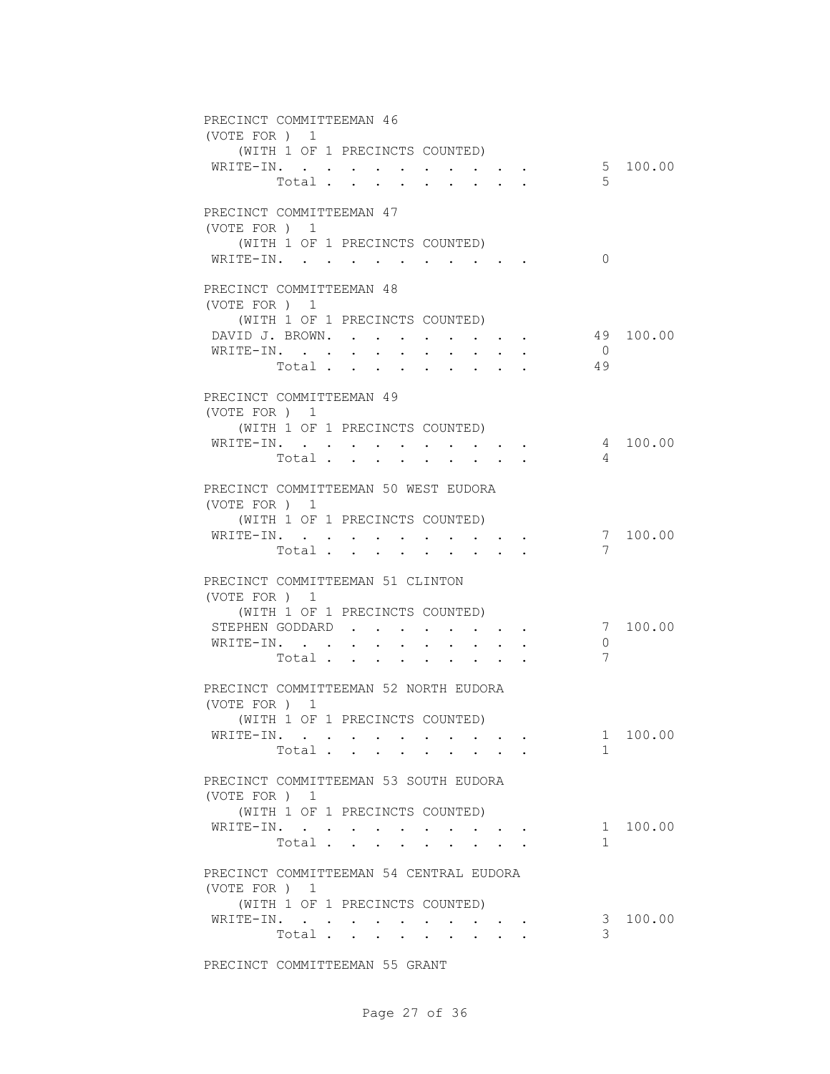| PRECINCT COMMITTEEMAN 46<br>(VOTE FOR ) 1              |       |                                          |                      |                                          |                                                                  |                                                   |  |                |           |
|--------------------------------------------------------|-------|------------------------------------------|----------------------|------------------------------------------|------------------------------------------------------------------|---------------------------------------------------|--|----------------|-----------|
| (WITH 1 OF 1 PRECINCTS COUNTED)<br>WRITE-IN.           |       |                                          |                      |                                          |                                                                  |                                                   |  |                | 5 100.00  |
|                                                        |       |                                          | Total                |                                          |                                                                  |                                                   |  | 5              |           |
| PRECINCT COMMITTEEMAN 47<br>(VOTE FOR ) 1              |       |                                          |                      |                                          |                                                                  |                                                   |  |                |           |
| (WITH 1 OF 1 PRECINCTS COUNTED)                        |       |                                          |                      |                                          |                                                                  |                                                   |  |                |           |
| WRITE-IN.                                              |       |                                          |                      |                                          |                                                                  |                                                   |  | $\Omega$       |           |
| PRECINCT COMMITTEEMAN 48<br>(VOTE FOR ) 1              |       |                                          |                      |                                          |                                                                  |                                                   |  |                |           |
| (WITH 1 OF 1 PRECINCTS COUNTED)                        |       |                                          |                      |                                          |                                                                  |                                                   |  |                |           |
| DAVID J. BROWN.                                        |       |                                          |                      |                                          |                                                                  |                                                   |  |                | 49 100.00 |
| WRITE-IN.                                              |       |                                          |                      |                                          |                                                                  |                                                   |  | $\overline{0}$ |           |
|                                                        |       |                                          | Total                |                                          |                                                                  |                                                   |  | 49             |           |
| PRECINCT COMMITTEEMAN 49                               |       |                                          |                      |                                          |                                                                  |                                                   |  |                |           |
| (VOTE FOR ) 1                                          |       |                                          |                      |                                          |                                                                  |                                                   |  |                |           |
| (WITH 1 OF 1 PRECINCTS COUNTED)<br>WRITE-IN.           |       |                                          |                      |                                          |                                                                  |                                                   |  |                | 4 100.00  |
|                                                        |       |                                          | Total                |                                          |                                                                  |                                                   |  | 4              |           |
|                                                        |       |                                          |                      |                                          |                                                                  |                                                   |  |                |           |
| PRECINCT COMMITTEEMAN 50 WEST EUDORA                   |       |                                          |                      |                                          |                                                                  |                                                   |  |                |           |
| (VOTE FOR ) 1                                          |       |                                          |                      |                                          |                                                                  |                                                   |  |                |           |
| (WITH 1 OF 1 PRECINCTS COUNTED)                        |       |                                          |                      |                                          |                                                                  |                                                   |  |                |           |
| WRITE-IN.                                              |       | $\mathbf{z} = \mathbf{z} + \mathbf{z}$ . |                      | $\mathbf{r} = \mathbf{r} + \mathbf{r}$ . |                                                                  |                                                   |  |                | 7 100.00  |
|                                                        | Total |                                          | $\ddot{\phantom{0}}$ |                                          |                                                                  |                                                   |  | 7              |           |
| PRECINCT COMMITTEEMAN 51 CLINTON<br>(VOTE FOR ) 1      |       |                                          |                      |                                          |                                                                  |                                                   |  |                |           |
| (WITH 1 OF 1 PRECINCTS COUNTED)                        |       |                                          |                      |                                          |                                                                  |                                                   |  |                |           |
| STEPHEN GODDARD                                        |       |                                          |                      |                                          |                                                                  |                                                   |  |                | 7 100.00  |
| WRITE-IN.                                              |       |                                          |                      |                                          | $\mathbf{r} = \mathbf{r} + \mathbf{r} + \mathbf{r} + \mathbf{r}$ | $\bullet$ . In the case of the contract $\bullet$ |  | $\mathbf{0}$   |           |
|                                                        |       |                                          | Total                |                                          |                                                                  |                                                   |  | 7              |           |
|                                                        |       |                                          |                      |                                          |                                                                  |                                                   |  |                |           |
| PRECINCT COMMITTEEMAN 52 NORTH EUDORA<br>(VOTE FOR ) 1 |       |                                          |                      |                                          |                                                                  |                                                   |  |                |           |
| (WITH 1 OF 1 PRECINCTS COUNTED)                        |       |                                          |                      |                                          |                                                                  |                                                   |  |                |           |
| WRITE-IN.                                              |       |                                          | Total                |                                          |                                                                  |                                                   |  | $1 \quad$<br>1 | 100.00    |
|                                                        |       |                                          |                      |                                          |                                                                  |                                                   |  |                |           |
| PRECINCT COMMITTEEMAN 53 SOUTH EUDORA                  |       |                                          |                      |                                          |                                                                  |                                                   |  |                |           |
| (VOTE FOR ) 1                                          |       |                                          |                      |                                          |                                                                  |                                                   |  |                |           |
| (WITH 1 OF 1 PRECINCTS COUNTED)                        |       |                                          |                      |                                          |                                                                  |                                                   |  |                |           |
| WRITE-IN.                                              |       |                                          | Total                | $\sim$ $\sim$                            |                                                                  | $\sim$                                            |  | 1              | 1 100.00  |
|                                                        |       |                                          |                      |                                          |                                                                  |                                                   |  |                |           |
| PRECINCT COMMITTEEMAN 54 CENTRAL EUDORA                |       |                                          |                      |                                          |                                                                  |                                                   |  |                |           |
| (VOTE FOR ) 1                                          |       |                                          |                      |                                          |                                                                  |                                                   |  |                |           |
| (WITH 1 OF 1 PRECINCTS COUNTED)                        |       |                                          |                      |                                          |                                                                  |                                                   |  |                |           |
| WRITE-IN.                                              |       |                                          |                      |                                          |                                                                  |                                                   |  | 3<br>3         | 100.00    |
|                                                        |       |                                          | Total                |                                          |                                                                  |                                                   |  |                |           |

PRECINCT COMMITTEEMAN 55 GRANT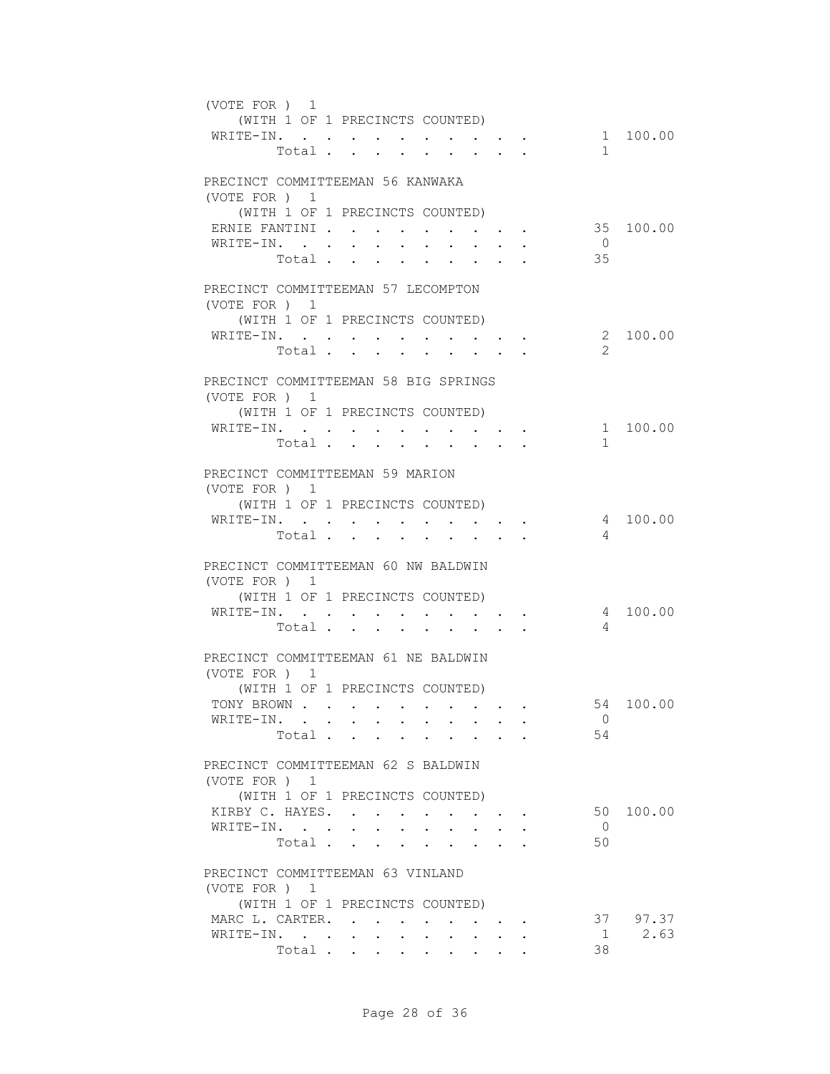| (VOTE FOR ) 1 |                            | (WITH 1 OF 1 PRECINCTS COUNTED)<br>WRITE-IN.<br>Total                                                                                                 |                                                                                                             |                                                                       | $\mathbf{1}$         | 1 100.00         |
|---------------|----------------------------|-------------------------------------------------------------------------------------------------------------------------------------------------------|-------------------------------------------------------------------------------------------------------------|-----------------------------------------------------------------------|----------------------|------------------|
| (VOTE FOR ) 1 | ERNIE FANTINI<br>WRITE-IN. | PRECINCT COMMITTEEMAN 56 KANWAKA<br>(WITH 1 OF 1 PRECINCTS COUNTED)<br>$\bullet$ .<br><br><br><br><br><br><br>$\sim$<br>$\ddot{\phantom{0}}$<br>Total | $\ddot{\phantom{0}}$<br>$\sim$                                                                              | $\bullet$ . In the case of the $\bullet$<br>$\mathbf{L} = \mathbf{L}$ | $\overline{0}$<br>35 | 35 100.00        |
| (VOTE FOR ) 1 |                            | PRECINCT COMMITTEEMAN 57 LECOMPTON<br>(WITH 1 OF 1 PRECINCTS COUNTED)<br>WRITE-IN.<br>Total                                                           | $\cdot$ $\cdot$ $\cdot$ $\cdot$ $\cdot$                                                                     | and the state of the state of                                         | $\mathcal{L}$        | 2 100.00         |
| (VOTE FOR ) 1 |                            | PRECINCT COMMITTEEMAN 58 BIG SPRINGS<br>(WITH 1 OF 1 PRECINCTS COUNTED)<br>WRITE-IN.<br>Total                                                         |                                                                                                             |                                                                       | 1                    | 1 100.00         |
| (VOTE FOR ) 1 | WRITE-IN.                  | PRECINCT COMMITTEEMAN 59 MARION<br>(WITH 1 OF 1 PRECINCTS COUNTED)<br>$\sim$<br>Total                                                                 | $\cdot$ $\cdot$ $\cdot$ $\cdot$ $\cdot$<br>$\mathbf{r} = \mathbf{r} + \mathbf{r} + \mathbf{r} + \mathbf{r}$ |                                                                       | 4                    | 4 100.00         |
| (VOTE FOR ) 1 | WRITE-IN.                  | PRECINCT COMMITTEEMAN 60 NW BALDWIN<br>(WITH 1 OF 1 PRECINCTS COUNTED)<br>$\mathbf{z} = \mathbf{z} + \mathbf{z} + \mathbf{z} + \mathbf{z}$<br>Total   | and the state of the state of the<br>$\cdot$ $\cdot$ $\cdot$ $\cdot$                                        |                                                                       | 4                    | 4 100.00         |
| (VOTE FOR ) 1 |                            | PRECINCT COMMITTEEMAN 61 NE BALDWIN<br>(WITH 1 OF 1 PRECINCTS COUNTED)<br>TONY BROWN<br>WRITE-IN.<br>Total                                            |                                                                                                             |                                                                       | $\overline{0}$<br>54 | 54 100.00        |
| (VOTE FOR) 1  |                            | PRECINCT COMMITTEEMAN 62 S BALDWIN<br>(WITH 1 OF 1 PRECINCTS COUNTED)<br>KIRBY C. HAYES.<br>WRITE-IN.<br>Total                                        |                                                                                                             |                                                                       | $\overline{0}$<br>50 | 50 100.00        |
| (VOTE FOR ) 1 | MARC L. CARTER.            | PRECINCT COMMITTEEMAN 63 VINLAND<br>(WITH 1 OF 1 PRECINCTS COUNTED)<br>$\bullet$ . $\bullet$<br>WRITE-IN.<br>Total                                    | $\sim 10^{-10}$ km s $^{-1}$<br>$\cdot$ $\cdot$ $\cdot$ $\cdot$ $\cdot$                                     | $\sim$                                                                | 1<br>38              | 37 97.37<br>2.63 |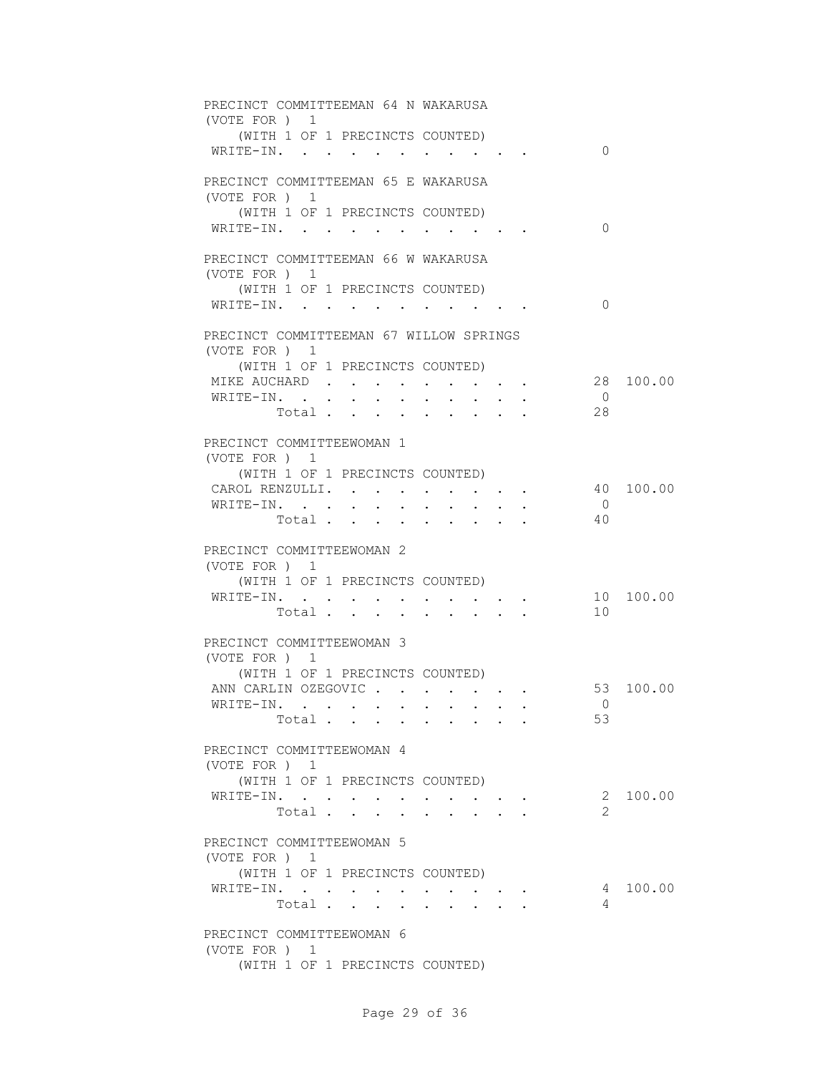| PRECINCT COMMITTEEMAN 64 N WAKARUSA<br>(VOTE FOR ) 1    |
|---------------------------------------------------------|
| (WITH 1 OF 1 PRECINCTS COUNTED)                         |
| $\Omega$<br>WRITE-IN.                                   |
| PRECINCT COMMITTEEMAN 65 E WAKARUSA                     |
| (VOTE FOR ) 1                                           |
| (WITH 1 OF 1 PRECINCTS COUNTED)                         |
| $\Omega$<br>WRITE-IN.                                   |
| PRECINCT COMMITTEEMAN 66 W WAKARUSA                     |
| (VOTE FOR ) 1                                           |
| (WITH 1 OF 1 PRECINCTS COUNTED)                         |
| $\Omega$<br>WRITE-IN.                                   |
| PRECINCT COMMITTEEMAN 67 WILLOW SPRINGS                 |
| (VOTE FOR ) 1                                           |
| (WITH 1 OF 1 PRECINCTS COUNTED)                         |
| MIKE AUCHARD<br>28 100.00                               |
| WRITE-IN. .<br>$\overline{0}$<br>$\sim$<br>$\sim$<br>28 |
| Total                                                   |
| PRECINCT COMMITTEEWOMAN 1                               |
| (VOTE FOR ) 1                                           |
| (WITH 1 OF 1 PRECINCTS COUNTED)                         |
| 40 100.00<br>CAROL RENZULLI.                            |
| WRITE-IN.<br>$\overline{0}$<br>40<br>Total              |
|                                                         |
| PRECINCT COMMITTEEWOMAN 2                               |
| (VOTE FOR ) 1                                           |
| (WITH 1 OF 1 PRECINCTS COUNTED)                         |
| 10 100.00<br>WRITE-IN.                                  |
| 10<br>Total $\cdot$                                     |
| PRECINCT COMMITTEEWOMAN 3                               |
| (VOTE FOR ) 1                                           |
| (WITH 1 OF 1 PRECINCTS COUNTED)                         |
| 53 100.00<br>ANN CARLIN OZEGOVIC                        |
| WRITE-IN. .<br>$\overline{0}$                           |
| 53<br>Total                                             |
| PRECINCT COMMITTEEWOMAN 4                               |
| (VOTE FOR ) 1                                           |
| (WITH 1 OF 1 PRECINCTS COUNTED)                         |
| 2 100.00<br>WRITE-IN.                                   |
| 2<br>Total<br>$\bullet$<br><b>All Angel</b>             |
| PRECINCT COMMITTEEWOMAN 5                               |
| (VOTE FOR ) 1                                           |
| (WITH 1 OF 1 PRECINCTS COUNTED)                         |
| WRITE-IN.<br>100.00<br>4                                |
| Total<br>4                                              |
|                                                         |
| PRECINCT COMMITTEEWOMAN 6                               |
| (VOTE FOR ) 1<br>(WITH 1 OF 1 PRECINCTS COUNTED)        |
|                                                         |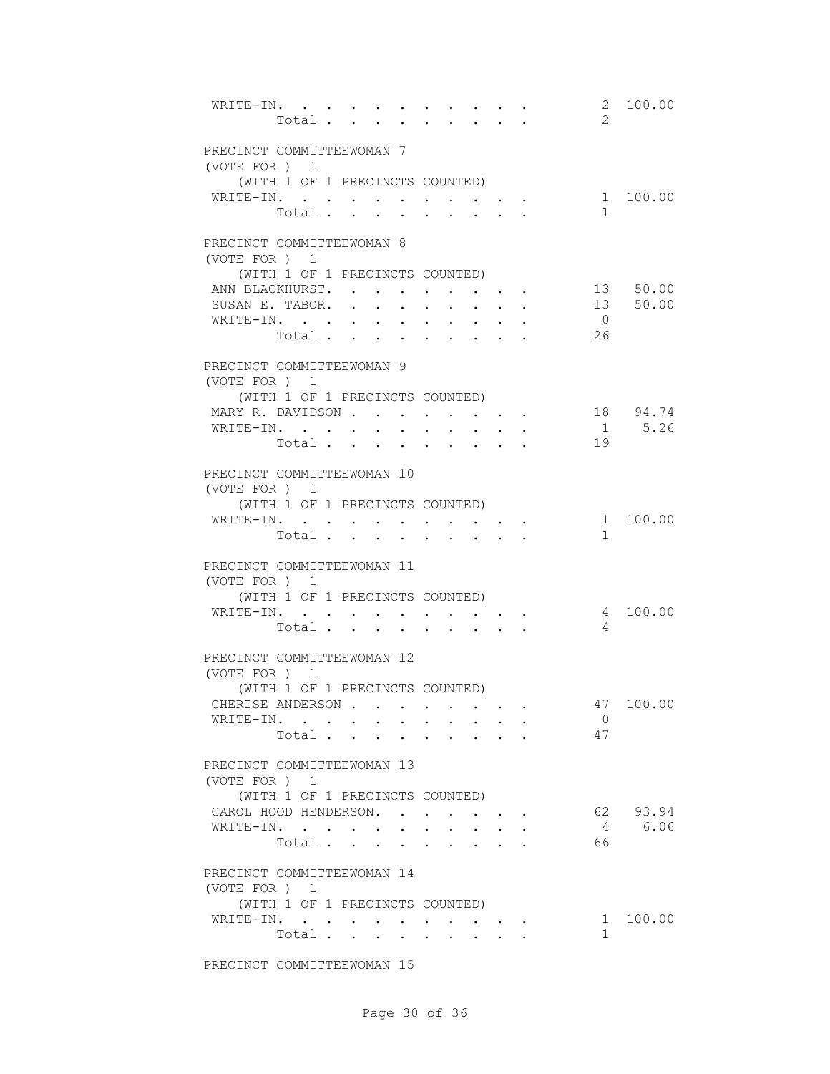| WRITE-IN.<br>Total                                                                                                                                             | $\overline{2}$                                                                                                                                           | 2 100.00             |
|----------------------------------------------------------------------------------------------------------------------------------------------------------------|----------------------------------------------------------------------------------------------------------------------------------------------------------|----------------------|
| PRECINCT COMMITTEEWOMAN 7<br>(VOTE FOR ) 1                                                                                                                     |                                                                                                                                                          |                      |
| (WITH 1 OF 1 PRECINCTS COUNTED)<br>WRITE-IN.<br>Total                                                                                                          | $\mathbf{1}$                                                                                                                                             | 1 100.00             |
| PRECINCT COMMITTEEWOMAN 8<br>(VOTE FOR) 1                                                                                                                      |                                                                                                                                                          |                      |
| (WITH 1 OF 1 PRECINCTS COUNTED)<br>ANN BLACKHURST.<br>SUSAN E. TABOR.<br>WRITE-IN.<br>Total                                                                    | $\cdot$ $\cdot$ $\cdot$ $\cdot$ $\cdot$ $\cdot$<br>$\overline{0}$<br>26                                                                                  | 13 50.00<br>13 50.00 |
| PRECINCT COMMITTEEWOMAN 9<br>(VOTE FOR ) 1<br>(WITH 1 OF 1 PRECINCTS COUNTED)                                                                                  |                                                                                                                                                          |                      |
| MARY R. DAVIDSON<br>WRITE-IN.<br>Total                                                                                                                         | $\mathbf{r} = \mathbf{r} + \mathbf{r} + \mathbf{r} + \mathbf{r}$<br>$\mathbf{L} = \mathbf{L}$<br>$\cdot$ $\cdot$<br>$\sim$<br>$\ddot{\phantom{a}}$<br>19 | 18 94.74<br>1 5.26   |
| PRECINCT COMMITTEEWOMAN 10<br>(VOTE FOR ) 1<br>(WITH 1 OF 1 PRECINCTS COUNTED)<br>WRITE-IN. .<br>$\bullet$ . In the case of the case of the case of the $\sim$ | $\bullet$ . In the case of the case of the case of the $\sim$                                                                                            | 1 100.00             |
| Total .<br>$\mathbf{r}$ , $\mathbf{r}$<br>$\sim$<br>PRECINCT COMMITTEEWOMAN 11                                                                                 | $\mathbf{1}$<br>$\ddot{\phantom{a}}$                                                                                                                     |                      |
| (VOTE FOR ) 1<br>(WITH 1 OF 1 PRECINCTS COUNTED)<br>WRITE-IN.<br>Total                                                                                         | $\overline{4}$                                                                                                                                           | 4 100.00             |
| PRECINCT COMMITTEEWOMAN 12<br>(VOTE FOR ) 1<br>(WITH 1 OF 1 PRECINCTS COUNTED)<br>CHERISE ANDERSON                                                             |                                                                                                                                                          | 47 100.00            |
| WRITE-IN.<br>Total                                                                                                                                             | 0<br>47                                                                                                                                                  |                      |
| PRECINCT COMMITTEEWOMAN 13<br>(VOTE FOR ) 1<br>(WITH 1 OF 1 PRECINCTS COUNTED)<br>CAROL HOOD HENDERSON.                                                        | $\mathbf{r} = \mathbf{r} + \mathbf{r} + \mathbf{r} + \mathbf{r}$                                                                                         | 62 93.94             |
| WRITE-IN.<br>$\ddot{\phantom{0}}$<br>Total<br>$\mathbf{L}$<br>PRECINCT COMMITTEEWOMAN 14                                                                       | $\ddot{\phantom{0}}$<br>66<br>$\mathbf{L}$<br>$\mathbf{r} = \mathbf{r} \cdot \mathbf{r}$                                                                 | 4 6.06               |
| (VOTE FOR ) 1<br>(WITH 1 OF 1 PRECINCTS COUNTED)<br>WRITE-IN.                                                                                                  | $\mathcal{L}(\mathcal{A})$ , and $\mathcal{A}(\mathcal{A})$ , and $\mathcal{A}(\mathcal{A})$                                                             | 1 100.00             |
| Total $\cdots$                                                                                                                                                 | $\mathbf{1}$<br>$\bullet$ .<br><br>.<br><br>.<br><br>.<br><br><br><br><br><br><br>                                                                       |                      |

PRECINCT COMMITTEEWOMAN 15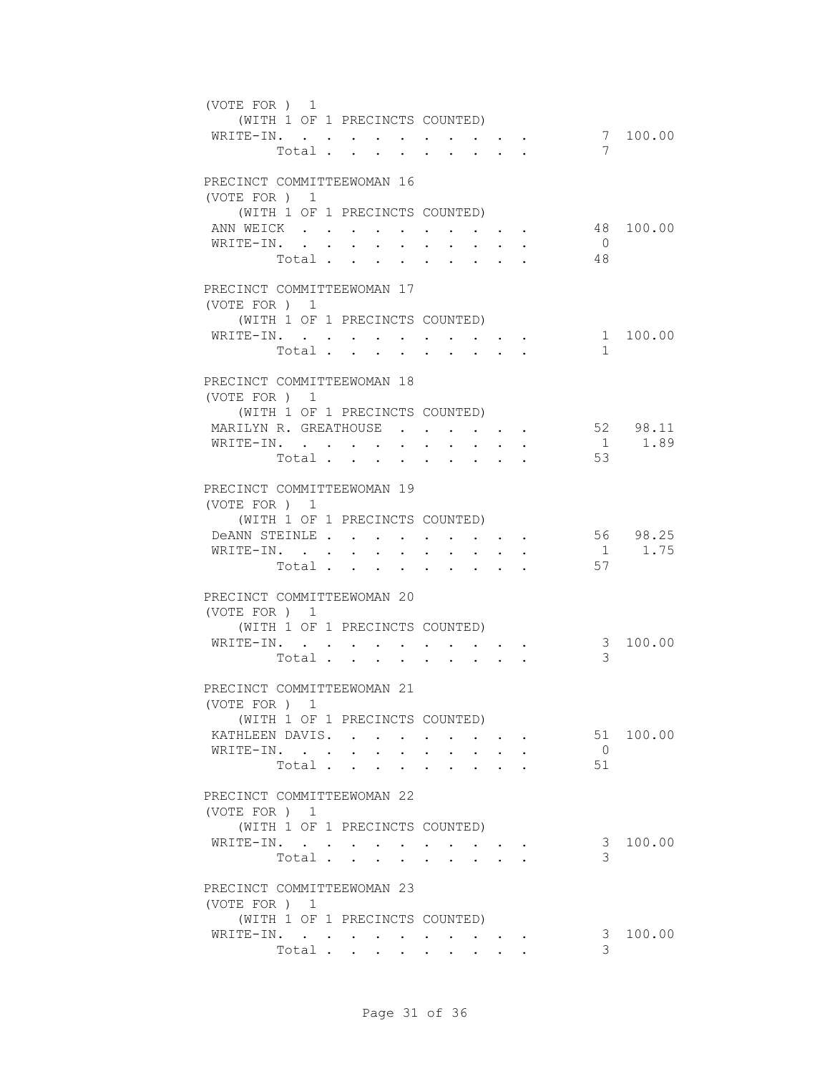| (VOTE FOR ) 1                               | (WITH 1 OF 1 PRECINCTS COUNTED) |                  |                                                                  |        |                      |                 |                                                                                                                                                                                                                                    |                  |  |                |           |
|---------------------------------------------|---------------------------------|------------------|------------------------------------------------------------------|--------|----------------------|-----------------|------------------------------------------------------------------------------------------------------------------------------------------------------------------------------------------------------------------------------------|------------------|--|----------------|-----------|
| WRITE-IN.                                   | Total                           |                  |                                                                  |        |                      |                 |                                                                                                                                                                                                                                    |                  |  | 7              | 7 100.00  |
| PRECINCT COMMITTEEWOMAN 16<br>(VOTE FOR ) 1 |                                 |                  |                                                                  |        |                      |                 |                                                                                                                                                                                                                                    |                  |  |                |           |
|                                             | (WITH 1 OF 1 PRECINCTS COUNTED) |                  |                                                                  |        |                      |                 |                                                                                                                                                                                                                                    |                  |  |                |           |
| ANN WEICK                                   |                                 |                  |                                                                  |        | <b>Service</b> State |                 | $\bullet$ . In the case of the contract of the contract of the contract of the contract of the contract of the contract of the contract of the contract of the contract of the contract of the contract of the contract of the con |                  |  |                | 48 100.00 |
| WRITE-IN.                                   | Total.                          | $\sim$ 100 $\pm$ | $\ddot{\phantom{0}}$                                             | $\sim$ | $\sim$               |                 | $\sim$                                                                                                                                                                                                                             | $\bullet$ .      |  | $\overline{0}$ |           |
|                                             |                                 |                  |                                                                  |        |                      | $\sim 10^{-11}$ | $\ddot{\phantom{0}}$                                                                                                                                                                                                               | $\sim$ 100 $\mu$ |  | 48             |           |
| PRECINCT COMMITTEEWOMAN 17<br>(VOTE FOR ) 1 |                                 |                  |                                                                  |        |                      |                 |                                                                                                                                                                                                                                    |                  |  |                |           |
|                                             | (WITH 1 OF 1 PRECINCTS COUNTED) |                  |                                                                  |        |                      |                 |                                                                                                                                                                                                                                    |                  |  |                |           |
| WRITE-IN.                                   |                                 |                  |                                                                  |        |                      |                 |                                                                                                                                                                                                                                    |                  |  |                | 1 100.00  |
|                                             | Total                           |                  |                                                                  |        |                      |                 | $\cdot$ $\cdot$ $\cdot$ $\cdot$ $\cdot$                                                                                                                                                                                            |                  |  | $\mathbf{1}$   |           |
|                                             |                                 |                  |                                                                  |        |                      |                 |                                                                                                                                                                                                                                    |                  |  |                |           |
| PRECINCT COMMITTEEWOMAN 18                  |                                 |                  |                                                                  |        |                      |                 |                                                                                                                                                                                                                                    |                  |  |                |           |
| (VOTE FOR ) 1                               |                                 |                  |                                                                  |        |                      |                 |                                                                                                                                                                                                                                    |                  |  |                |           |
|                                             | (WITH 1 OF 1 PRECINCTS COUNTED) |                  |                                                                  |        |                      |                 |                                                                                                                                                                                                                                    |                  |  |                |           |
| MARILYN R. GREATHOUSE                       |                                 |                  |                                                                  |        |                      |                 |                                                                                                                                                                                                                                    |                  |  |                | 52 98.11  |
| WRITE-IN.                                   |                                 |                  |                                                                  |        |                      |                 |                                                                                                                                                                                                                                    |                  |  |                | 1 1.89    |
|                                             | Total                           |                  |                                                                  |        |                      |                 |                                                                                                                                                                                                                                    |                  |  | 53             |           |
| PRECINCT COMMITTEEWOMAN 19                  |                                 |                  |                                                                  |        |                      |                 |                                                                                                                                                                                                                                    |                  |  |                |           |
| (VOTE FOR ) 1                               |                                 |                  |                                                                  |        |                      |                 |                                                                                                                                                                                                                                    |                  |  |                |           |
|                                             | (WITH 1 OF 1 PRECINCTS COUNTED) |                  |                                                                  |        |                      |                 |                                                                                                                                                                                                                                    |                  |  |                |           |
| DeANN STEINLE                               |                                 |                  |                                                                  |        |                      |                 |                                                                                                                                                                                                                                    |                  |  |                | 56 98.25  |
|                                             |                                 |                  |                                                                  |        |                      |                 |                                                                                                                                                                                                                                    |                  |  |                | 1 1.75    |
| WRITE-IN.                                   |                                 |                  |                                                                  |        |                      |                 |                                                                                                                                                                                                                                    |                  |  | 57             |           |
|                                             | Total                           |                  |                                                                  |        |                      |                 |                                                                                                                                                                                                                                    |                  |  |                |           |
| PRECINCT COMMITTEEWOMAN 20<br>(VOTE FOR ) 1 |                                 |                  |                                                                  |        |                      |                 |                                                                                                                                                                                                                                    |                  |  |                |           |
|                                             | (WITH 1 OF 1 PRECINCTS COUNTED) |                  |                                                                  |        |                      |                 |                                                                                                                                                                                                                                    |                  |  |                |           |
| WRITE-IN.                                   |                                 |                  | $\mathbf{r} = \mathbf{r} + \mathbf{r} + \mathbf{r} + \mathbf{r}$ |        |                      |                 |                                                                                                                                                                                                                                    |                  |  | 3 <sup>7</sup> | 100.00    |
|                                             | Total                           |                  |                                                                  |        |                      |                 | $\mathbf{r}$ , $\mathbf{r}$ , $\mathbf{r}$                                                                                                                                                                                         |                  |  | 3              |           |
| PRECINCT COMMITTEEWOMAN 21                  |                                 |                  |                                                                  |        |                      |                 |                                                                                                                                                                                                                                    |                  |  |                |           |
| (VOTE FOR ) 1                               |                                 |                  |                                                                  |        |                      |                 |                                                                                                                                                                                                                                    |                  |  |                |           |
|                                             | (WITH 1 OF 1 PRECINCTS COUNTED) |                  |                                                                  |        |                      |                 |                                                                                                                                                                                                                                    |                  |  |                |           |
| KATHLEEN DAVIS.                             |                                 |                  |                                                                  |        |                      |                 |                                                                                                                                                                                                                                    |                  |  |                | 51 100.00 |
| WRITE-IN.                                   |                                 |                  |                                                                  |        |                      |                 |                                                                                                                                                                                                                                    |                  |  | $\overline{0}$ |           |
|                                             | Total                           |                  |                                                                  |        |                      |                 |                                                                                                                                                                                                                                    |                  |  | 51             |           |
| PRECINCT COMMITTEEWOMAN 22<br>(VOTE FOR ) 1 |                                 |                  |                                                                  |        |                      |                 |                                                                                                                                                                                                                                    |                  |  |                |           |
|                                             | (WITH 1 OF 1 PRECINCTS COUNTED) |                  |                                                                  |        |                      |                 |                                                                                                                                                                                                                                    |                  |  |                |           |
| WRITE-IN.                                   |                                 |                  |                                                                  |        |                      |                 |                                                                                                                                                                                                                                    |                  |  | 3              | 100.00    |
|                                             | Total                           |                  |                                                                  |        |                      |                 |                                                                                                                                                                                                                                    |                  |  | 3              |           |
|                                             |                                 |                  |                                                                  |        |                      |                 |                                                                                                                                                                                                                                    |                  |  |                |           |
| PRECINCT COMMITTEEWOMAN 23<br>(VOTE FOR ) 1 |                                 |                  |                                                                  |        |                      |                 |                                                                                                                                                                                                                                    |                  |  |                |           |
|                                             | (WITH 1 OF 1 PRECINCTS COUNTED) |                  |                                                                  |        |                      |                 |                                                                                                                                                                                                                                    |                  |  |                |           |
| WRITE-IN.                                   |                                 |                  |                                                                  |        |                      |                 |                                                                                                                                                                                                                                    |                  |  | 3              | 100.00    |
|                                             | Total                           |                  |                                                                  |        |                      |                 |                                                                                                                                                                                                                                    |                  |  | 3              |           |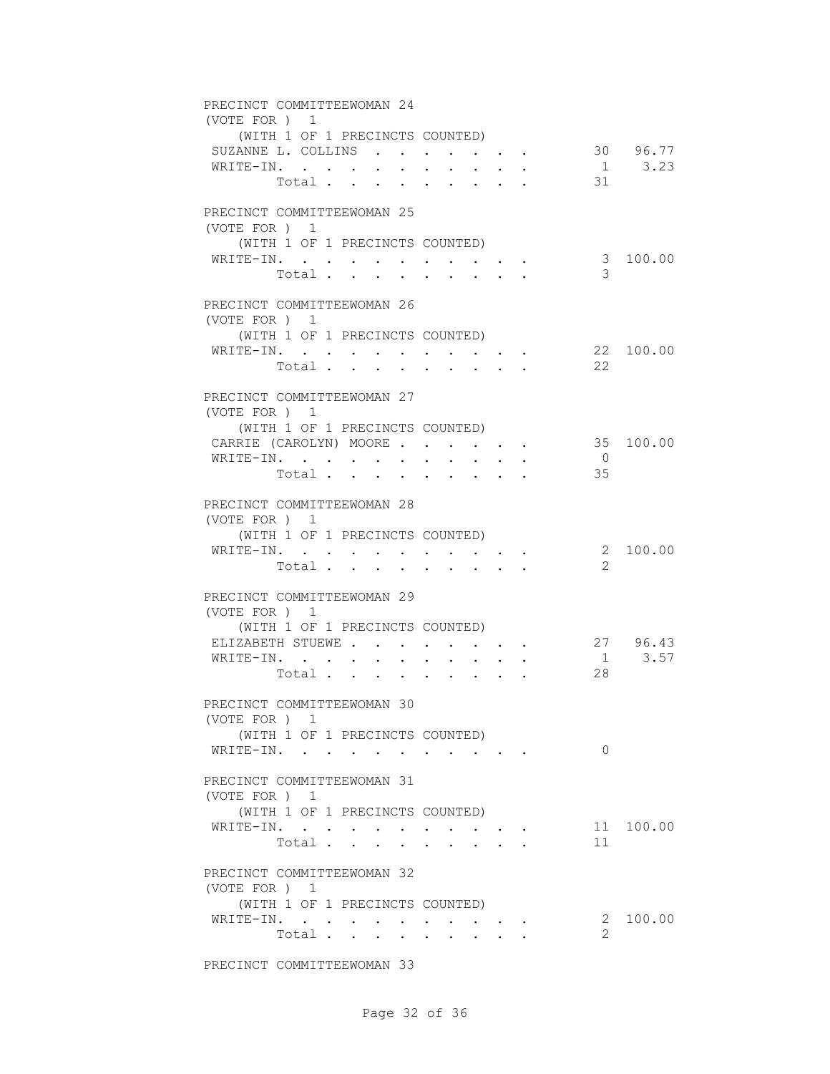| PRECINCT COMMITTEEWOMAN 24<br>(VOTE FOR ) 1<br>(WITH 1 OF 1 PRECINCTS COUNTED)                                                                       |                |            |
|------------------------------------------------------------------------------------------------------------------------------------------------------|----------------|------------|
| SUZANNE L. COLLINS 30 96.77                                                                                                                          |                |            |
| WRITE-IN.                                                                                                                                            |                | $1 \t3.23$ |
| Total                                                                                                                                                | 31             |            |
|                                                                                                                                                      |                |            |
| PRECINCT COMMITTEEWOMAN 25<br>(VOTE FOR) 1                                                                                                           |                |            |
| (WITH 1 OF 1 PRECINCTS COUNTED)                                                                                                                      |                |            |
| WRITE-IN.<br>$\sim$ 100 $\sim$ 100 $\sim$<br>$\mathbf{r} = \mathbf{r} + \mathbf{r}$ .<br>$\bullet$ .<br><br><br><br><br><br><br><br><br><br><br><br> |                | 3 100.00   |
| Total<br>$\sim$<br>$\sim$ $\sim$<br>$\mathbf{r} = \mathbf{r}$<br>$\sim$                                                                              | 3              |            |
|                                                                                                                                                      |                |            |
| PRECINCT COMMITTEEWOMAN 26<br>(VOTE FOR) 1                                                                                                           |                |            |
| (WITH 1 OF 1 PRECINCTS COUNTED)                                                                                                                      |                |            |
| WRITE-IN.                                                                                                                                            |                | 22 100.00  |
| Total                                                                                                                                                | 22             |            |
|                                                                                                                                                      |                |            |
| PRECINCT COMMITTEEWOMAN 27<br>(VOTE FOR ) 1                                                                                                          |                |            |
| (WITH 1 OF 1 PRECINCTS COUNTED)                                                                                                                      |                |            |
| CARRIE (CAROLYN) MOORE 35 100.00                                                                                                                     |                |            |
| WRITE-IN.                                                                                                                                            | $\overline{0}$ |            |
| Total $\cdot$                                                                                                                                        | 35             |            |
| PRECINCT COMMITTEEWOMAN 28<br>(VOTE FOR ) 1<br>(WITH 1 OF 1 PRECINCTS COUNTED)                                                                       |                |            |
| WRITE-IN.                                                                                                                                            |                | 2 100.00   |
| $\bullet$ .<br><br><br><br><br><br><br>Total                                                                                                         | 2              |            |
| $\mathbf{r}$ , $\mathbf{r}$ , $\mathbf{r}$                                                                                                           |                |            |
| PRECINCT COMMITTEEWOMAN 29<br>(VOTE FOR ) 1                                                                                                          |                |            |
| (WITH 1 OF 1 PRECINCTS COUNTED)                                                                                                                      |                |            |
| ELIZABETH STUEWE<br>$\mathbf{r} = \mathbf{r} + \mathbf{r} + \mathbf{r} + \mathbf{r}$                                                                 |                | 27 96.43   |
| WRITE-IN.<br>$\mathbf{r} = \mathbf{r} + \mathbf{r}$ .<br>$\ddot{\phantom{0}}$<br>$\ddot{\phantom{0}}$                                                |                | $1 \t3.57$ |
| Total<br>$\mathbf{A}$ and $\mathbf{A}$ and $\mathbf{A}$<br>$\ddot{\phantom{0}}$                                                                      | 28             |            |
| PRECINCT COMMITTEEWOMAN 30<br>(VOTE FOR ) 1                                                                                                          |                |            |
| (WITH 1 OF 1 PRECINCTS COUNTED)                                                                                                                      |                |            |
| WRITE-IN.                                                                                                                                            | $\Omega$       |            |
|                                                                                                                                                      |                |            |
| PRECINCT COMMITTEEWOMAN 31<br>(VOTE FOR ) 1                                                                                                          |                |            |
| (WITH 1 OF 1 PRECINCTS COUNTED)                                                                                                                      |                |            |
| WRITE-IN.<br>$\bullet$ . In the case of the contract $\bullet$                                                                                       |                | 11 100.00  |
| Total                                                                                                                                                | 11             |            |
| PRECINCT COMMITTEEWOMAN 32                                                                                                                           |                |            |
| (VOTE FOR ) 1                                                                                                                                        |                |            |
| (WITH 1 OF 1 PRECINCTS COUNTED)                                                                                                                      |                |            |
| WRITE-IN.<br>$\mathcal{L}(\mathcal{A})$ , and $\mathcal{A}(\mathcal{A})$ , and $\mathcal{A}(\mathcal{A})$                                            |                | 2 100.00   |
| Total                                                                                                                                                | 2              |            |
|                                                                                                                                                      |                |            |

PRECINCT COMMITTEEWOMAN 33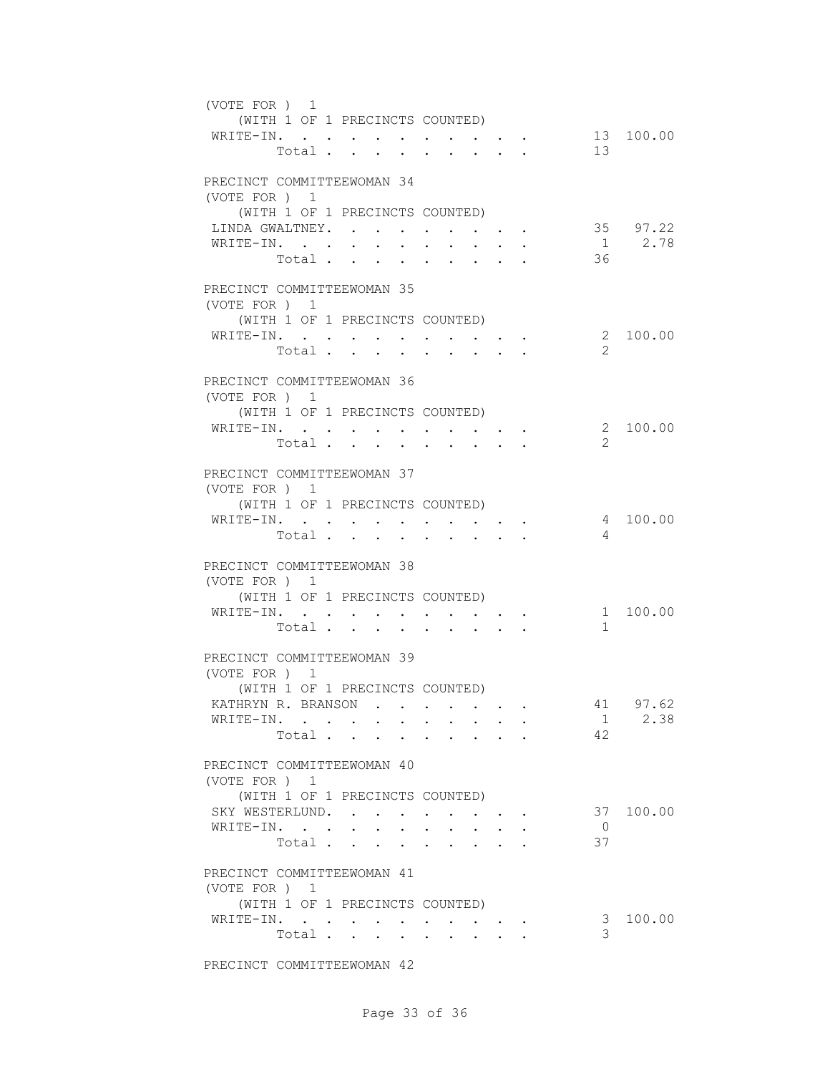| (VOTE FOR ) 1<br>(WITH 1 OF 1 PRECINCTS COUNTED)<br>WRITE-IN.                                                     |                                                                                               | Total $\cdot$                                                                  |                                 | 13                   | 13 100.00          |
|-------------------------------------------------------------------------------------------------------------------|-----------------------------------------------------------------------------------------------|--------------------------------------------------------------------------------|---------------------------------|----------------------|--------------------|
| PRECINCT COMMITTEEWOMAN 34<br>(VOTE FOR ) 1<br>(WITH 1 OF 1 PRECINCTS COUNTED)<br>LINDA GWALTNEY.<br>WRITE-IN.    | $\bullet$ .                                                                                   | $\mathbf{r}$ , and $\mathbf{r}$ , and $\mathbf{r}$ , and $\mathbf{r}$<br>Total | $\cdot$ $\cdot$ $\cdot$ $\cdot$ | 36                   | 35 97.22<br>1 2.78 |
| PRECINCT COMMITTEEWOMAN 35<br>(VOTE FOR ) 1<br>(WITH 1 OF 1 PRECINCTS COUNTED)<br>WRITE-IN.<br>Total .            | $\mathbf{r}$ , $\mathbf{r}$ , $\mathbf{r}$ , $\mathbf{r}$                                     | $\cdot$ $\cdot$ $\cdot$ $\cdot$                                                |                                 | 2                    | 2 100.00           |
| PRECINCT COMMITTEEWOMAN 36<br>(VOTE FOR ) 1<br>(WITH 1 OF 1 PRECINCTS COUNTED)<br>WRITE-IN.                       |                                                                                               | Total                                                                          |                                 | $\mathcal{L}$        | 2 100.00           |
| PRECINCT COMMITTEEWOMAN 37<br>(VOTE FOR ) 1<br>(WITH 1 OF 1 PRECINCTS COUNTED)<br>WRITE-IN.                       |                                                                                               | Total                                                                          |                                 | 4                    | 4 100.00           |
| PRECINCT COMMITTEEWOMAN 38<br>(VOTE FOR ) 1<br>(WITH 1 OF 1 PRECINCTS COUNTED)<br>WRITE-IN.                       | $\mathbf{u} = \mathbf{u} \mathbf{u} + \mathbf{u} \mathbf{u} + \mathbf{u} \mathbf{u}$<br>Total | $\mathbf{r} = \mathbf{r} + \mathbf{r} + \mathbf{r} + \mathbf{r}$               |                                 | $\mathbf{1}$         | 1 100.00           |
| PRECINCT COMMITTEEWOMAN 39<br>(VOTE FOR ) 1<br>(WITH 1 OF 1 PRECINCTS COUNTED)<br>KATHRYN R. BRANSON<br>WRITE-IN. |                                                                                               | Total                                                                          |                                 | 41<br>1<br>42        | 97.62<br>2.38      |
| PRECINCT COMMITTEEWOMAN 40<br>(VOTE FOR) 1<br>(WITH 1 OF 1 PRECINCTS COUNTED)<br>SKY WESTERLUND.<br>WRITE-IN.     |                                                                                               | Total                                                                          |                                 | $\overline{0}$<br>37 | 37 100.00          |
| PRECINCT COMMITTEEWOMAN 41<br>(VOTE FOR ) 1<br>(WITH 1 OF 1 PRECINCTS COUNTED)<br>WRITE-IN.                       | $\bullet$ . $\bullet$<br>Total                                                                | $\mathbf{r}$ , and $\mathbf{r}$ , and $\mathbf{r}$                             |                                 | 3<br>3               | 100.00             |

PRECINCT COMMITTEEWOMAN 42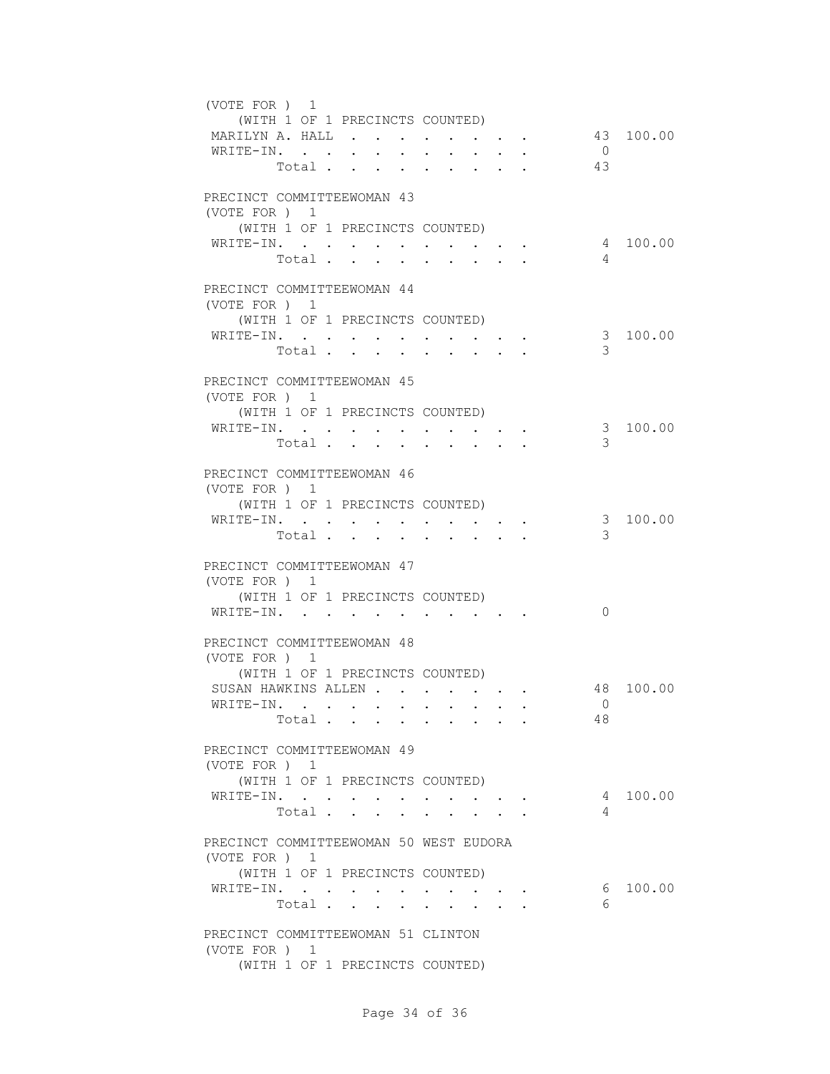| (VOTE FOR) 1                           |                  |                                                                 |                |              |                                                                         |    |                |           |
|----------------------------------------|------------------|-----------------------------------------------------------------|----------------|--------------|-------------------------------------------------------------------------|----|----------------|-----------|
| (WITH 1 OF 1 PRECINCTS COUNTED)        |                  |                                                                 |                |              |                                                                         |    |                |           |
| MARILYN A. HALL                        |                  |                                                                 |                |              |                                                                         |    |                | 43 100.00 |
| WRITE-IN.                              |                  |                                                                 |                |              |                                                                         |    | $\overline{0}$ |           |
| Total                                  |                  |                                                                 |                |              |                                                                         | 43 |                |           |
|                                        |                  |                                                                 |                |              |                                                                         |    |                |           |
| PRECINCT COMMITTEEWOMAN 43             |                  |                                                                 |                |              |                                                                         |    |                |           |
| (VOTE FOR) 1                           |                  |                                                                 |                |              |                                                                         |    |                |           |
| (WITH 1 OF 1 PRECINCTS COUNTED)        |                  |                                                                 |                |              |                                                                         |    |                |           |
| WRITE-IN.                              | $\sim$ 100 $\mu$ | $\bullet$ .<br><br><br><br><br><br><br><br><br><br><br><br><br> |                |              |                                                                         |    |                | 4 100.00  |
| Total                                  |                  | $\sim$                                                          |                | $\sim$       |                                                                         |    | $\overline{4}$ |           |
| PRECINCT COMMITTEEWOMAN 44             |                  |                                                                 |                |              |                                                                         |    |                |           |
| (VOTE FOR ) 1                          |                  |                                                                 |                |              |                                                                         |    |                |           |
| (WITH 1 OF 1 PRECINCTS COUNTED)        |                  |                                                                 |                |              |                                                                         |    |                |           |
| WRITE-IN.                              |                  |                                                                 |                |              |                                                                         |    |                | 3 100.00  |
| Total                                  |                  |                                                                 |                |              |                                                                         |    | 3              |           |
|                                        |                  |                                                                 |                |              |                                                                         |    |                |           |
| PRECINCT COMMITTEEWOMAN 45             |                  |                                                                 |                |              |                                                                         |    |                |           |
| (VOTE FOR ) 1                          |                  |                                                                 |                |              |                                                                         |    |                |           |
| (WITH 1 OF 1 PRECINCTS COUNTED)        |                  |                                                                 |                |              |                                                                         |    |                |           |
| WRITE-IN.                              |                  |                                                                 |                |              |                                                                         |    |                | 3 100.00  |
| Total                                  |                  |                                                                 |                |              |                                                                         |    | 3              |           |
|                                        |                  |                                                                 |                |              |                                                                         |    |                |           |
| PRECINCT COMMITTEEWOMAN 46             |                  |                                                                 |                |              |                                                                         |    |                |           |
| (VOTE FOR) 1                           |                  |                                                                 |                |              |                                                                         |    |                |           |
| (WITH 1 OF 1 PRECINCTS COUNTED)        |                  |                                                                 |                |              |                                                                         |    |                |           |
| WRITE-IN.                              |                  | $\sim$                                                          |                |              | $\bullet$ .<br><br><br><br><br><br><br><br><br><br><br><br><br><br><br> |    | 3 <sup>7</sup> | 100.00    |
| Total                                  |                  |                                                                 | <b>Service</b> | $\mathbf{L}$ | $\sim$                                                                  |    | 3              |           |
|                                        |                  |                                                                 |                |              |                                                                         |    |                |           |
| PRECINCT COMMITTEEWOMAN 47             |                  |                                                                 |                |              |                                                                         |    |                |           |
| (VOTE FOR ) 1                          |                  |                                                                 |                |              |                                                                         |    |                |           |
| (WITH 1 OF 1 PRECINCTS COUNTED)        |                  |                                                                 |                |              |                                                                         |    |                |           |
| WRITE-IN.                              |                  |                                                                 |                |              |                                                                         |    | $\Omega$       |           |
|                                        |                  |                                                                 |                |              |                                                                         |    |                |           |
| PRECINCT COMMITTEEWOMAN 48             |                  |                                                                 |                |              |                                                                         |    |                |           |
| (VOTE FOR ) 1                          |                  |                                                                 |                |              |                                                                         |    |                |           |
| (WITH 1 OF 1 PRECINCTS COUNTED)        |                  |                                                                 |                |              |                                                                         |    |                |           |
| SUSAN HAWKINS ALLEN                    |                  |                                                                 |                |              |                                                                         |    |                | 48 100.00 |
| WRITE-IN.                              |                  |                                                                 |                |              |                                                                         |    | $\overline{0}$ |           |
| Total                                  |                  |                                                                 |                |              |                                                                         |    | 48             |           |
| PRECINCT COMMITTEEWOMAN 49             |                  |                                                                 |                |              |                                                                         |    |                |           |
| (VOTE FOR ) 1                          |                  |                                                                 |                |              |                                                                         |    |                |           |
| (WITH 1 OF 1 PRECINCTS COUNTED)        |                  |                                                                 |                |              |                                                                         |    |                |           |
| WRITE-IN.                              |                  |                                                                 |                |              |                                                                         |    |                | 4 100.00  |
| Total                                  |                  | $\sim$                                                          |                | $\sim$       | $\mathbf{r} = \mathbf{r} + \mathbf{r} + \mathbf{r}$ .                   |    | 4              |           |
|                                        |                  |                                                                 |                |              |                                                                         |    |                |           |
| PRECINCT COMMITTEEWOMAN 50 WEST EUDORA |                  |                                                                 |                |              |                                                                         |    |                |           |
| (VOTE FOR ) 1                          |                  |                                                                 |                |              |                                                                         |    |                |           |
| (WITH 1 OF 1 PRECINCTS COUNTED)        |                  |                                                                 |                |              |                                                                         |    |                |           |
| WRITE-IN.                              |                  |                                                                 |                |              |                                                                         |    |                | 6 100.00  |
| Total                                  |                  |                                                                 |                |              |                                                                         |    | 6              |           |
|                                        |                  |                                                                 |                |              |                                                                         |    |                |           |
| PRECINCT COMMITTEEWOMAN 51 CLINTON     |                  |                                                                 |                |              |                                                                         |    |                |           |
| (VOTE FOR ) 1                          |                  |                                                                 |                |              |                                                                         |    |                |           |
| (WITH 1 OF 1 PRECINCTS COUNTED)        |                  |                                                                 |                |              |                                                                         |    |                |           |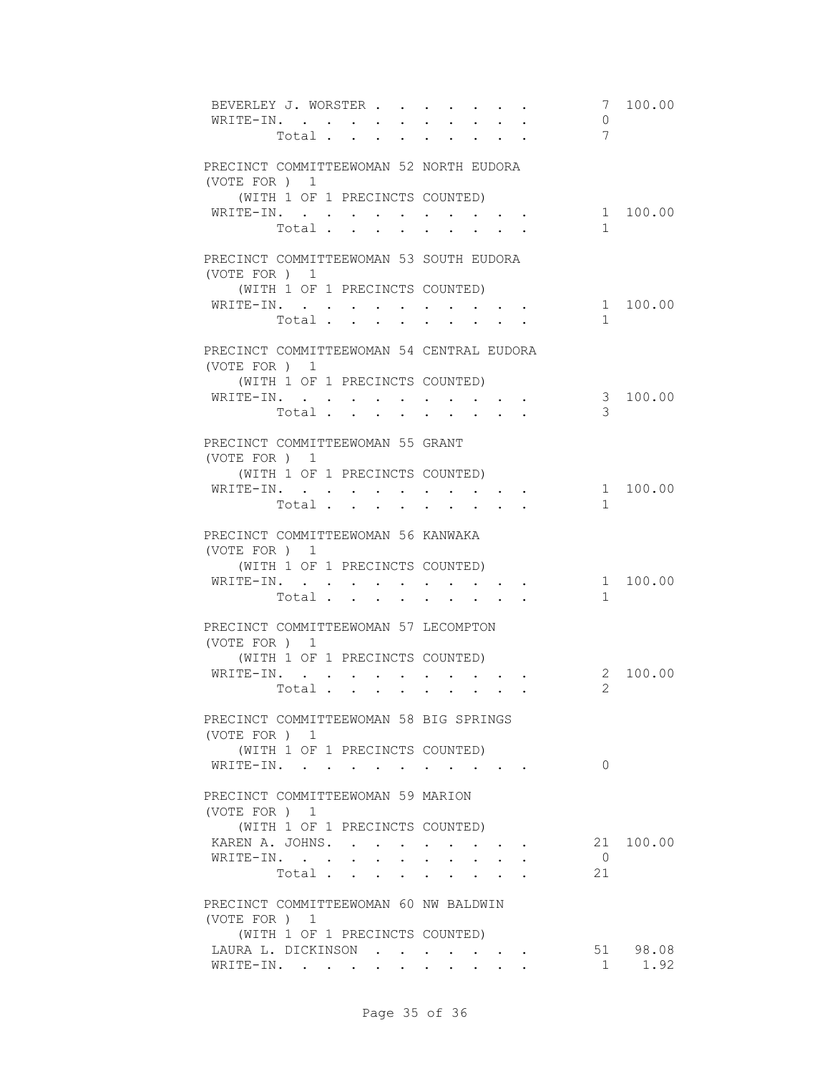| BEVERLEY J. WORSTER<br>WRITE-IN.                          | Total |       | $\sim$ 100 $\pm$<br>$\sim$ $\sim$ |                  |            |                  |                                                 |                                                         |  | 7<br>0<br>7    | 100.00    |
|-----------------------------------------------------------|-------|-------|-----------------------------------|------------------|------------|------------------|-------------------------------------------------|---------------------------------------------------------|--|----------------|-----------|
| PRECINCT COMMITTEEWOMAN 52 NORTH EUDORA<br>(VOTE FOR) 1   |       |       |                                   |                  |            |                  |                                                 |                                                         |  |                |           |
| (WITH 1 OF 1 PRECINCTS COUNTED)                           |       |       |                                   |                  |            |                  |                                                 |                                                         |  |                |           |
| WRITE-IN.                                                 |       |       |                                   |                  |            |                  |                                                 |                                                         |  |                | 1 100.00  |
|                                                           |       | Total |                                   |                  |            |                  |                                                 |                                                         |  | $\mathbf{1}$   |           |
| PRECINCT COMMITTEEWOMAN 53 SOUTH EUDORA<br>(VOTE FOR ) 1  |       |       |                                   |                  |            |                  |                                                 |                                                         |  |                |           |
| (WITH 1 OF 1 PRECINCTS COUNTED)                           |       |       |                                   |                  |            |                  |                                                 |                                                         |  |                |           |
| WRITE-IN.                                                 |       |       |                                   |                  |            |                  |                                                 |                                                         |  |                | 1 100.00  |
|                                                           |       | Total |                                   |                  |            |                  |                                                 |                                                         |  | $\mathbf{1}$   |           |
|                                                           |       |       |                                   |                  |            |                  |                                                 |                                                         |  |                |           |
| PRECINCT COMMITTEEWOMAN 54 CENTRAL EUDORA<br>(VOTE FOR) 1 |       |       |                                   |                  |            |                  |                                                 |                                                         |  |                |           |
| (WITH 1 OF 1 PRECINCTS COUNTED)                           |       |       |                                   |                  |            |                  |                                                 |                                                         |  |                |           |
| WRITE-IN.                                                 |       |       |                                   |                  |            |                  |                                                 |                                                         |  |                | 3 100.00  |
|                                                           |       | Total |                                   |                  |            | <b>All Cards</b> |                                                 |                                                         |  | 3              |           |
| PRECINCT COMMITTEEWOMAN 55 GRANT<br>(VOTE FOR ) 1         |       |       |                                   |                  |            |                  |                                                 |                                                         |  |                |           |
| (WITH 1 OF 1 PRECINCTS COUNTED)                           |       |       |                                   |                  |            |                  |                                                 |                                                         |  |                |           |
| WRITE-IN.                                                 |       |       |                                   |                  |            |                  |                                                 |                                                         |  |                | 1 100.00  |
|                                                           |       | Total |                                   |                  |            |                  |                                                 |                                                         |  | $\mathbf{1}$   |           |
| PRECINCT COMMITTEEWOMAN 56 KANWAKA<br>(VOTE FOR) 1        |       |       |                                   |                  |            |                  |                                                 |                                                         |  |                |           |
| (WITH 1 OF 1 PRECINCTS COUNTED)                           |       |       |                                   |                  |            |                  |                                                 |                                                         |  |                | 1 100.00  |
| WRITE-IN.                                                 |       | Total |                                   |                  |            |                  |                                                 |                                                         |  | $\mathbf{1}$   |           |
|                                                           |       |       |                                   |                  |            |                  |                                                 |                                                         |  |                |           |
| PRECINCT COMMITTEEWOMAN 57 LECOMPTON<br>(VOTE FOR ) 1     |       |       |                                   |                  |            |                  |                                                 |                                                         |  |                |           |
| (WITH 1 OF 1 PRECINCTS COUNTED)                           |       |       |                                   |                  |            |                  |                                                 |                                                         |  |                |           |
| WRITE-IN.                                                 |       |       | $\sim$ 100 $\mu$                  | $\sim$ 100 $\mu$ |            |                  |                                                 |                                                         |  |                | 2 100.00  |
|                                                           |       | Total |                                   | $\sim$           | $\sim$ $-$ |                  | <b>All Andrew</b>                               | $\mathbf{A}^{\text{max}}$ and $\mathbf{A}^{\text{max}}$ |  | $\overline{2}$ |           |
| PRECINCT COMMITTEEWOMAN 58 BIG SPRINGS<br>(VOTE FOR) 1    |       |       |                                   |                  |            |                  |                                                 |                                                         |  |                |           |
| (WITH 1 OF 1 PRECINCTS COUNTED)                           |       |       |                                   |                  |            |                  |                                                 |                                                         |  |                |           |
| WRITE-IN.                                                 |       |       |                                   |                  |            |                  |                                                 |                                                         |  | $\Omega$       |           |
| PRECINCT COMMITTEEWOMAN 59 MARION<br>(VOTE FOR) 1         |       |       |                                   |                  |            |                  |                                                 |                                                         |  |                |           |
| (WITH 1 OF 1 PRECINCTS COUNTED)                           |       |       |                                   |                  |            |                  |                                                 |                                                         |  |                |           |
| KAREN A. JOHNS.                                           |       |       |                                   |                  |            |                  |                                                 |                                                         |  |                | 21 100.00 |
| WRITE-IN.                                                 |       |       |                                   |                  |            |                  |                                                 |                                                         |  | $\bigcirc$     |           |
|                                                           |       | Total |                                   |                  |            |                  | $\cdot$ $\cdot$ $\cdot$ $\cdot$ $\cdot$ $\cdot$ |                                                         |  | 21             |           |
|                                                           |       |       |                                   |                  |            |                  |                                                 |                                                         |  |                |           |
| PRECINCT COMMITTEEWOMAN 60 NW BALDWIN<br>(VOTE FOR ) 1    |       |       |                                   |                  |            |                  |                                                 |                                                         |  |                |           |
| (WITH 1 OF 1 PRECINCTS COUNTED)                           |       |       |                                   |                  |            |                  |                                                 |                                                         |  |                |           |
| LAURA L. DICKINSON                                        |       |       |                                   |                  |            |                  |                                                 |                                                         |  |                | 51 98.08  |
| WRITE-IN.                                                 |       |       |                                   |                  |            |                  |                                                 |                                                         |  | $\mathbf{1}$   | 1.92      |